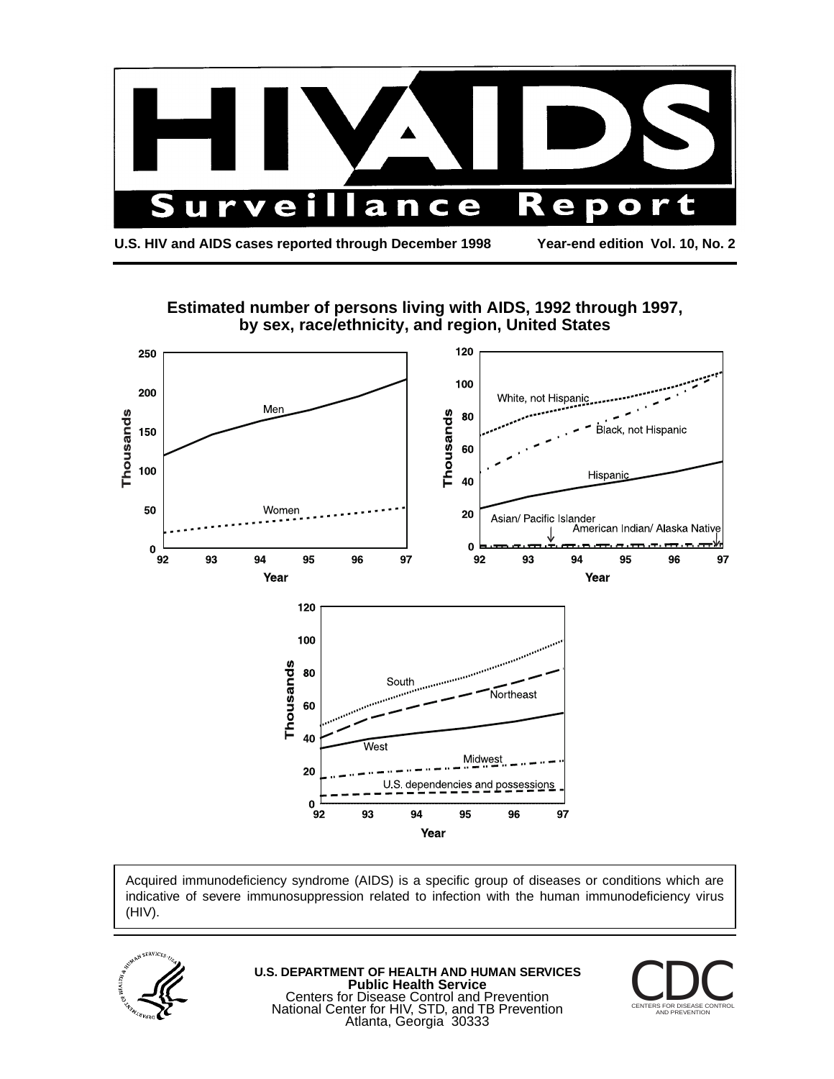

**Estimated number of persons living with AIDS, 1992 through 1997,** 



Acquired immunodeficiency syndrome (AIDS) is a specific group of diseases or conditions which are indicative of severe immunosuppression related to infection with the human immunodeficiency virus (HIV).



**U.S. DEPARTMENT OF HEALTH AND HUMAN SERVICES Public Health Service** Centers for Disease Control and Prevention National Center for HIV, STD, and TB Prevention Atlanta, Georgia 30333

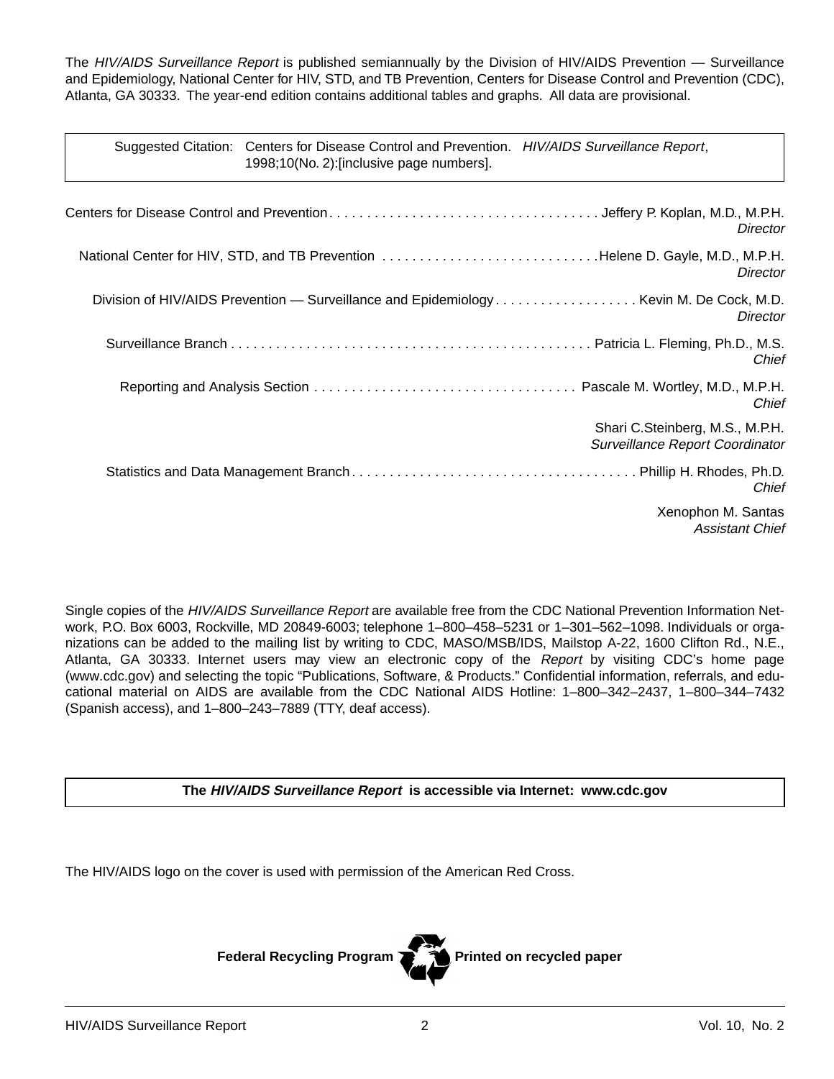The HIV/AIDS Surveillance Report is published semiannually by the Division of HIV/AIDS Prevention - Surveillance and Epidemiology, National Center for HIV, STD, and TB Prevention, Centers for Disease Control and Prevention (CDC), Atlanta, GA 30333. The year-end edition contains additional tables and graphs. All data are provisional.

| Suggested Citation: Centers for Disease Control and Prevention. HIV/AIDS Surveillance Report, |  |
|-----------------------------------------------------------------------------------------------|--|
| 1998;10(No. 2):[inclusive page numbers].                                                      |  |

|                                                                               | Director                                                           |
|-------------------------------------------------------------------------------|--------------------------------------------------------------------|
| National Center for HIV, STD, and TB Prevention Helene D. Gayle, M.D., M.P.H. | Director                                                           |
|                                                                               | Director                                                           |
|                                                                               | Chief                                                              |
|                                                                               | Chief                                                              |
|                                                                               | Shari C.Steinberg, M.S., M.P.H.<br>Surveillance Report Coordinator |
|                                                                               | Chief                                                              |
|                                                                               | Xenophon M. Santas<br><b>Assistant Chief</b>                       |

Single copies of the HIV/AIDS Surveillance Report are available free from the CDC National Prevention Information Network, P.O. Box 6003, Rockville, MD 20849-6003; telephone 1–800–458–5231 or 1–301–562–1098. Individuals or organizations can be added to the mailing list by writing to CDC, MASO/MSB/IDS, Mailstop A-22, 1600 Clifton Rd., N.E., Atlanta, GA 30333. Internet users may view an electronic copy of the Report by visiting CDC's home page (www.cdc.gov) and selecting the topic "Publications, Software, & Products." Confidential information, referrals, and educational material on AIDS are available from the CDC National AIDS Hotline: 1–800–342–2437, 1–800–344–7432 (Spanish access), and 1–800–243–7889 (TTY, deaf access).

**The HIV/AIDS Surveillance Report is accessible via Internet: www.cdc.gov** 

The HIV/AIDS logo on the cover is used with permission of the American Red Cross.

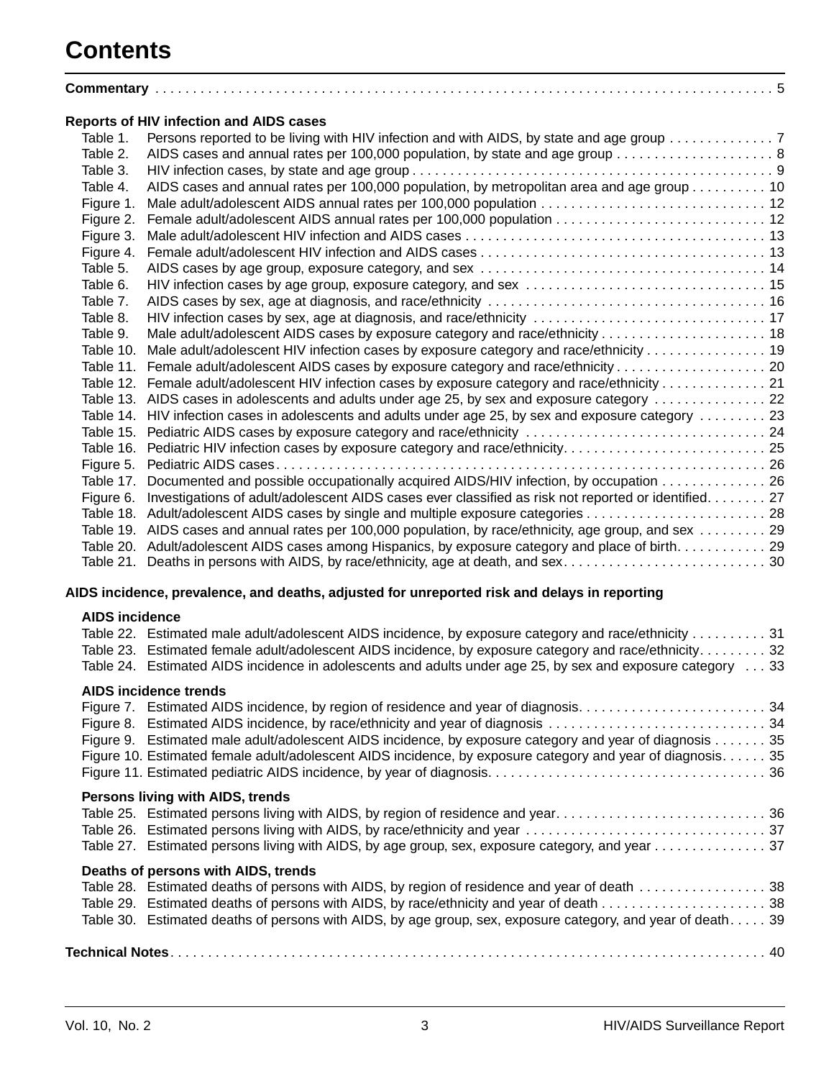# **Contents**

|           | <b>Reports of HIV infection and AIDS cases</b>                                                          |  |
|-----------|---------------------------------------------------------------------------------------------------------|--|
| Table 1.  | Persons reported to be living with HIV infection and with AIDS, by state and age group 7                |  |
| Table 2.  | AIDS cases and annual rates per 100,000 population, by state and age group 8                            |  |
| Table 3.  |                                                                                                         |  |
| Table 4.  | AIDS cases and annual rates per 100,000 population, by metropolitan area and age group 10               |  |
| Figure 1. |                                                                                                         |  |
| Figure 2. |                                                                                                         |  |
| Figure 3. |                                                                                                         |  |
| Figure 4. |                                                                                                         |  |
| Table 5.  |                                                                                                         |  |
| Table 6.  |                                                                                                         |  |
| Table 7.  |                                                                                                         |  |
| Table 8.  | HIV infection cases by sex, age at diagnosis, and race/ethnicity  17                                    |  |
| Table 9.  |                                                                                                         |  |
| Table 10. | Male adult/adolescent HIV infection cases by exposure category and race/ethnicity 19                    |  |
|           |                                                                                                         |  |
|           | Table 12. Female adult/adolescent HIV infection cases by exposure category and race/ethnicity  21       |  |
|           | Table 13. AIDS cases in adolescents and adults under age 25, by sex and exposure category  22           |  |
|           | Table 14. HIV infection cases in adolescents and adults under age 25, by sex and exposure category 23   |  |
|           |                                                                                                         |  |
|           | Table 16. Pediatric HIV infection cases by exposure category and race/ethnicity 25                      |  |
| Figure 5. |                                                                                                         |  |
|           | Table 17. Documented and possible occupationally acquired AIDS/HIV infection, by occupation 26          |  |
| Figure 6. | Investigations of adult/adolescent AIDS cases ever classified as risk not reported or identified. 27    |  |
|           |                                                                                                         |  |
|           | Table 19. AIDS cases and annual rates per 100,000 population, by race/ethnicity, age group, and sex  29 |  |
|           | Table 20. Adult/adolescent AIDS cases among Hispanics, by exposure category and place of birth 29       |  |
|           |                                                                                                         |  |

#### **AIDS incidence, prevalence, and deaths, adjusted for unreported risk and delays in reporting**

#### **AIDS incidence**

|  | Table 22. Estimated male adult/adolescent AIDS incidence, by exposure category and race/ethnicity  31<br>Table 23. Estimated female adult/adolescent AIDS incidence, by exposure category and race/ethnicity. 32<br>Table 24. Estimated AIDS incidence in adolescents and adults under age 25, by sex and exposure category 33               |  |
|--|----------------------------------------------------------------------------------------------------------------------------------------------------------------------------------------------------------------------------------------------------------------------------------------------------------------------------------------------|--|
|  | <b>AIDS incidence trends</b><br>Figure 7. Estimated AIDS incidence, by region of residence and year of diagnosis34<br>Figure 9. Estimated male adult/adolescent AIDS incidence, by exposure category and year of diagnosis 35<br>Figure 10. Estimated female adult/adolescent AIDS incidence, by exposure category and year of diagnosis. 35 |  |
|  | Persons living with AIDS, trends<br>Table 25. Estimated persons living with AIDS, by region of residence and year36<br>Table 27. Estimated persons living with AIDS, by age group, sex, exposure category, and year 37                                                                                                                       |  |
|  | Deaths of persons with AIDS, trends<br>Table 28. Estimated deaths of persons with AIDS, by region of residence and year of death 38<br>Table 30. Estimated deaths of persons with AIDS, by age group, sex, exposure category, and year of death 39                                                                                           |  |
|  |                                                                                                                                                                                                                                                                                                                                              |  |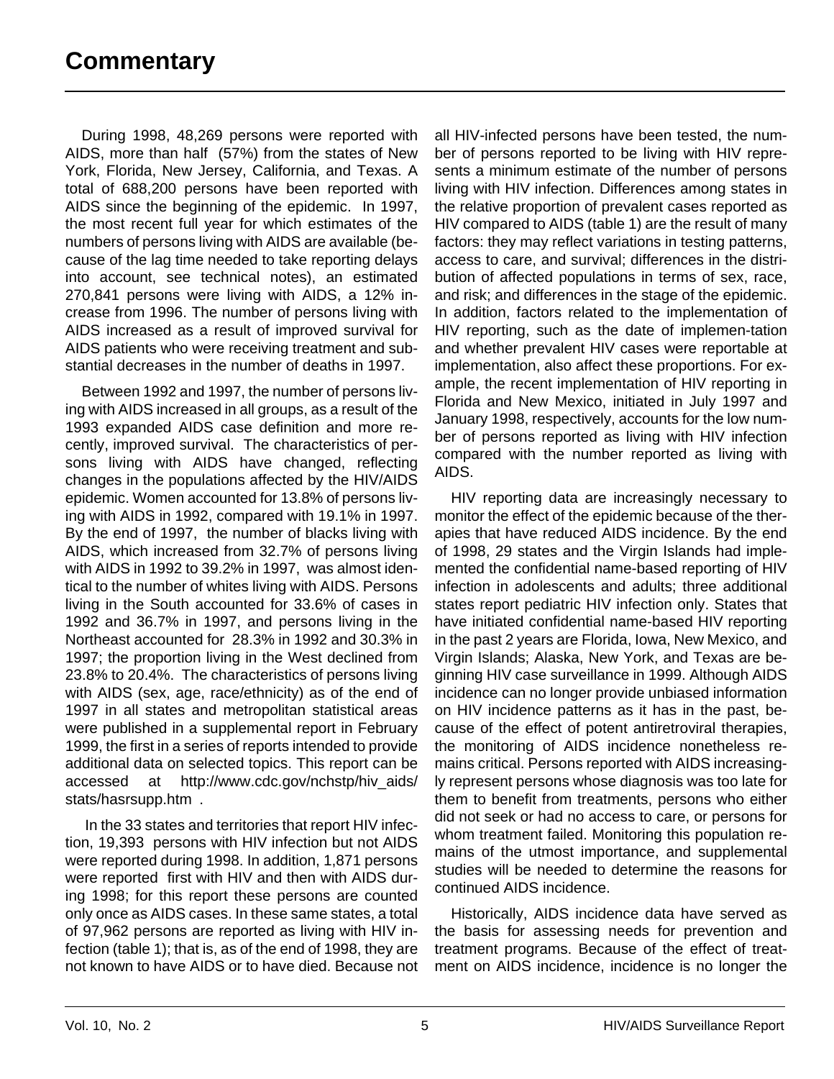During 1998, 48,269 persons were reported with AIDS, more than half (57%) from the states of New York, Florida, New Jersey, California, and Texas. A total of 688,200 persons have been reported with AIDS since the beginning of the epidemic. In 1997, the most recent full year for which estimates of the numbers of persons living with AIDS are available (because of the lag time needed to take reporting delays into account, see technical notes), an estimated 270,841 persons were living with AIDS, a 12% increase from 1996. The number of persons living with AIDS increased as a result of improved survival for AIDS patients who were receiving treatment and substantial decreases in the number of deaths in 1997.

Between 1992 and 1997, the number of persons living with AIDS increased in all groups, as a result of the 1993 expanded AIDS case definition and more recently, improved survival. The characteristics of persons living with AIDS have changed, reflecting changes in the populations affected by the HIV/AIDS epidemic. Women accounted for 13.8% of persons living with AIDS in 1992, compared with 19.1% in 1997. By the end of 1997, the number of blacks living with AIDS, which increased from 32.7% of persons living with AIDS in 1992 to 39.2% in 1997, was almost identical to the number of whites living with AIDS. Persons living in the South accounted for 33.6% of cases in 1992 and 36.7% in 1997, and persons living in the Northeast accounted for 28.3% in 1992 and 30.3% in 1997; the proportion living in the West declined from 23.8% to 20.4%. The characteristics of persons living with AIDS (sex, age, race/ethnicity) as of the end of 1997 in all states and metropolitan statistical areas were published in a supplemental report in February 1999, the first in a series of reports intended to provide additional data on selected topics. This report can be accessed at http://www.cdc.gov/nchstp/hiv\_aids/ stats/hasrsupp.htm .

 In the 33 states and territories that report HIV infection, 19,393 persons with HIV infection but not AIDS were reported during 1998. In addition, 1,871 persons were reported first with HIV and then with AIDS during 1998; for this report these persons are counted only once as AIDS cases. In these same states, a total of 97,962 persons are reported as living with HIV infection (table 1); that is, as of the end of 1998, they are not known to have AIDS or to have died. Because not all HIV-infected persons have been tested, the number of persons reported to be living with HIV represents a minimum estimate of the number of persons living with HIV infection. Differences among states in the relative proportion of prevalent cases reported as HIV compared to AIDS (table 1) are the result of many factors: they may reflect variations in testing patterns, access to care, and survival; differences in the distribution of affected populations in terms of sex, race, and risk; and differences in the stage of the epidemic. In addition, factors related to the implementation of HIV reporting, such as the date of implemen-tation and whether prevalent HIV cases were reportable at implementation, also affect these proportions. For example, the recent implementation of HIV reporting in Florida and New Mexico, initiated in July 1997 and January 1998, respectively, accounts for the low number of persons reported as living with HIV infection compared with the number reported as living with AIDS.

HIV reporting data are increasingly necessary to monitor the effect of the epidemic because of the therapies that have reduced AIDS incidence. By the end of 1998, 29 states and the Virgin Islands had implemented the confidential name-based reporting of HIV infection in adolescents and adults; three additional states report pediatric HIV infection only. States that have initiated confidential name-based HIV reporting in the past 2 years are Florida, Iowa, New Mexico, and Virgin Islands; Alaska, New York, and Texas are beginning HIV case surveillance in 1999. Although AIDS incidence can no longer provide unbiased information on HIV incidence patterns as it has in the past, because of the effect of potent antiretroviral therapies, the monitoring of AIDS incidence nonetheless remains critical. Persons reported with AIDS increasingly represent persons whose diagnosis was too late for them to benefit from treatments, persons who either did not seek or had no access to care, or persons for whom treatment failed. Monitoring this population remains of the utmost importance, and supplemental studies will be needed to determine the reasons for continued AIDS incidence.

Historically, AIDS incidence data have served as the basis for assessing needs for prevention and treatment programs. Because of the effect of treatment on AIDS incidence, incidence is no longer the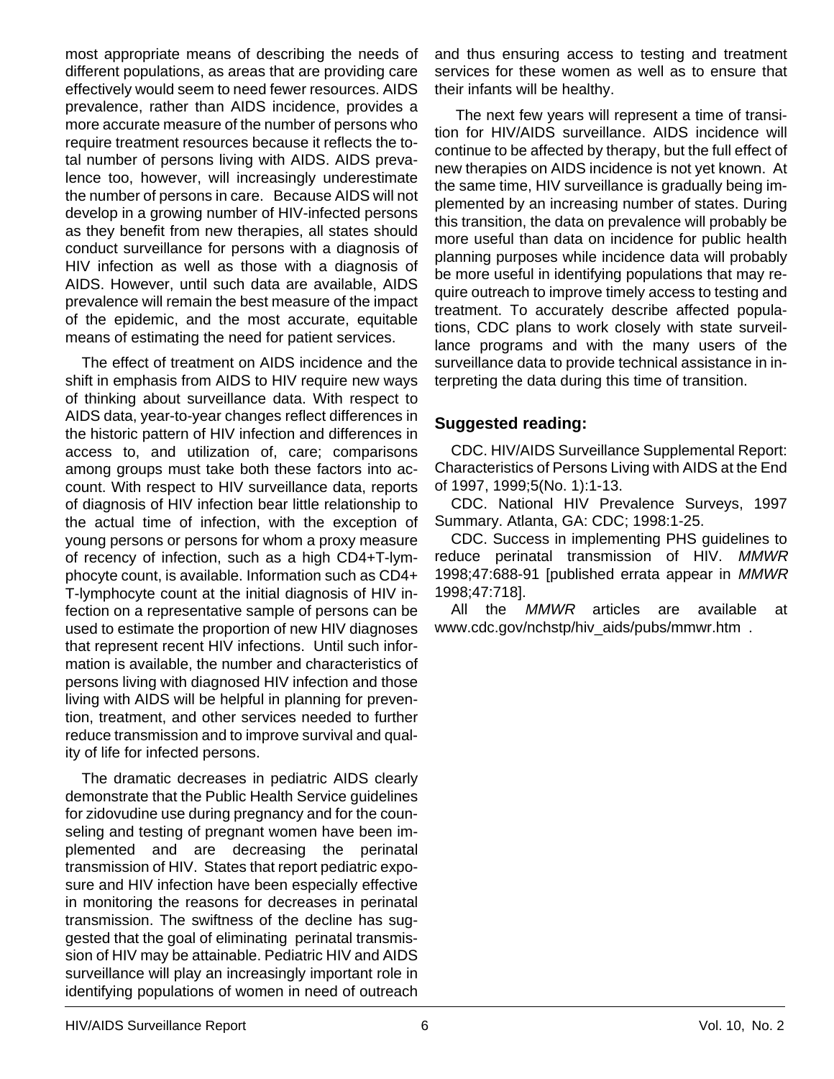most appropriate means of describing the needs of different populations, as areas that are providing care effectively would seem to need fewer resources. AIDS prevalence, rather than AIDS incidence, provides a more accurate measure of the number of persons who require treatment resources because it reflects the total number of persons living with AIDS. AIDS prevalence too, however, will increasingly underestimate the number of persons in care. Because AIDS will not develop in a growing number of HIV-infected persons as they benefit from new therapies, all states should conduct surveillance for persons with a diagnosis of HIV infection as well as those with a diagnosis of AIDS. However, until such data are available, AIDS prevalence will remain the best measure of the impact of the epidemic, and the most accurate, equitable means of estimating the need for patient services.

The effect of treatment on AIDS incidence and the shift in emphasis from AIDS to HIV require new ways of thinking about surveillance data. With respect to AIDS data, year-to-year changes reflect differences in the historic pattern of HIV infection and differences in access to, and utilization of, care; comparisons among groups must take both these factors into account. With respect to HIV surveillance data, reports of diagnosis of HIV infection bear little relationship to the actual time of infection, with the exception of young persons or persons for whom a proxy measure of recency of infection, such as a high CD4+T-lymphocyte count, is available. Information such as CD4+ T-lymphocyte count at the initial diagnosis of HIV infection on a representative sample of persons can be used to estimate the proportion of new HIV diagnoses that represent recent HIV infections. Until such information is available, the number and characteristics of persons living with diagnosed HIV infection and those living with AIDS will be helpful in planning for prevention, treatment, and other services needed to further reduce transmission and to improve survival and quality of life for infected persons.

The dramatic decreases in pediatric AIDS clearly demonstrate that the Public Health Service guidelines for zidovudine use during pregnancy and for the counseling and testing of pregnant women have been implemented and are decreasing the perinatal transmission of HIV. States that report pediatric exposure and HIV infection have been especially effective in monitoring the reasons for decreases in perinatal transmission. The swiftness of the decline has suggested that the goal of eliminating perinatal transmission of HIV may be attainable. Pediatric HIV and AIDS surveillance will play an increasingly important role in identifying populations of women in need of outreach and thus ensuring access to testing and treatment services for these women as well as to ensure that their infants will be healthy.

 The next few years will represent a time of transition for HIV/AIDS surveillance. AIDS incidence will continue to be affected by therapy, but the full effect of new therapies on AIDS incidence is not yet known. At the same time, HIV surveillance is gradually being implemented by an increasing number of states. During this transition, the data on prevalence will probably be more useful than data on incidence for public health planning purposes while incidence data will probably be more useful in identifying populations that may require outreach to improve timely access to testing and treatment. To accurately describe affected populations, CDC plans to work closely with state surveillance programs and with the many users of the surveillance data to provide technical assistance in interpreting the data during this time of transition.

#### **Suggested reading:**

CDC. HIV/AIDS Surveillance Supplemental Report: Characteristics of Persons Living with AIDS at the End of 1997, 1999;5(No. 1):1-13.

CDC. National HIV Prevalence Surveys, 1997 Summary. Atlanta, GA: CDC; 1998:1-25.

CDC. Success in implementing PHS guidelines to reduce perinatal transmission of HIV. MMWR 1998;47:688-91 [published errata appear in MMWR 1998;47:718].

All the *MMWR* articles are available at www.cdc.gov/nchstp/hiv\_aids/pubs/mmwr.htm .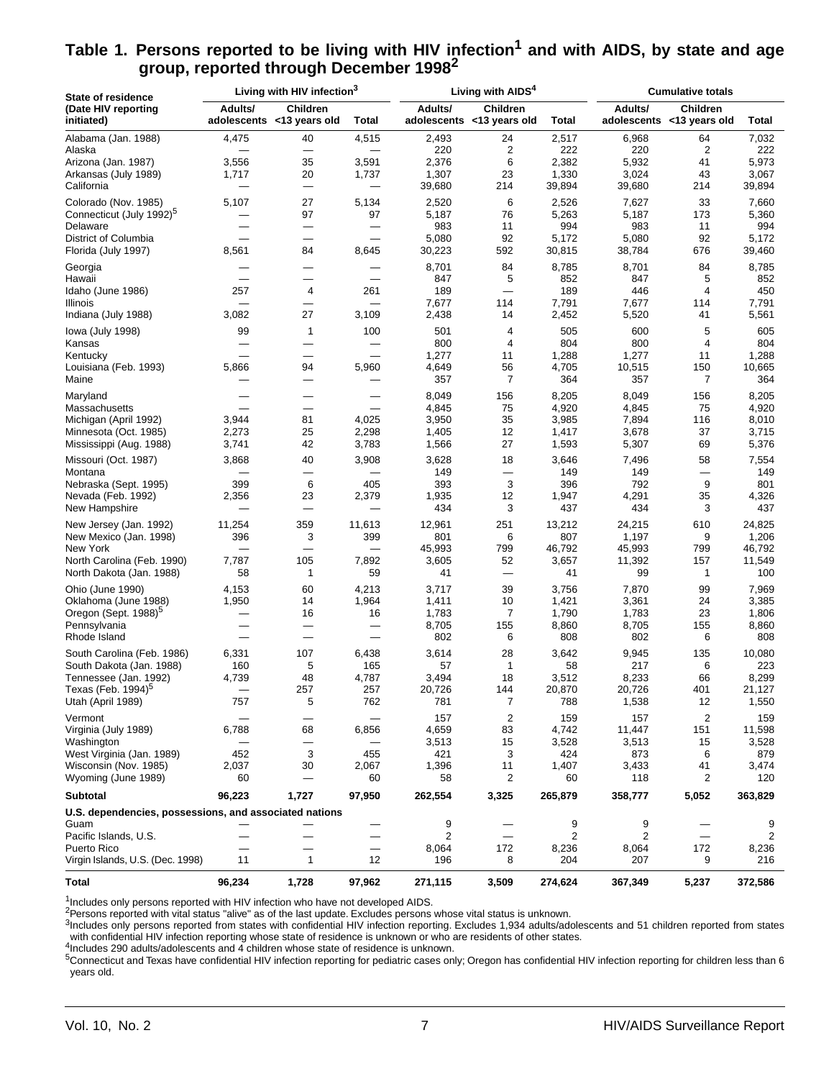| State of residence                                     |             | Living with HIV infection <sup>3</sup>       |              |             | Living with AIDS <sup>4</sup>         |                              | <b>Cumulative totals</b>     |                                       |              |  |
|--------------------------------------------------------|-------------|----------------------------------------------|--------------|-------------|---------------------------------------|------------------------------|------------------------------|---------------------------------------|--------------|--|
| (Date HIV reporting<br>initiated)                      | Adults/     | <b>Children</b><br>adolescents <13 years old | <b>Total</b> | Adults/     | Children<br>adolescents <13 years old | <b>Total</b>                 | Adults/                      | Children<br>adolescents <13 years old | <b>Total</b> |  |
| Alabama (Jan. 1988)                                    | 4,475       | 40                                           | 4,515        | 2,493       | 24                                    | 2,517                        | 6,968                        | 64                                    | 7,032        |  |
| Alaska                                                 |             |                                              |              | 220         | $\overline{\mathbf{c}}$               | 222                          | 220                          | 2                                     | 222          |  |
| Arizona (Jan. 1987)                                    | 3,556       | 35                                           | 3,591        | 2,376       | 6                                     | 2,382                        | 5,932                        | 41                                    | 5,973        |  |
| Arkansas (July 1989)                                   | 1,717       | 20                                           | 1,737        | 1,307       | 23                                    | 1,330                        | 3,024                        | 43                                    | 3,067        |  |
| California                                             |             | —                                            | —            | 39,680      | 214                                   | 39,894                       | 39,680                       | 214                                   | 39,894       |  |
| Colorado (Nov. 1985)                                   | 5,107       | 27                                           | 5,134        | 2,520       | 6                                     | 2,526                        | 7,627                        | 33                                    | 7,660        |  |
| Connecticut (July 1992) <sup>5</sup>                   |             | 97                                           | 97           | 5,187       | 76                                    | 5,263                        | 5,187                        | 173                                   | 5,360        |  |
| Delaware                                               |             | $\overline{\phantom{0}}$                     | —            | 983         | 11                                    | 994                          | 983                          | 11                                    | 994          |  |
| District of Columbia                                   |             | $\overline{\phantom{0}}$                     |              | 5,080       | 92                                    | 5,172                        | 5,080                        | 92                                    | 5,172        |  |
| Florida (July 1997)                                    | 8,561       | 84                                           | 8,645        | 30,223      | 592                                   | 30,815                       | 38,784                       | 676                                   | 39,460       |  |
| Georgia                                                |             |                                              |              | 8,701       | 84                                    | 8,785                        | 8,701                        | 84                                    | 8,785        |  |
| Hawaii                                                 |             |                                              |              | 847         | 5                                     | 852                          | 847                          | 5                                     | 852          |  |
| Idaho (June 1986)                                      | 257         | 4                                            | 261          | 189         | $\overline{\phantom{0}}$              | 189                          | 446                          | 4                                     | 450          |  |
| Illinois                                               |             | $\overline{\phantom{0}}$                     |              | 7,677       | 114                                   | 7,791                        | 7,677                        | 114                                   | 7,791        |  |
| Indiana (July 1988)                                    | 3,082       | 27                                           | 3,109        | 2,438       | 14                                    | 2,452                        | 5,520                        | 41                                    | 5,561        |  |
| lowa (July 1998)                                       | 99          | $\mathbf{1}$                                 | 100          | 501         | 4                                     | 505                          | 600                          | 5                                     | 605          |  |
| Kansas                                                 |             | $\overline{\phantom{0}}$                     | —            | 800         | 4                                     | 804                          | 800                          | 4                                     | 804          |  |
| Kentucky                                               |             | $\overline{\phantom{0}}$                     |              | 1,277       | 11                                    | 1,288                        | 1,277                        | 11                                    | 1,288        |  |
| Louisiana (Feb. 1993)                                  | 5,866       | 94                                           | 5,960        | 4,649       | 56                                    | 4,705                        | 10,515                       | 150                                   | 10,665       |  |
| Maine                                                  |             | —                                            |              | 357         | 7                                     | 364                          | 357                          | 7                                     | 364          |  |
| Maryland                                               |             | $\overline{\phantom{0}}$                     |              | 8,049       | 156                                   | 8,205                        | 8,049                        | 156                                   | 8,205        |  |
| Massachusetts                                          |             |                                              |              | 4,845       | 75                                    | 4,920                        | 4,845                        | 75                                    | 4,920        |  |
| Michigan (April 1992)                                  | 3,944       | 81                                           | 4,025        | 3,950       | 35                                    | 3,985                        | 7,894                        | 116                                   | 8,010        |  |
| Minnesota (Oct. 1985)                                  | 2,273       | 25                                           | 2,298        | 1,405       | 12                                    | 1,417                        | 3,678                        | 37                                    | 3,715        |  |
| Mississippi (Aug. 1988)                                | 3,741       | 42                                           | 3,783        | 1,566       | 27                                    | 1,593                        | 5,307                        | 69                                    | 5,376        |  |
| Missouri (Oct. 1987)                                   | 3,868       | 40                                           | 3,908        | 3,628       | 18                                    | 3,646                        | 7,496                        | 58                                    | 7,554        |  |
| Montana                                                |             |                                              |              | 149         | $\overline{\phantom{0}}$              | 149                          | 149                          |                                       | 149          |  |
| Nebraska (Sept. 1995)                                  | 399         | 6                                            | 405          | 393         | 3                                     | 396                          | 792                          | 9                                     | 801          |  |
| Nevada (Feb. 1992)                                     | 2,356       | 23                                           | 2,379        | 1,935       | 12                                    | 1,947                        | 4,291                        | 35                                    | 4,326        |  |
| New Hampshire                                          |             | $\overbrace{\phantom{12322111}}$             |              | 434         | 3                                     | 437                          | 434                          | 3                                     | 437          |  |
| New Jersey (Jan. 1992)                                 | 11,254      | 359                                          | 11,613       | 12,961      | 251                                   | 13,212                       | 24,215                       | 610                                   | 24,825       |  |
| New Mexico (Jan. 1998)                                 | 396         | 3                                            | 399          | 801         | 6                                     | 807                          | 1,197                        | 9                                     | 1,206        |  |
| New York                                               |             | $\overline{\phantom{0}}$                     |              | 45,993      | 799                                   | 46,792                       | 45,993                       | 799                                   | 46,792       |  |
| North Carolina (Feb. 1990)                             | 7,787       | 105                                          | 7,892        | 3,605       | 52                                    | 3,657                        | 11,392                       | 157                                   | 11,549       |  |
| North Dakota (Jan. 1988)                               | 58          | 1                                            | 59           | 41          |                                       | 41                           | 99                           | $\mathbf{1}$                          | 100          |  |
| Ohio (June 1990)                                       | 4,153       | 60                                           | 4,213        | 3,717       | 39                                    | 3,756                        | 7,870                        | 99                                    | 7,969        |  |
| Oklahoma (June 1988)                                   | 1,950       | 14                                           | 1,964        | 1,411       | 10                                    | 1,421                        | 3,361                        | 24                                    | 3,385        |  |
| Oregon (Sept. 1988) <sup>5</sup>                       |             | 16                                           | 16           | 1,783       | 7                                     | 1,790                        | 1,783                        | 23                                    | 1,806        |  |
| Pennsylvania                                           |             | —                                            |              | 8,705       | 155                                   | 8,860                        | 8,705                        | 155                                   | 8,860        |  |
| Rhode Island                                           |             | $\overline{\phantom{0}}$                     |              | 802         | 6                                     | 808                          | 802                          | 6                                     | 808          |  |
| South Carolina (Feb. 1986)                             | 6,331       | 107                                          | 6,438        | 3,614       | 28                                    | 3,642                        | 9,945                        | 135                                   | 10,080       |  |
| South Dakota (Jan. 1988)                               | 160         | 5                                            | 165          | 57          | 1                                     | 58                           | 217                          | 6                                     | 223          |  |
| Tennessee (Jan. 1992)                                  | 4,739       | 48                                           | 4,787        | 3,494       | 18                                    | 3,512                        | 8,233                        | 66                                    | 8,299        |  |
| Texas (Feb. $1994$ ) <sup>5</sup>                      |             | 257                                          | 257          | 20.726      | 144                                   | 20,870                       | 20.726                       | 401                                   | 21,127       |  |
| Utah (April 1989)                                      | 757         | 5                                            | 762          | 781         | 7                                     | 788                          | 1,538                        | 12                                    | 1,550        |  |
| Vermont                                                |             |                                              |              | 157         | $\overline{c}$                        | 159                          | 157                          | 2                                     | 159          |  |
| Virginia (July 1989)                                   | 6,788       | 68                                           | 6,856        | 4,659       | 83                                    | 4,742                        | 11,447                       | 151                                   | 11,598       |  |
| Washington                                             |             |                                              |              | 3,513       | 15                                    | 3,528                        | 3,513                        | 15                                    | 3,528        |  |
| West Virginia (Jan. 1989)                              | 452         | 3                                            | 455          | 421         | 3                                     | 424                          | 873                          | 6                                     | 879          |  |
| Wisconsin (Nov. 1985)<br>Wyoming (June 1989)           | 2,037<br>60 | 30                                           | 2,067<br>60  | 1,396<br>58 | 11<br>2                               | 1,407<br>60                  | 3,433<br>118                 | 41<br>2                               | 3,474<br>120 |  |
|                                                        |             |                                              |              |             |                                       |                              |                              |                                       |              |  |
| <b>Subtotal</b>                                        | 96,223      | 1,727                                        | 97,950       | 262,554     | 3,325                                 | 265,879                      | 358,777                      | 5,052                                 | 363,829      |  |
| U.S. dependencies, possessions, and associated nations |             |                                              |              |             |                                       |                              |                              |                                       |              |  |
| Guam                                                   |             |                                              |              | 9           |                                       | 9<br>$\overline{\mathbf{c}}$ | 9<br>$\overline{\mathbf{c}}$ |                                       | 9            |  |
| Pacific Islands, U.S.<br>Puerto Rico                   |             |                                              |              | 2<br>8,064  | 172                                   | 8,236                        | 8,064                        | 172                                   | 2<br>8,236   |  |
| Virgin Islands, U.S. (Dec. 1998)                       | 11          | 1                                            | 12           | 196         | 8                                     | 204                          | 207                          | 9                                     | 216          |  |
| Total                                                  | 96,234      | 1,728                                        | 97,962       | 271,115     | 3,509                                 | 274,624                      | 367,349                      | 5,237                                 | 372,586      |  |

#### Table 1. Persons reported to be living with HIV infection<sup>1</sup> and with AIDS, by state and age **group, reported through December 19982**

<sup>1</sup>Includes only persons reported with HIV infection who have not developed AIDS.

<sup>2</sup>Persons reported with vital status "alive" as of the last update. Excludes persons whose vital status is unknown.

3Includes only persons reported from states with confidential HIV infection reporting. Excludes 1,934 adults/adolescents and 51 children reported from states with confidential HIV infection reporting whose state of residence is unknown or who are residents of other states.

4Includes 290 adults/adolescents and 4 children whose state of residence is unknown.

5Connecticut and Texas have confidential HIV infection reporting for pediatric cases only; Oregon has confidential HIV infection reporting for children less than 6 years old.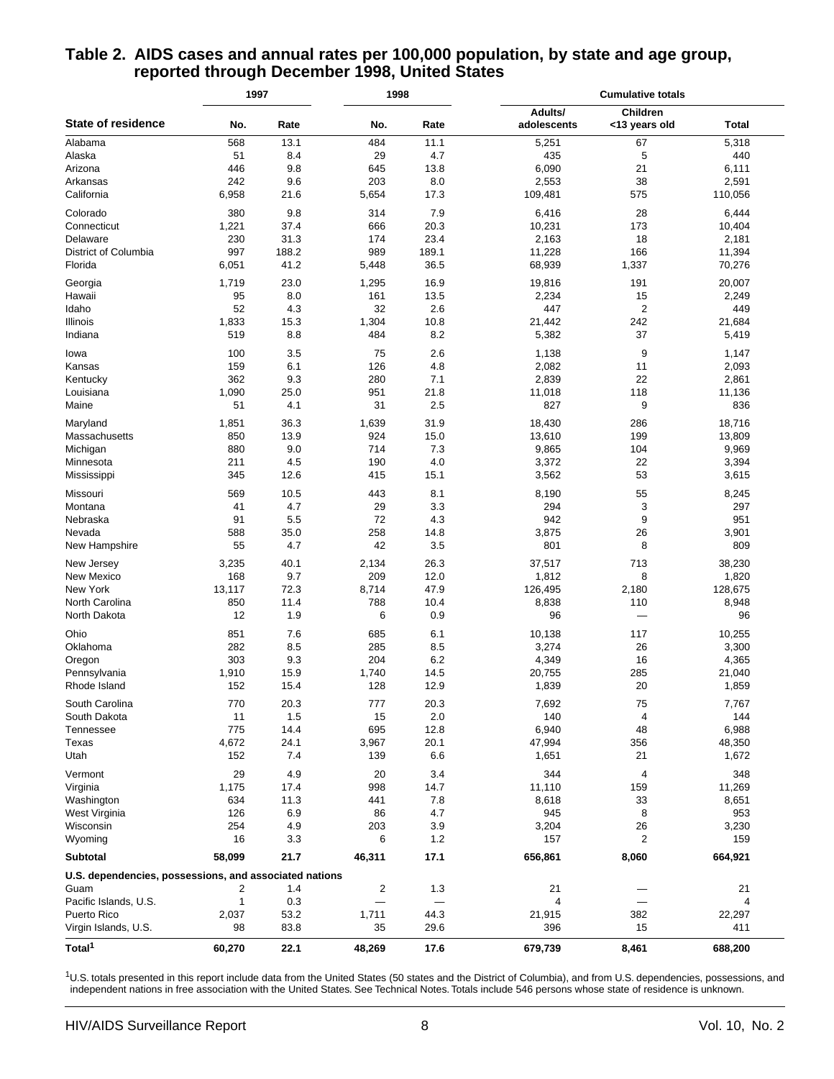|                                                        | 1997         |              | 1998         |              | <b>Cumulative totals</b> |                           |                 |  |  |
|--------------------------------------------------------|--------------|--------------|--------------|--------------|--------------------------|---------------------------|-----------------|--|--|
| <b>State of residence</b>                              | No.          | Rate         | No.          | Rate         | Adults/<br>adolescents   | Children<br><13 years old | Total           |  |  |
| Alabama                                                | 568          | 13.1         | 484          | 11.1         | 5,251                    | 67                        | 5,318           |  |  |
| Alaska                                                 | 51           | 8.4          | 29           | 4.7          | 435                      | 5                         | 440             |  |  |
| Arizona                                                | 446          | 9.8          | 645          | 13.8         | 6,090                    | 21                        | 6,111           |  |  |
| Arkansas                                               | 242          | 9.6          | 203          | 8.0          | 2,553                    | 38                        | 2,591           |  |  |
| California                                             | 6,958        | 21.6         | 5,654        | 17.3         | 109,481                  | 575                       | 110,056         |  |  |
| Colorado                                               | 380          | 9.8          | 314          | 7.9          | 6,416                    | 28                        | 6,444           |  |  |
| Connecticut                                            | 1,221        | 37.4         | 666          | 20.3         | 10,231                   | 173                       | 10,404          |  |  |
| Delaware                                               | 230          | 31.3         | 174          | 23.4         | 2,163                    | 18                        | 2,181           |  |  |
| District of Columbia                                   | 997          | 188.2        | 989          | 189.1        | 11,228                   | 166                       | 11,394          |  |  |
| Florida                                                | 6,051        | 41.2         | 5,448        | 36.5         | 68,939                   | 1,337                     | 70,276          |  |  |
| Georgia                                                | 1,719        | 23.0         | 1,295        | 16.9         | 19,816                   | 191                       | 20,007          |  |  |
| Hawaii                                                 | 95           | 8.0          | 161          | 13.5         | 2,234                    | 15                        | 2,249           |  |  |
| Idaho                                                  | 52           | 4.3          | 32           | 2.6          | 447                      | $\overline{2}$            | 449             |  |  |
| Illinois                                               | 1,833        | 15.3         | 1,304        | 10.8         | 21,442                   | 242                       | 21,684          |  |  |
| Indiana                                                | 519          | 8.8          | 484          | 8.2          | 5,382                    | 37                        | 5,419           |  |  |
| lowa                                                   | 100          | 3.5          | 75           | 2.6          | 1,138                    | 9                         | 1,147           |  |  |
| Kansas                                                 | 159          | 6.1          | 126          | 4.8          | 2,082                    | 11                        | 2,093           |  |  |
| Kentucky                                               | 362          | 9.3          | 280          | 7.1          | 2,839                    | 22                        | 2,861           |  |  |
| Louisiana                                              | 1,090        | 25.0         | 951          | 21.8         | 11,018                   | 118                       | 11,136          |  |  |
| Maine                                                  | 51           | 4.1          | 31           | 2.5          | 827                      | 9                         | 836             |  |  |
|                                                        |              |              |              |              |                          |                           |                 |  |  |
| Maryland                                               | 1,851        | 36.3         | 1,639        | 31.9         | 18,430                   | 286                       | 18,716          |  |  |
| Massachusetts                                          | 850          | 13.9         | 924          | 15.0         | 13,610                   | 199                       | 13,809          |  |  |
| Michigan                                               | 880          | 9.0          | 714          | 7.3          | 9,865                    | 104                       | 9,969           |  |  |
| Minnesota                                              | 211          | 4.5          | 190          | 4.0          | 3,372                    | 22                        | 3,394           |  |  |
| Mississippi                                            | 345          | 12.6         | 415          | 15.1         | 3,562                    | 53                        | 3,615           |  |  |
| Missouri                                               | 569          | 10.5         | 443          | 8.1          | 8,190                    | 55                        | 8,245           |  |  |
| Montana                                                | 41           | 4.7          | 29           | 3.3          | 294                      | 3                         | 297             |  |  |
| Nebraska                                               | 91           | 5.5          | 72           | 4.3          | 942                      | 9                         | 951             |  |  |
| Nevada                                                 | 588          | 35.0         | 258          | 14.8         | 3,875                    | 26                        | 3,901           |  |  |
| New Hampshire                                          | 55           | 4.7          | 42           | 3.5          | 801                      | 8                         | 809             |  |  |
| New Jersey                                             | 3,235        | 40.1         | 2,134        | 26.3         | 37,517                   | 713                       | 38,230          |  |  |
| New Mexico                                             | 168          | 9.7          | 209          | 12.0         | 1,812                    | 8                         | 1,820           |  |  |
| New York                                               | 13,117       | 72.3         | 8,714        | 47.9         | 126,495                  | 2,180                     | 128,675         |  |  |
| North Carolina                                         | 850          | 11.4         | 788          | 10.4         | 8,838                    | 110                       | 8,948           |  |  |
| North Dakota                                           | 12           | 1.9          | 6            | 0.9          | 96                       |                           | 96              |  |  |
| Ohio                                                   | 851          | 7.6          | 685          | 6.1          | 10,138                   | 117                       | 10,255          |  |  |
| Oklahoma                                               | 282          | 8.5          | 285          | 8.5          | 3,274                    | 26                        | 3,300           |  |  |
| Oregon                                                 | 303          | 9.3          | 204          | 6.2          | 4,349                    | 16                        | 4,365           |  |  |
| Pennsylvania                                           | 1,910        | 15.9         | 1,740        | 14.5         | 20,755                   | 285                       | 21,040          |  |  |
| Rhode Island                                           | 152          | 15.4         | 128          | 12.9         | 1,839                    | 20                        | 1,859           |  |  |
| South Carolina                                         |              | 20.3         |              |              | 7,692                    |                           |                 |  |  |
|                                                        | 770          |              | 777          | 20.3<br>2.0  |                          | 75                        | 7,767           |  |  |
| South Dakota<br>Tennessee                              | 11           | 1.5          | 15           |              | 140                      | 4                         | 144             |  |  |
| Texas                                                  | 775<br>4,672 | 14.4<br>24.1 | 695<br>3,967 | 12.8<br>20.1 | 6,940<br>47,994          | 48<br>356                 | 6,988<br>48,350 |  |  |
| Utah                                                   | 152          | 7.4          | 139          | 6.6          | 1,651                    | 21                        | 1,672           |  |  |
|                                                        |              |              |              |              |                          |                           |                 |  |  |
| Vermont                                                | 29           | 4.9          | 20           | 3.4          | 344                      | 4                         | 348             |  |  |
| Virginia                                               | 1,175        | 17.4         | 998          | 14.7         | 11,110                   | 159                       | 11,269          |  |  |
| Washington                                             | 634          | 11.3         | 441          | 7.8          | 8,618                    | 33                        | 8,651           |  |  |
| West Virginia                                          | 126          | 6.9          | 86           | 4.7          | 945                      | 8                         | 953             |  |  |
| Wisconsin                                              | 254          | 4.9          | 203          | 3.9          | 3,204                    | 26                        | 3,230           |  |  |
| Wyoming                                                | 16           | 3.3          | 6            | 1.2          | 157                      | 2                         | 159             |  |  |
| Subtotal                                               | 58,099       | 21.7         | 46,311       | 17.1         | 656,861                  | 8,060                     | 664,921         |  |  |
| U.S. dependencies, possessions, and associated nations |              |              |              |              |                          |                           |                 |  |  |
| Guam                                                   | 2            | 1.4          | 2            | 1.3          | 21                       |                           | 21              |  |  |
| Pacific Islands, U.S.                                  | 1            | 0.3          |              |              | 4                        |                           | $\overline{4}$  |  |  |
| Puerto Rico                                            | 2,037        | 53.2         | 1,711        | 44.3         | 21,915                   | 382                       | 22,297          |  |  |
| Virgin Islands, U.S.                                   | 98           | 83.8         | 35           | 29.6         | 396                      | 15                        | 411             |  |  |
| Total <sup>1</sup>                                     | 60,270       | 22.1         | 48,269       | 17.6         | 679,739                  | 8,461                     | 688,200         |  |  |

#### **Table 2. AIDS cases and annual rates per 100,000 population, by state and age group, reported through December 1998, United States**

<sup>1</sup>U.S. totals presented in this report include data from the United States (50 states and the District of Columbia), and from U.S. dependencies, possessions, and independent nations in free association with the United States. See Technical Notes. Totals include 546 persons whose state of residence is unknown.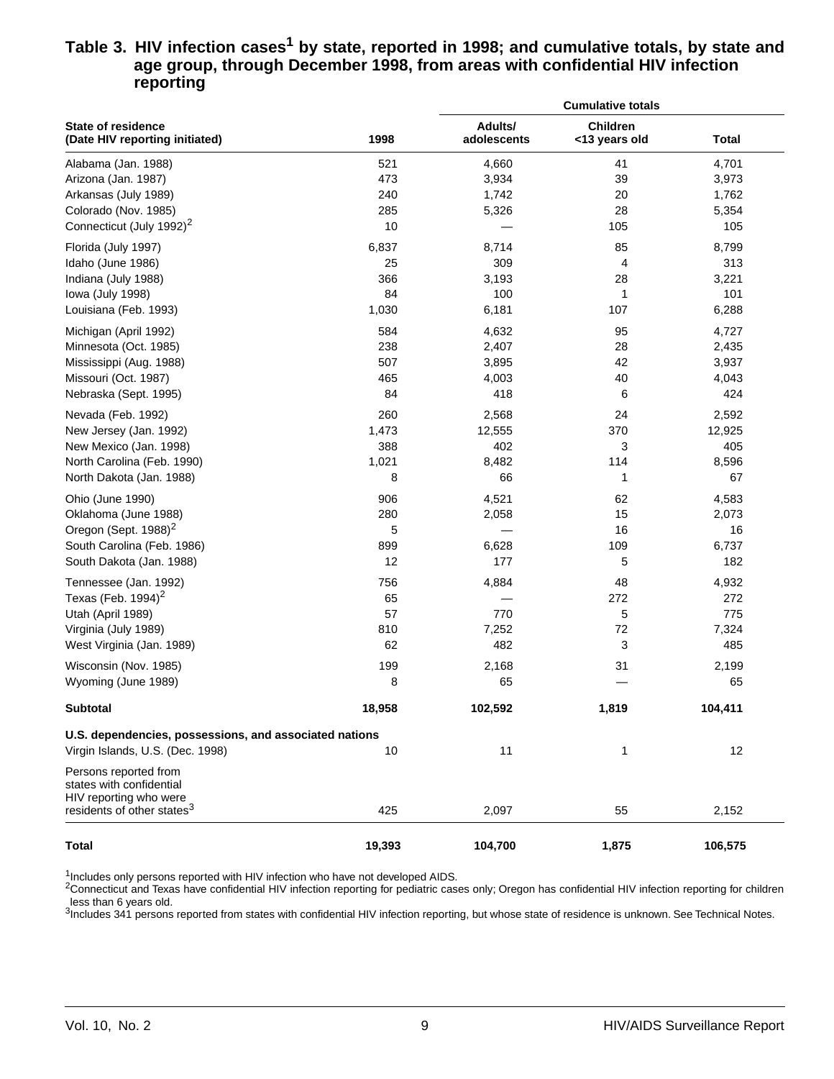#### Table 3. HIV infection cases<sup>1</sup> by state, reported in 1998; and cumulative totals, by state and **age group, through December 1998, from areas with confidential HIV infection reporting**

|                                                                             |        | <b>Cumulative totals</b> |                           |              |  |  |  |  |
|-----------------------------------------------------------------------------|--------|--------------------------|---------------------------|--------------|--|--|--|--|
| <b>State of residence</b><br>(Date HIV reporting initiated)                 | 1998   | Adults/<br>adolescents   | Children<br><13 years old | <b>Total</b> |  |  |  |  |
| Alabama (Jan. 1988)                                                         | 521    | 4,660                    | 41                        | 4,701        |  |  |  |  |
| Arizona (Jan. 1987)                                                         | 473    | 3,934                    | 39                        | 3,973        |  |  |  |  |
| Arkansas (July 1989)                                                        | 240    | 1,742                    | 20                        | 1,762        |  |  |  |  |
| Colorado (Nov. 1985)                                                        | 285    | 5,326                    | 28                        | 5,354        |  |  |  |  |
| Connecticut (July 1992) <sup>2</sup>                                        | 10     |                          | 105                       | 105          |  |  |  |  |
| Florida (July 1997)                                                         | 6,837  | 8,714                    | 85                        | 8,799        |  |  |  |  |
| Idaho (June 1986)                                                           | 25     | 309                      | 4                         | 313          |  |  |  |  |
| Indiana (July 1988)                                                         | 366    | 3,193                    | 28                        | 3,221        |  |  |  |  |
| lowa (July 1998)                                                            | 84     | 100                      | 1                         | 101          |  |  |  |  |
| Louisiana (Feb. 1993)                                                       | 1,030  | 6,181                    | 107                       | 6,288        |  |  |  |  |
| Michigan (April 1992)                                                       | 584    | 4,632                    | 95                        | 4,727        |  |  |  |  |
| Minnesota (Oct. 1985)                                                       | 238    | 2,407                    | 28                        | 2,435        |  |  |  |  |
| Mississippi (Aug. 1988)                                                     | 507    | 3,895                    | 42                        | 3,937        |  |  |  |  |
| Missouri (Oct. 1987)                                                        | 465    | 4,003                    | 40                        | 4,043        |  |  |  |  |
| Nebraska (Sept. 1995)                                                       | 84     | 418                      | 6                         | 424          |  |  |  |  |
| Nevada (Feb. 1992)                                                          | 260    | 2,568                    | 24                        | 2,592        |  |  |  |  |
| New Jersey (Jan. 1992)                                                      | 1,473  | 12,555                   | 370                       | 12,925       |  |  |  |  |
| New Mexico (Jan. 1998)                                                      | 388    | 402                      | 3                         | 405          |  |  |  |  |
| North Carolina (Feb. 1990)                                                  | 1,021  | 8,482                    | 114                       | 8,596        |  |  |  |  |
| North Dakota (Jan. 1988)                                                    | 8      | 66                       | 1                         | 67           |  |  |  |  |
| Ohio (June 1990)                                                            | 906    | 4,521                    | 62                        | 4,583        |  |  |  |  |
| Oklahoma (June 1988)                                                        | 280    | 2,058                    | 15                        | 2,073        |  |  |  |  |
| Oregon (Sept. 1988) <sup>2</sup>                                            | 5      |                          | 16                        | 16           |  |  |  |  |
| South Carolina (Feb. 1986)                                                  | 899    | 6,628                    | 109                       | 6,737        |  |  |  |  |
| South Dakota (Jan. 1988)                                                    | 12     | 177                      | 5                         | 182          |  |  |  |  |
| Tennessee (Jan. 1992)                                                       | 756    | 4,884                    | 48                        | 4,932        |  |  |  |  |
| Texas (Feb. 1994) <sup>2</sup>                                              | 65     |                          | 272                       | 272          |  |  |  |  |
| Utah (April 1989)                                                           | 57     | 770                      | 5                         | 775          |  |  |  |  |
| Virginia (July 1989)                                                        | 810    | 7,252                    | 72                        | 7,324        |  |  |  |  |
| West Virginia (Jan. 1989)                                                   | 62     | 482                      | 3                         | 485          |  |  |  |  |
| Wisconsin (Nov. 1985)                                                       | 199    | 2,168                    | 31                        | 2,199        |  |  |  |  |
| Wyoming (June 1989)                                                         | 8      | 65                       |                           | 65           |  |  |  |  |
| Subtotal                                                                    | 18,958 | 102,592                  | 1,819                     | 104,411      |  |  |  |  |
| U.S. dependencies, possessions, and associated nations                      |        |                          |                           |              |  |  |  |  |
| Virgin Islands, U.S. (Dec. 1998)                                            | 10     | 11                       | 1                         | 12           |  |  |  |  |
| Persons reported from<br>states with confidential<br>HIV reporting who were |        |                          |                           |              |  |  |  |  |
| residents of other states <sup>3</sup>                                      | 425    | 2,097                    | 55                        | 2,152        |  |  |  |  |
| <b>Total</b>                                                                | 19,393 | 104,700                  | 1,875                     | 106,575      |  |  |  |  |

<sup>1</sup>Includes only persons reported with HIV infection who have not developed AIDS.

2Connecticut and Texas have confidential HIV infection reporting for pediatric cases only; Oregon has confidential HIV infection reporting for children less than 6 years old.

<sup>3</sup>Includes 341 persons reported from states with confidential HIV infection reporting, but whose state of residence is unknown. See Technical Notes.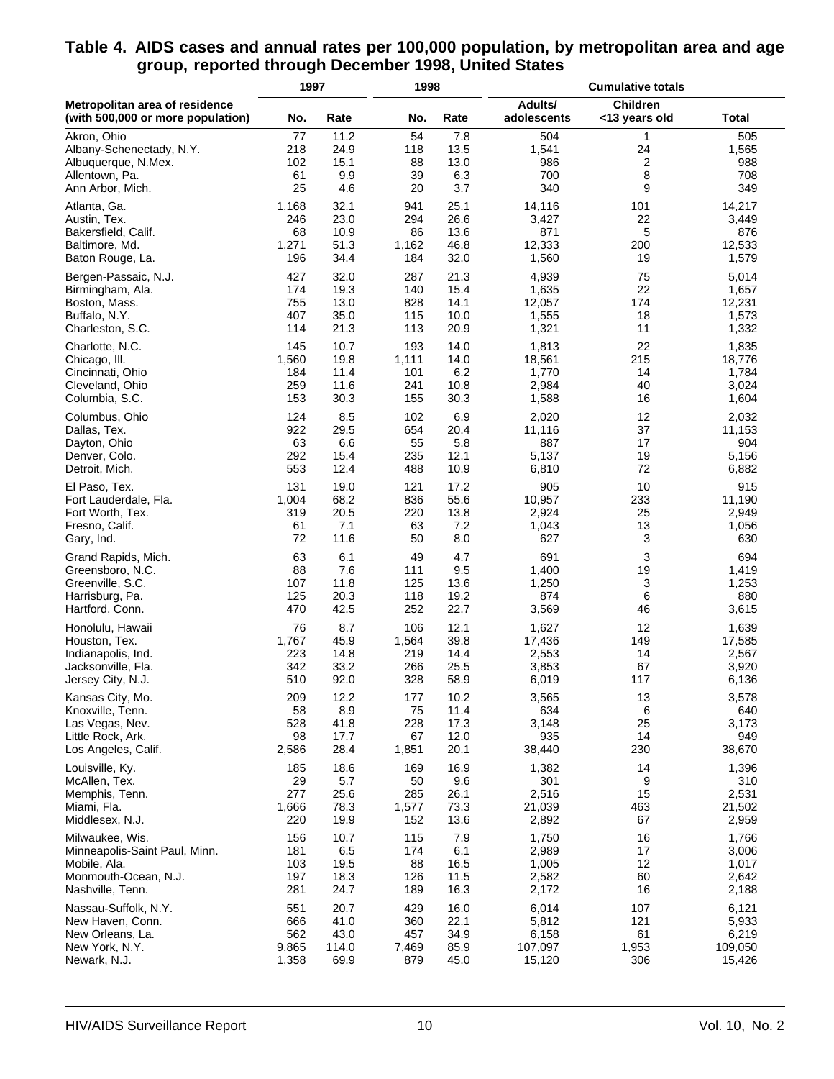#### **Table 4. AIDS cases and annual rates per 100,000 population, by metropolitan area and age group, reported through December 1998, United States**

|                                                                     | 1997  |       | 1998  |      | <b>Cumulative totals</b> |                           |              |  |
|---------------------------------------------------------------------|-------|-------|-------|------|--------------------------|---------------------------|--------------|--|
| Metropolitan area of residence<br>(with 500,000 or more population) | No.   | Rate  | No.   | Rate | Adults/<br>adolescents   | Children<br><13 years old | <b>Total</b> |  |
| Akron, Ohio                                                         | 77    | 11.2  | 54    | 7.8  | 504                      | 1                         | 505          |  |
| Albany-Schenectady, N.Y.                                            | 218   | 24.9  | 118   | 13.5 | 1,541                    | 24                        | 1,565        |  |
| Albuquerque, N.Mex.                                                 | 102   | 15.1  | 88    | 13.0 | 986                      | 2                         | 988          |  |
| Allentown, Pa.                                                      | 61    | 9.9   | 39    | 6.3  | 700                      | 8                         | 708          |  |
| Ann Arbor, Mich.                                                    | 25    | 4.6   | 20    | 3.7  | 340                      | 9                         | 349          |  |
| Atlanta, Ga.                                                        | 1,168 | 32.1  | 941   | 25.1 | 14,116                   | 101                       | 14,217       |  |
| Austin, Tex.                                                        | 246   | 23.0  | 294   | 26.6 | 3,427                    | 22                        | 3,449        |  |
| Bakersfield, Calif.                                                 | 68    | 10.9  | 86    | 13.6 | 871                      | 5                         | 876          |  |
| Baltimore, Md.                                                      | 1,271 | 51.3  | 1,162 | 46.8 | 12,333                   | 200                       | 12,533       |  |
| Baton Rouge, La.                                                    | 196   | 34.4  | 184   | 32.0 | 1,560                    | 19                        | 1,579        |  |
| Bergen-Passaic, N.J.                                                | 427   | 32.0  | 287   | 21.3 | 4,939                    | 75                        | 5,014        |  |
| Birmingham, Ala.                                                    | 174   | 19.3  | 140   | 15.4 | 1,635                    | 22                        | 1,657        |  |
| Boston, Mass.                                                       | 755   | 13.0  | 828   | 14.1 | 12,057                   | 174                       | 12,231       |  |
| Buffalo, N.Y.                                                       | 407   | 35.0  | 115   | 10.0 | 1,555                    | 18                        | 1,573        |  |
| Charleston, S.C.                                                    | 114   | 21.3  | 113   | 20.9 | 1,321                    | 11                        | 1,332        |  |
| Charlotte, N.C.                                                     | 145   | 10.7  | 193   | 14.0 | 1,813                    | 22                        | 1,835        |  |
| Chicago, III.                                                       | 1,560 | 19.8  | 1,111 | 14.0 | 18,561                   | 215                       | 18,776       |  |
| Cincinnati, Ohio                                                    | 184   | 11.4  | 101   | 6.2  | 1,770                    | 14                        | 1,784        |  |
| Cleveland, Ohio                                                     | 259   | 11.6  | 241   | 10.8 | 2,984                    | 40                        | 3,024        |  |
| Columbia, S.C.                                                      | 153   | 30.3  | 155   | 30.3 | 1,588                    | 16                        | 1,604        |  |
| Columbus, Ohio                                                      | 124   | 8.5   | 102   | 6.9  | 2,020                    | 12                        | 2,032        |  |
| Dallas, Tex.                                                        | 922   | 29.5  | 654   | 20.4 | 11,116                   | 37                        | 11,153       |  |
| Dayton, Ohio                                                        | 63    | 6.6   | 55    | 5.8  | 887                      | 17                        | 904          |  |
| Denver, Colo.                                                       | 292   | 15.4  | 235   | 12.1 | 5,137                    | 19                        | 5,156        |  |
| Detroit, Mich.                                                      | 553   | 12.4  | 488   | 10.9 | 6,810                    | 72                        | 6,882        |  |
| El Paso, Tex.                                                       | 131   | 19.0  | 121   | 17.2 | 905                      | 10                        | 915          |  |
| Fort Lauderdale, Fla.                                               | 1,004 | 68.2  | 836   | 55.6 | 10,957                   | 233                       | 11,190       |  |
| Fort Worth, Tex.                                                    | 319   | 20.5  | 220   | 13.8 | 2,924                    | 25                        | 2,949        |  |
| Fresno, Calif.                                                      | 61    | 7.1   | 63    | 7.2  | 1,043                    | 13                        | 1,056        |  |
| Gary, Ind.                                                          | 72    | 11.6  | 50    | 8.0  | 627                      | 3                         | 630          |  |
| Grand Rapids, Mich.                                                 | 63    | 6.1   | 49    | 4.7  | 691                      | 3                         | 694          |  |
| Greensboro, N.C.                                                    | 88    | 7.6   | 111   | 9.5  | 1,400                    | 19                        | 1,419        |  |
| Greenville, S.C.                                                    | 107   | 11.8  | 125   | 13.6 | 1,250                    | 3                         | 1,253        |  |
| Harrisburg, Pa.                                                     | 125   | 20.3  | 118   | 19.2 | 874                      | 6                         | 880          |  |
| Hartford, Conn.                                                     | 470   | 42.5  | 252   | 22.7 | 3,569                    | 46                        | 3,615        |  |
| Honolulu, Hawaii                                                    | 76    | 8.7   | 106   | 12.1 | 1,627                    | 12                        | 1,639        |  |
| Houston, Tex.                                                       | 1,767 | 45.9  | 1,564 | 39.8 | 17,436                   | 149                       | 17,585       |  |
| Indianapolis, Ind.                                                  | 223   | 14.8  | 219   | 14.4 | 2,553                    | 14                        | 2,567        |  |
| Jacksonville, Fla.                                                  | 342   | 33.2  | 266   | 25.5 | 3,853                    | 67                        | 3,920        |  |
| Jersey City, N.J.                                                   | 510   | 92.0  | 328   | 58.9 | 6,019                    | 117                       | 6,136        |  |
| Kansas City, Mo.                                                    | 209   | 12.2  | 177   | 10.2 | 3,565                    | 13                        | 3,578        |  |
| Knoxville, Tenn.                                                    | 58    | 8.9   | 75    | 11.4 | 634                      | 6                         | 640          |  |
| Las Vegas, Nev.                                                     | 528   | 41.8  | 228   | 17.3 | 3,148                    | 25                        | 3,173        |  |
| Little Rock, Ark.                                                   | 98    | 17.7  | 67    | 12.0 | 935                      | 14                        | 949          |  |
| Los Angeles, Calif.                                                 | 2,586 | 28.4  | 1,851 | 20.1 | 38,440                   | 230                       | 38,670       |  |
| Louisville, Ky.                                                     | 185   | 18.6  | 169   | 16.9 | 1,382                    | 14                        | 1,396        |  |
| McAllen, Tex.                                                       | 29    | 5.7   | 50    | 9.6  | 301                      | 9                         | 310          |  |
| Memphis, Tenn.                                                      | 277   | 25.6  | 285   | 26.1 | 2,516                    | 15                        | 2,531        |  |
| Miami, Fla.                                                         | 1,666 | 78.3  | 1,577 | 73.3 | 21,039                   | 463                       | 21,502       |  |
| Middlesex, N.J.                                                     | 220   | 19.9  | 152   | 13.6 | 2,892                    | 67                        | 2,959        |  |
| Milwaukee, Wis.                                                     | 156   | 10.7  | 115   | 7.9  | 1,750                    | 16                        | 1,766        |  |
| Minneapolis-Saint Paul, Minn.                                       | 181   | 6.5   | 174   | 6.1  | 2,989                    | 17                        | 3,006        |  |
| Mobile, Ala.                                                        | 103   | 19.5  | 88    | 16.5 | 1,005                    | 12                        | 1,017        |  |
| Monmouth-Ocean, N.J.                                                | 197   | 18.3  | 126   | 11.5 | 2,582                    | 60                        | 2,642        |  |
| Nashville, Tenn.                                                    | 281   | 24.7  | 189   | 16.3 | 2,172                    | 16                        | 2,188        |  |
| Nassau-Suffolk, N.Y.                                                | 551   | 20.7  | 429   | 16.0 | 6,014                    | 107                       | 6,121        |  |
| New Haven, Conn.                                                    | 666   | 41.0  | 360   | 22.1 | 5,812                    | 121                       | 5,933        |  |
| New Orleans, La.                                                    | 562   | 43.0  | 457   | 34.9 | 6,158                    | 61                        | 6,219        |  |
| New York, N.Y.                                                      | 9,865 | 114.0 | 7,469 | 85.9 | 107,097                  | 1,953                     | 109,050      |  |
| Newark, N.J.                                                        | 1,358 | 69.9  | 879   | 45.0 | 15,120                   | 306                       | 15,426       |  |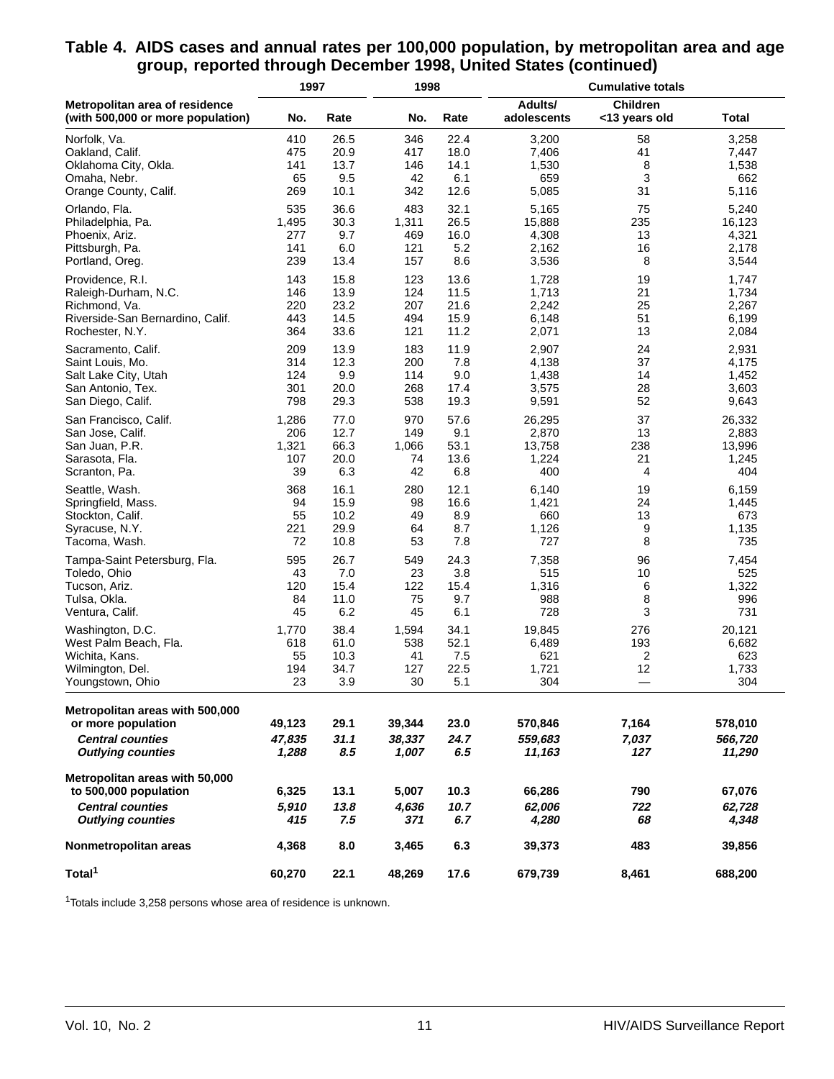#### **Table 4. AIDS cases and annual rates per 100,000 population, by metropolitan area and age group, reported through December 1998, United States (continued)**

|                                                                                                                | 1997                      |                     | 1998                      |                     | <b>Cumulative totals</b>     |                                  |                              |  |
|----------------------------------------------------------------------------------------------------------------|---------------------------|---------------------|---------------------------|---------------------|------------------------------|----------------------------------|------------------------------|--|
| Metropolitan area of residence<br>(with 500,000 or more population)                                            | No.                       | Rate                | No.                       | Rate                | Adults/<br>adolescents       | <b>Children</b><br><13 years old | <b>Total</b>                 |  |
| Norfolk, Va.                                                                                                   | 410                       | 26.5                | 346                       | 22.4                | 3,200                        | 58                               | 3,258                        |  |
| Oakland, Calif.                                                                                                | 475                       | 20.9                | 417                       | 18.0                | 7,406                        | 41                               | 7,447                        |  |
| Oklahoma City, Okla.                                                                                           | 141                       | 13.7                | 146                       | 14.1                | 1,530                        | 8                                | 1,538                        |  |
| Omaha, Nebr.                                                                                                   | 65                        | 9.5                 | 42                        | 6.1                 | 659                          | 3                                | 662                          |  |
| Orange County, Calif.                                                                                          | 269                       | 10.1                | 342                       | 12.6                | 5,085                        | 31                               | 5,116                        |  |
| Orlando, Fla.                                                                                                  | 535                       | 36.6                | 483                       | 32.1                | 5,165                        | 75                               | 5,240                        |  |
| Philadelphia, Pa.                                                                                              | 1,495                     | 30.3                | 1,311                     | 26.5                | 15,888                       | 235                              | 16,123                       |  |
| Phoenix, Ariz.                                                                                                 | 277                       | 9.7                 | 469                       | 16.0                | 4,308                        | 13                               | 4,321                        |  |
| Pittsburgh, Pa.                                                                                                | 141                       | 6.0                 | 121                       | 5.2                 | 2,162                        | 16                               | 2,178                        |  |
| Portland, Oreg.                                                                                                | 239                       | 13.4                | 157                       | 8.6                 | 3,536                        | 8                                | 3,544                        |  |
| Providence, R.I.                                                                                               | 143                       | 15.8                | 123                       | 13.6                | 1,728                        | 19                               | 1,747                        |  |
| Raleigh-Durham, N.C.                                                                                           | 146                       | 13.9                | 124                       | 11.5                | 1,713                        | 21                               | 1,734                        |  |
| Richmond, Va.                                                                                                  | 220                       | 23.2                | 207                       | 21.6                | 2,242                        | 25                               | 2,267                        |  |
| Riverside-San Bernardino, Calif.                                                                               | 443                       | 14.5                | 494                       | 15.9                | 6,148                        | 51                               | 6,199                        |  |
| Rochester, N.Y.                                                                                                | 364                       | 33.6                | 121                       | 11.2                | 2,071                        | 13                               | 2,084                        |  |
| Sacramento, Calif.                                                                                             | 209                       | 13.9                | 183                       | 11.9                | 2,907                        | 24                               | 2,931                        |  |
| Saint Louis, Mo.                                                                                               | 314                       | 12.3                | 200                       | 7.8                 | 4,138                        | 37                               | 4,175                        |  |
| Salt Lake City, Utah                                                                                           | 124                       | 9.9                 | 114                       | 9.0                 | 1,438                        | 14                               | 1,452                        |  |
| San Antonio, Tex.                                                                                              | 301                       | 20.0                | 268                       | 17.4                | 3,575                        | 28                               | 3,603                        |  |
| San Diego, Calif.                                                                                              | 798                       | 29.3                | 538                       | 19.3                | 9,591                        | 52                               | 9,643                        |  |
| San Francisco, Calif.                                                                                          | 1,286                     | 77.0                | 970                       | 57.6                | 26,295                       | 37                               | 26,332                       |  |
| San Jose, Calif.                                                                                               | 206                       | 12.7                | 149                       | 9.1                 | 2,870                        | 13                               | 2,883                        |  |
| San Juan, P.R.                                                                                                 | 1,321                     | 66.3                | 1,066                     | 53.1                | 13,758                       | 238                              | 13,996                       |  |
| Sarasota, Fla.                                                                                                 | 107                       | 20.0                | 74                        | 13.6                | 1,224                        | 21                               | 1,245                        |  |
| Scranton, Pa.                                                                                                  | 39                        | 6.3                 | 42                        | 6.8                 | 400                          | 4                                | 404                          |  |
| Seattle, Wash.                                                                                                 | 368                       | 16.1                | 280                       | 12.1                | 6,140                        | 19                               | 6,159                        |  |
| Springfield, Mass.                                                                                             | 94                        | 15.9                | 98                        | 16.6                | 1,421                        | 24                               | 1,445                        |  |
| Stockton, Calif.                                                                                               | 55                        | 10.2                | 49                        | 8.9                 | 660                          | 13                               | 673                          |  |
| Syracuse, N.Y.                                                                                                 | 221                       | 29.9                | 64                        | 8.7                 | 1,126                        | 9                                | 1,135                        |  |
| Tacoma, Wash.                                                                                                  | 72                        | 10.8                | 53                        | 7.8                 | 727                          | 8                                | 735                          |  |
| Tampa-Saint Petersburg, Fla.                                                                                   | 595                       | 26.7                | 549                       | 24.3                | 7,358                        | 96                               | 7,454                        |  |
| Toledo, Ohio                                                                                                   | 43                        | 7.0                 | 23                        | 3.8                 | 515                          | 10                               | 525                          |  |
| Tucson, Ariz.                                                                                                  | 120                       | 15.4                | 122                       | 15.4                | 1,316                        | 6                                | 1,322                        |  |
| Tulsa, Okla.                                                                                                   | 84                        | 11.0                | 75                        | 9.7                 | 988                          | 8                                | 996                          |  |
| Ventura, Calif.                                                                                                | 45                        | 6.2                 | 45                        | 6.1                 | 728                          | 3                                | 731                          |  |
| Washington, D.C.                                                                                               | 1,770                     | 38.4                | 1,594                     | 34.1                | 19,845                       | 276                              | 20,121                       |  |
| West Palm Beach, Fla.                                                                                          | 618                       | 61.0                | 538                       | 52.1                | 6,489                        | 193                              | 6,682                        |  |
| Wichita, Kans.                                                                                                 | 55                        | 10.3                | 41                        | 7.5                 | 621                          | 2                                | 623                          |  |
| Wilmington, Del.                                                                                               | 194                       | 34.7                | 127                       | 22.5                | 1,721                        | 12                               | 1,733                        |  |
| Youngstown, Ohio                                                                                               | 23                        | 3.9                 | 30                        | 5.1                 | 304                          | —                                | 304                          |  |
| Metropolitan areas with 500,000<br>or more population<br><b>Central counties</b><br><b>Outlying counties</b>   | 49,123<br>47,835<br>1,288 | 29.1<br>31.1<br>8.5 | 39,344<br>38,337<br>1,007 | 23.0<br>24.7<br>6.5 | 570,846<br>559,683<br>11,163 | 7,164<br>7,037<br>127            | 578,010<br>566,720<br>11,290 |  |
| Metropolitan areas with 50,000<br>to 500,000 population<br><b>Central counties</b><br><b>Outlying counties</b> | 6,325<br>5,910<br>415     | 13.1<br>13.8<br>7.5 | 5,007<br>4,636<br>371     | 10.3<br>10.7<br>6.7 | 66,286<br>62,006<br>4,280    | 790<br>722<br>68                 | 67,076<br>62,728<br>4,348    |  |
| Nonmetropolitan areas                                                                                          | 4,368                     | 8.0                 | 3,465                     | 6.3                 | 39,373                       | 483                              | 39,856                       |  |
| Total <sup>1</sup>                                                                                             | 60,270                    | 22.1                | 48,269                    | 17.6                | 679,739                      | 8,461                            | 688,200                      |  |

1Totals include 3,258 persons whose area of residence is unknown.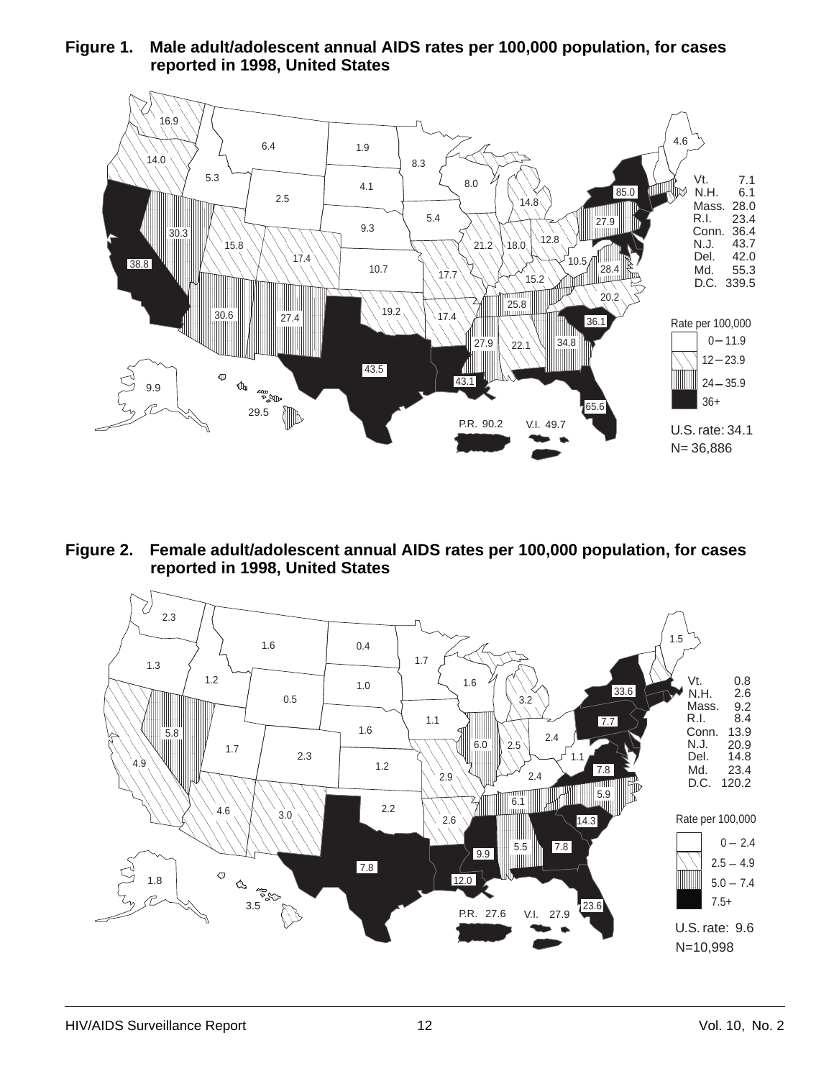**Figure 1. Male adult/adolescent annual AIDS rates per 100,000 population, for cases reported in 1998, United States**



**Figure 2. Female adult/adolescent annual AIDS rates per 100,000 population, for cases reported in 1998, United States**

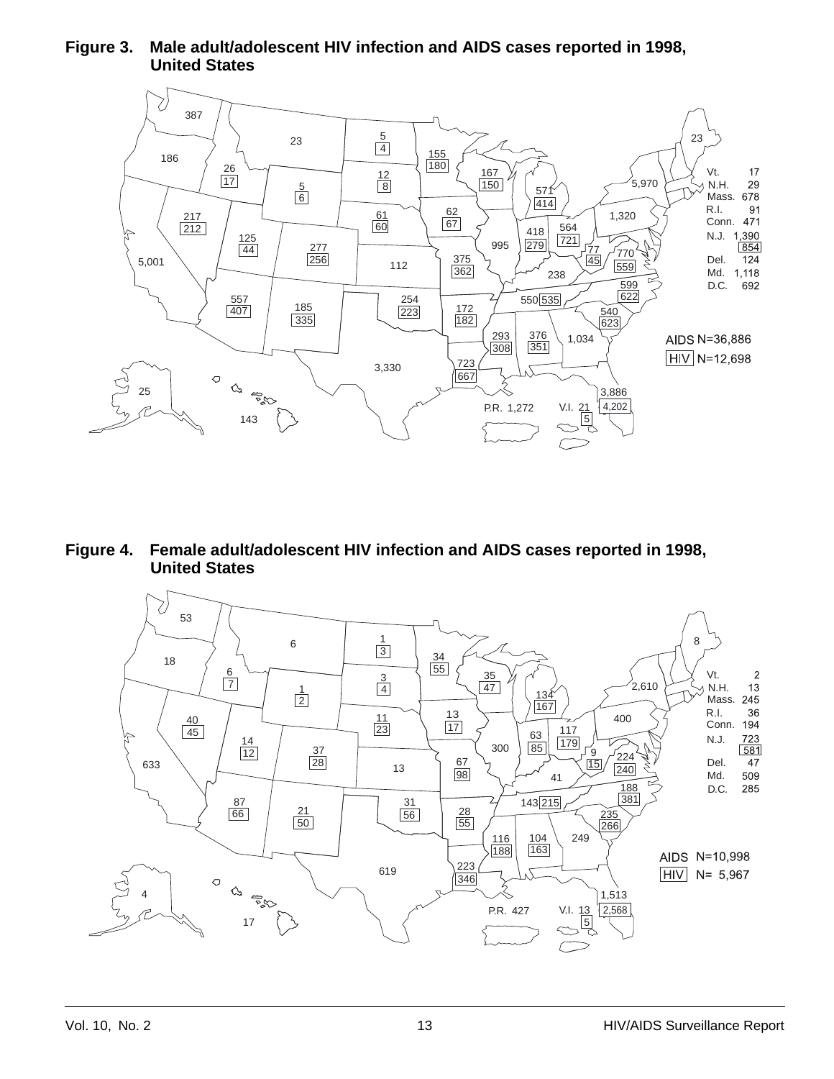#### **Figure 3. Male adult/adolescent HIV infection and AIDS cases reported in 1998, United States**



**Figure 4. Female adult/adolescent HIV infection and AIDS cases reported in 1998, United States**

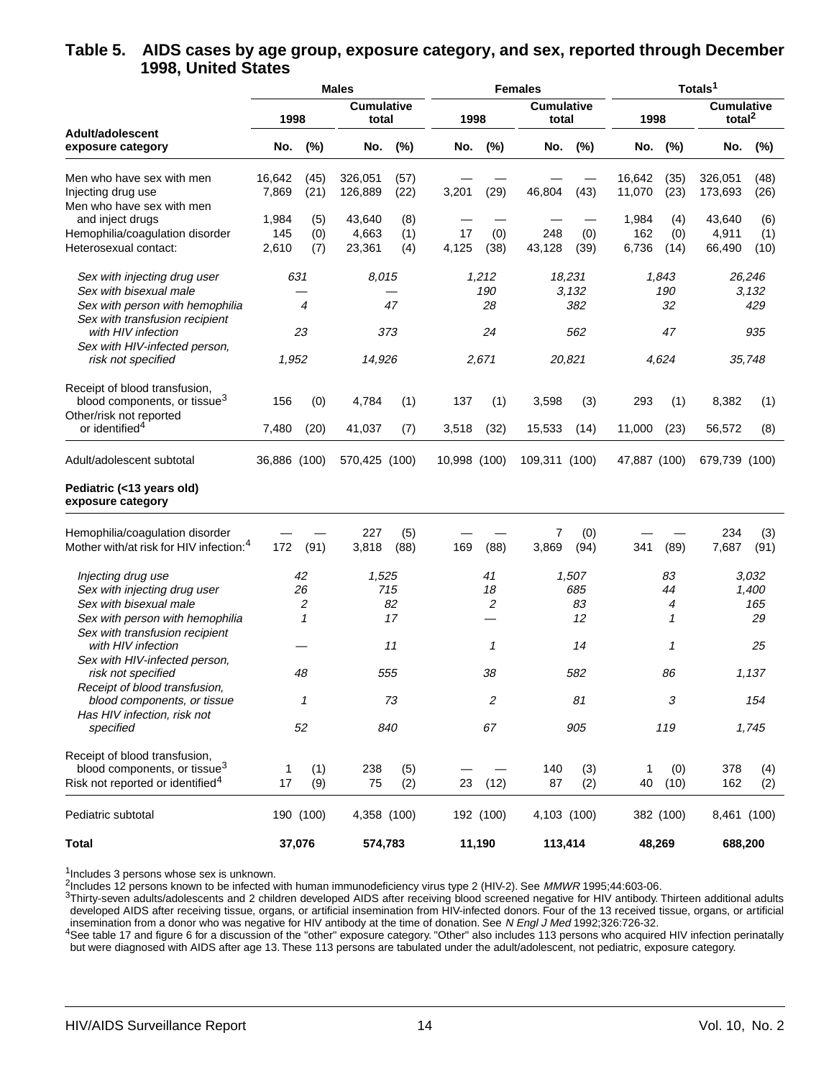#### **Table 5. AIDS cases by age group, exposure category, and sex, reported through December 1998, United States**

|                                                      |              |                | <b>Males</b>  |                            |              |           | <b>Females</b>             |        | Totals <sup>1</sup> |             |                                         |            |
|------------------------------------------------------|--------------|----------------|---------------|----------------------------|--------------|-----------|----------------------------|--------|---------------------|-------------|-----------------------------------------|------------|
|                                                      |              | 1998           |               | <b>Cumulative</b><br>total | 1998         |           | <b>Cumulative</b><br>total |        | 1998                |             | <b>Cumulative</b><br>total <sup>2</sup> |            |
| Adult/adolescent<br>exposure category                | No.          | (%)            | No.           | (%)                        | No.          | (%)       | No.                        | (%)    | No.                 | $(\%)$      | No.                                     | $(\%)$     |
| Men who have sex with men                            | 16,642       | (45)           | 326,051       | (57)                       |              |           |                            |        | 16,642              | (35)        | 326,051                                 | (48)       |
| Injecting drug use                                   | 7,869        | (21)           | 126,889       | (22)                       | 3,201        | (29)      | 46,804                     | (43)   | 11,070              | (23)        | 173,693                                 | (26)       |
| Men who have sex with men                            |              |                |               |                            |              |           |                            |        |                     |             |                                         |            |
| and inject drugs                                     | 1,984        | (5)            | 43,640        | (8)                        |              |           |                            |        | 1,984               | (4)         | 43,640                                  | (6)        |
|                                                      | 145          |                |               |                            | 17           |           | 248                        |        | 162                 |             |                                         |            |
| Hemophilia/coagulation disorder                      |              | (0)            | 4,663         | (1)                        |              | (0)       |                            | (0)    |                     | (0)         | 4,911                                   | (1)        |
| Heterosexual contact:                                | 2,610        | (7)            | 23,361        | (4)                        | 4,125        | (38)      | 43,128                     | (39)   | 6,736               | (14)        | 66,490                                  | (10)       |
| Sex with injecting drug user                         | 631          |                | 8,015         |                            |              | 1,212     |                            | 18,231 |                     | 1,843       |                                         | 26,246     |
| Sex with bisexual male                               |              |                |               |                            |              | 190       |                            | 3,132  |                     | 190         |                                         | 3,132      |
| Sex with person with hemophilia                      |              | $\overline{4}$ |               | 47                         |              | 28        |                            | 382    |                     | 32          |                                         | 429        |
| Sex with transfusion recipient                       |              |                |               |                            |              |           |                            |        |                     |             |                                         |            |
| with HIV infection                                   | 23           |                |               | 373                        |              | 24        |                            | 562    |                     | 47          |                                         | 935        |
| Sex with HIV-infected person,                        |              |                |               |                            |              |           |                            |        |                     |             |                                         |            |
| risk not specified                                   | 1,952        |                | 14,926        |                            |              | 2,671     |                            | 20,821 |                     | 4,624       | 35,748                                  |            |
| Receipt of blood transfusion,                        |              |                |               |                            |              |           |                            |        |                     |             |                                         |            |
| blood components, or tissue <sup>3</sup>             | 156          | (0)            | 4,784         | (1)                        | 137          | (1)       | 3,598                      | (3)    | 293                 | (1)         | 8,382                                   | (1)        |
| Other/risk not reported                              |              |                |               |                            |              |           |                            |        |                     |             |                                         |            |
| or identified <sup>4</sup>                           | 7,480        | (20)           | 41,037        | (7)                        | 3,518        | (32)      | 15,533                     | (14)   | 11,000              | (23)        | 56,572                                  | (8)        |
| Adult/adolescent subtotal                            | 36,886 (100) |                | 570,425 (100) |                            | 10,998 (100) |           | 109,311 (100)              |        | 47,887 (100)        |             | 679,739 (100)                           |            |
| Pediatric (<13 years old)<br>exposure category       |              |                |               |                            |              |           |                            |        |                     |             |                                         |            |
| Hemophilia/coagulation disorder                      |              |                | 227           | (5)                        |              |           | 7                          | (0)    |                     |             | 234                                     | (3)        |
| Mother with/at risk for HIV infection: <sup>4</sup>  | 172          | (91)           | 3,818         | (88)                       | 169          | (88)      | 3,869                      | (94)   | 341                 | (89)        | 7,687                                   | (91)       |
| Injecting drug use                                   |              | 42             | 1,525         |                            |              | 41        |                            | 1,507  |                     | 83          |                                         | 3,032      |
| Sex with injecting drug user                         |              | 26             |               | 715                        |              | 18        |                            | 685    |                     | 44          |                                         | 1,400      |
| Sex with bisexual male                               |              | 2              |               | 82                         |              | 2         |                            | 83     |                     | 4           |                                         | 165        |
| Sex with person with hemophilia                      |              | 1              |               | 17                         |              |           |                            | 12     |                     | 1           |                                         | 29         |
| Sex with transfusion recipient<br>with HIV infection |              |                |               | 11                         |              | 1         |                            | 14     |                     | 1           |                                         | 25         |
|                                                      |              |                |               |                            |              |           |                            |        |                     |             |                                         |            |
| Sex with HIV-infected person,<br>risk not specified  |              |                |               | 555                        |              |           |                            |        |                     |             |                                         |            |
|                                                      |              | 48             |               |                            |              | 38        |                            | 582    |                     | 86          |                                         | 1,137      |
| Receipt of blood transfusion,                        |              | 1              |               | 73                         |              | 2         |                            | 81     |                     | 3           |                                         | 154        |
| blood components, or tissue                          |              |                |               |                            |              |           |                            |        |                     |             |                                         |            |
| Has HIV infection, risk not<br>specified             |              | 52             |               | 840                        |              | 67        |                            | 905    |                     | 119         |                                         | 1,745      |
| Receipt of blood transfusion,                        |              |                |               |                            |              |           |                            |        |                     |             |                                         |            |
| blood components, or tissue <sup>3</sup>             | 1            | (1)            | 238           | (5)                        |              |           | 140                        | (3)    | 1                   |             |                                         |            |
| Risk not reported or identified <sup>4</sup>         | 17           | (9)            | 75            | (2)                        | 23           | (12)      | 87                         | (2)    | 40                  | (0)<br>(10) | 378<br>162                              | (4)<br>(2) |
| Pediatric subtotal                                   |              | 190 (100)      | 4,358 (100)   |                            |              | 192 (100) | 4,103 (100)                |        |                     | 382 (100)   | 8,461 (100)                             |            |
|                                                      |              |                |               |                            |              |           |                            |        |                     |             |                                         |            |
| <b>Total</b>                                         |              | 37,076         | 574,783       |                            |              | 11,190    | 113,414                    |        |                     | 48,269      | 688,200                                 |            |

<sup>1</sup>Includes 3 persons whose sex is unknown.

<sup>2</sup>Includes 12 persons known to be infected with human immunodeficiency virus type 2 (HIV-2). See MMWR 1995;44:603-06.

3Thirty-seven adults/adolescents and 2 children developed AIDS after receiving blood screened negative for HIV antibody. Thirteen additional adults developed AIDS after receiving tissue, organs, or artificial insemination from HIV-infected donors. Four of the 13 received tissue, organs, or artificial insemination from a donor who was negative for HIV antibody at the time of donation. See N Engl J Med 1992;326:726-32.

<sup>4</sup>See table 17 and figure 6 for a discussion of the "other" exposure category. "Other" also includes 113 persons who acquired HIV infection perinatally but were diagnosed with AIDS after age 13. These 113 persons are tabulated under the adult/adolescent, not pediatric, exposure category.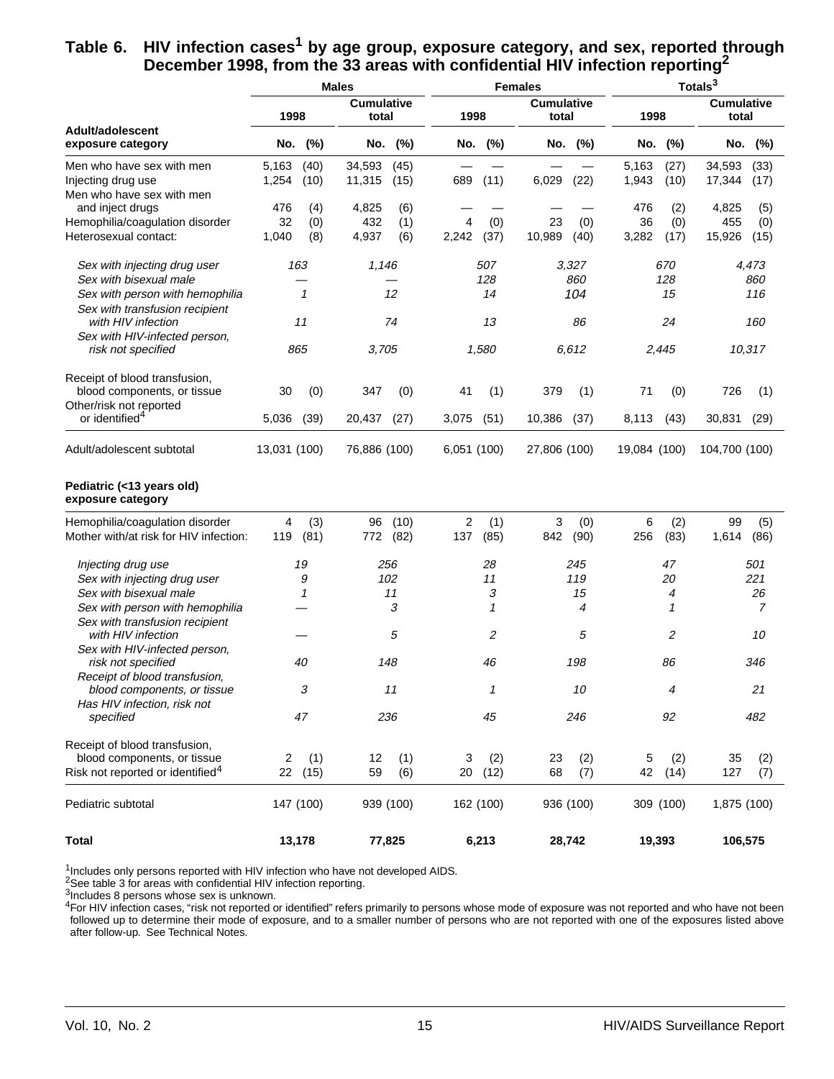#### Table 6. HIV infection cases<sup>1</sup> by age group, exposure category, and sex, reported through **December 1998, from the 33 areas with confidential HIV infection reporting2**

|                                                      |              |              | <b>Males</b>               |           |             |           | <b>Females</b>             |           | Totals <sup>3</sup> |           |                            |         |
|------------------------------------------------------|--------------|--------------|----------------------------|-----------|-------------|-----------|----------------------------|-----------|---------------------|-----------|----------------------------|---------|
|                                                      | 1998         |              | <b>Cumulative</b><br>total |           | 1998        |           | <b>Cumulative</b><br>total |           | 1998                |           | <b>Cumulative</b><br>total |         |
| Adult/adolescent<br>exposure category                | No.          | (%)          | No.                        | (%)       |             | No. (%)   | No.                        | (%)       |                     | No. (%)   |                            | No. (%) |
| Men who have sex with men                            | 5,163        | (40)         | 34,593                     | (45)      |             |           |                            |           | 5,163               | (27)      | 34,593                     | (33)    |
| Injecting drug use                                   | 1,254        | (10)         | 11,315                     | (15)      | 689         | (11)      | 6,029                      | (22)      | 1,943               | (10)      | 17,344                     | (17)    |
| Men who have sex with men                            |              |              |                            |           |             |           |                            |           |                     |           |                            |         |
| and inject drugs                                     | 476          | (4)          | 4,825                      | (6)       |             |           |                            |           | 476                 | (2)       | 4,825                      | (5)     |
| Hemophilia/coagulation disorder                      | 32           | (0)          | 432                        | (1)       | 4           | (0)       | 23                         | (0)       | 36                  | (0)       | 455                        | (0)     |
| Heterosexual contact:                                | 1,040        | (8)          | 4,937                      | (6)       | 2,242       | (37)      | 10,989                     | (40)      | 3,282               | (17)      | 15,926                     | (15)    |
| Sex with injecting drug user                         | 163          |              | 1,146                      |           |             | 507       |                            | 3,327     |                     | 670       |                            | 4,473   |
| Sex with bisexual male                               |              |              |                            |           |             | 128       |                            | 860       |                     | 128       |                            | 860     |
| Sex with person with hemophilia                      |              | $\mathcal I$ |                            | 12        |             | 14        |                            | 104       |                     | 15        |                            | 116     |
| Sex with transfusion recipient<br>with HIV infection | 11           |              |                            | 74        |             | 13        |                            | 86        |                     | 24        |                            | 160     |
| Sex with HIV-infected person,                        |              |              |                            |           |             |           |                            |           |                     |           |                            |         |
| risk not specified                                   | 865          |              | 3,705                      |           | 1,580       |           | 6.612                      |           | 2,445               |           | 10,317                     |         |
| Receipt of blood transfusion,                        |              |              |                            |           |             |           |                            |           |                     |           |                            |         |
| blood components, or tissue                          | 30           | (0)          | 347                        | (0)       | 41          | (1)       | 379                        | (1)       | 71                  | (0)       | 726                        | (1)     |
| Other/risk not reported                              |              |              |                            |           |             |           |                            |           |                     |           |                            |         |
| or identified <sup>4</sup>                           | 5,036        | (39)         | 20,437                     | (27)      | 3,075       | (51)      | 10,386                     | (37)      | 8,113               | (43)      | 30,831                     | (29)    |
| Adult/adolescent subtotal                            | 13,031 (100) |              | 76,886 (100)               |           | 6,051 (100) |           | 27,806 (100)               |           | 19,084 (100)        |           | 104,700 (100)              |         |
| Pediatric (<13 years old)<br>exposure category       |              |              |                            |           |             |           |                            |           |                     |           |                            |         |
| Hemophilia/coagulation disorder                      | 4            | (3)          | 96                         | (10)      | 2           | (1)       | 3                          | (0)       | 6                   | (2)       | 99                         | (5)     |
| Mother with/at risk for HIV infection:               | 119          | (81)         | 772                        | (82)      | 137         | (85)      | 842                        | (90)      | 256                 | (83)      | 1,614                      | (86)    |
| Injecting drug use                                   |              | 19           |                            | 256       |             | 28        | 245                        |           |                     | 47        |                            | 501     |
| Sex with injecting drug user                         |              | 9            |                            | 102       | 11          |           |                            | 119       |                     | 20        |                            | 221     |
| Sex with bisexual male                               |              | 1            |                            | 11        |             | 3         |                            | 15        |                     | 4         |                            | 26      |
| Sex with person with hemophilia                      |              |              |                            | 3         |             | 1         |                            | 4         |                     | 1         |                            | 7       |
| Sex with transfusion recipient                       |              |              |                            |           |             |           |                            |           |                     |           |                            |         |
| with HIV infection                                   |              |              |                            | 5         |             | 2         |                            | 5         |                     | 2         |                            | 10      |
| Sex with HIV-infected person,<br>risk not specified  |              | 40           |                            | 148       |             | 46        |                            | 198       |                     | 86        |                            | 346     |
| Receipt of blood transfusion,                        |              |              |                            |           |             |           |                            |           |                     |           |                            |         |
| blood components, or tissue                          |              | 3            |                            | 11        |             | 1         |                            | 10        |                     | 4         |                            | 21      |
| Has HIV infection, risk not                          |              |              |                            |           |             |           |                            |           |                     |           |                            |         |
| specified                                            |              | 47           |                            | 236       |             | 45        |                            | 246       |                     | 92        |                            | 482     |
| Receipt of blood transfusion,                        |              |              |                            |           |             |           |                            |           |                     |           |                            |         |
| blood components, or tissue                          | 2            | (1)          | 12                         | (1)       | (2)<br>3    |           | (2)<br>23                  |           | 5<br>(2)            |           | 35                         | (2)     |
| Risk not reported or identified <sup>4</sup>         |              | 22 (15)      | 59                         | (6)       |             | 20 (12)   | 68                         | (7)       | 42                  | (14)      | 127                        | (7)     |
| Pediatric subtotal                                   | 147 (100)    |              |                            | 939 (100) |             | 162 (100) |                            | 936 (100) |                     | 309 (100) | 1,875 (100)                |         |
| <b>Total</b>                                         | 13,178       |              |                            | 77,825    |             | 6,213     |                            | 28,742    | 19,393              |           | 106,575                    |         |

<sup>1</sup>Includes only persons reported with HIV infection who have not developed AIDS.

2See table 3 for areas with confidential HIV infection reporting.

3Includes 8 persons whose sex is unknown.

 $^{4}$ For HIV infection cases, "risk not reported or identified" refers primarily to persons whose mode of exposure was not reported and who have not been followed up to determine their mode of exposure, and to a smaller number of persons who are not reported with one of the exposures listed above after follow-up. See Technical Notes.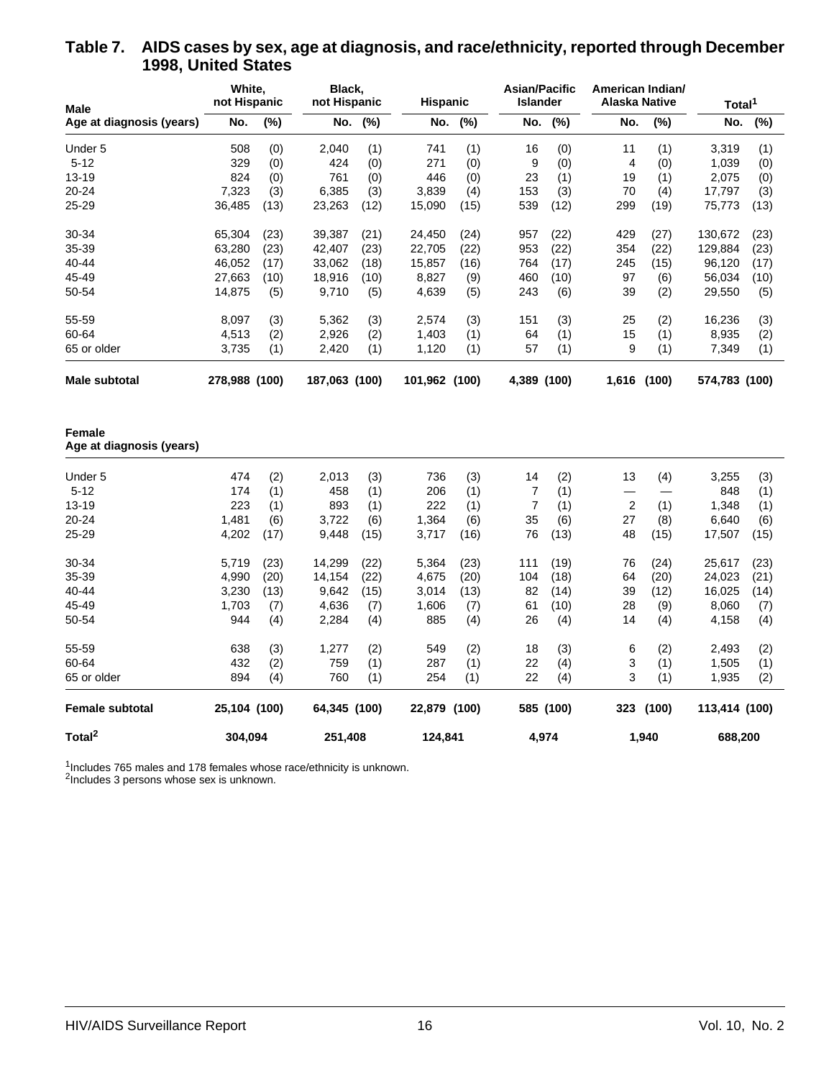| Male                               | White,<br>not Hispanic |      | Black,<br>not Hispanic |      |               | <b>Hispanic</b> |                         | <b>Asian/Pacific</b><br><b>Islander</b> |       | American Indian/<br>Alaska Native |               | Total <sup>1</sup> |  |
|------------------------------------|------------------------|------|------------------------|------|---------------|-----------------|-------------------------|-----------------------------------------|-------|-----------------------------------|---------------|--------------------|--|
| Age at diagnosis (years)           | No.                    | (%)  | No.                    | (%)  | No.           | (%)             | No.                     | (%)                                     | No.   | (%)                               | No.           | (%)                |  |
| Under 5                            | 508                    | (0)  | 2,040                  | (1)  | 741           | (1)             | 16                      | (0)                                     | 11    | (1)                               | 3,319         | (1)                |  |
| $5 - 12$                           | 329                    | (0)  | 424                    | (0)  | 271           | (0)             | 9                       | (0)                                     | 4     | (0)                               | 1,039         | (0)                |  |
| 13-19                              | 824                    | (0)  | 761                    | (0)  | 446           | (0)             | 23                      | (1)                                     | 19    | (1)                               | 2,075         | (0)                |  |
| 20-24                              | 7,323                  | (3)  | 6,385                  | (3)  | 3,839         | (4)             | 153                     | (3)                                     | 70    | (4)                               | 17,797        | (3)                |  |
| 25-29                              | 36,485                 | (13) | 23,263                 | (12) | 15,090        | (15)            | 539                     | (12)                                    | 299   | (19)                              | 75,773        | (13)               |  |
| 30-34                              | 65,304                 | (23) | 39,387                 | (21) | 24,450        | (24)            | 957                     | (22)                                    | 429   | (27)                              | 130,672       | (23)               |  |
| 35-39                              | 63,280                 | (23) | 42,407                 | (23) | 22,705        | (22)            | 953                     | (22)                                    | 354   | (22)                              | 129,884       | (23)               |  |
| 40-44                              | 46,052                 | (17) | 33,062                 | (18) | 15,857        | (16)            | 764                     | (17)                                    | 245   | (15)                              | 96,120        | (17)               |  |
| 45-49                              | 27,663                 | (10) | 18,916                 | (10) | 8,827         | (9)             | 460                     | (10)                                    | 97    | (6)                               | 56,034        | (10)               |  |
| 50-54                              | 14,875                 | (5)  | 9,710                  | (5)  | 4,639         | (5)             | 243                     | (6)                                     | 39    | (2)                               | 29,550        | (5)                |  |
| 55-59                              | 8,097                  | (3)  | 5,362                  | (3)  | 2,574         | (3)             | 151                     | (3)                                     | 25    | (2)                               | 16,236        | (3)                |  |
| 60-64                              | 4,513                  | (2)  | 2,926                  | (2)  | 1,403         | (1)             | 64                      | (1)                                     | 15    | (1)                               | 8,935         | (2)                |  |
| 65 or older                        | 3,735                  | (1)  | 2,420                  | (1)  | 1,120         | (1)             | 57                      | (1)                                     | 9     | (1)                               | 7,349         | (1)                |  |
| <b>Male subtotal</b>               | 278,988 (100)          |      | 187,063 (100)          |      | 101,962 (100) |                 | 4,389 (100)             |                                         | 1,616 | (100)                             | 574,783 (100) |                    |  |
| Female<br>Age at diagnosis (years) |                        |      |                        |      |               |                 |                         |                                         |       |                                   |               |                    |  |
| Under 5                            | 474                    | (2)  | 2,013                  | (3)  | 736           | (3)             | 14                      | (2)                                     | 13    | (4)                               | 3,255         | (3)                |  |
| $5 - 12$                           | 174                    | (1)  | 458                    | (1)  | 206           | (1)             | 7                       | (1)                                     |       |                                   | 848           | (1)                |  |
| $13 - 19$                          | 223                    | (1)  | 893                    | (1)  | 222           | (1)             | $\overline{\mathbf{7}}$ | (1)                                     | 2     | (1)                               | 1,348         | (1)                |  |
| 20-24                              | 1,481                  | (6)  | 3,722                  | (6)  | 1,364         | (6)             | 35                      | (6)                                     | 27    | (8)                               | 6,640         | (6)                |  |
| 25-29                              | 4,202                  | (17) | 9,448                  | (15) | 3,717         | (16)            | 76                      | (13)                                    | 48    | (15)                              | 17,507        | (15)               |  |
| 30-34                              | 5,719                  | (23) | 14,299                 | (22) | 5,364         | (23)            | 111                     | (19)                                    | 76    | (24)                              | 25,617        | (23)               |  |
| 35-39                              | 4,990                  | (20) | 14,154                 | (22) | 4,675         | (20)            | 104                     | (18)                                    | 64    | (20)                              | 24,023        | (21)               |  |
| 40-44                              | 3,230                  | (13) | 9,642                  | (15) | 3,014         | (13)            | 82                      | (14)                                    | 39    | (12)                              | 16,025        | (14)               |  |
| 45-49                              | 1,703                  | (7)  | 4,636                  | (7)  | 1,606         | (7)             | 61                      | (10)                                    | 28    | (9)                               | 8,060         | (7)                |  |
| 50-54                              | 944                    | (4)  | 2,284                  | (4)  | 885           | (4)             | 26                      | (4)                                     | 14    | (4)                               | 4,158         | (4)                |  |
| 55-59                              | 638                    | (3)  | 1,277                  | (2)  | 549           | (2)             | 18                      | (3)                                     | 6     | (2)                               | 2,493         | (2)                |  |
| 60-64                              | 432                    | (2)  | 759                    | (1)  | 287           | (1)             | 22                      | (4)                                     | 3     | (1)                               | 1,505         | (1)                |  |
| 65 or older                        | 894                    | (4)  | 760                    | (1)  | 254           | (1)             | 22                      | (4)                                     | 3     | (1)                               | 1,935         | (2)                |  |
| <b>Female subtotal</b>             | 25,104 (100)           |      | 64,345 (100)           |      | 22,879        | (100)           |                         | 585 (100)                               | 323   | (100)                             | 113,414 (100) |                    |  |
| Total <sup>2</sup>                 | 304,094                |      | 251,408                |      | 124,841       |                 | 4,974                   |                                         | 1,940 |                                   |               | 688,200            |  |

#### **Table 7. AIDS cases by sex, age at diagnosis, and race/ethnicity, reported through December 1998, United States**

 $1$ Includes 765 males and 178 females whose race/ethnicity is unknown.

<sup>2</sup>Includes 3 persons whose sex is unknown.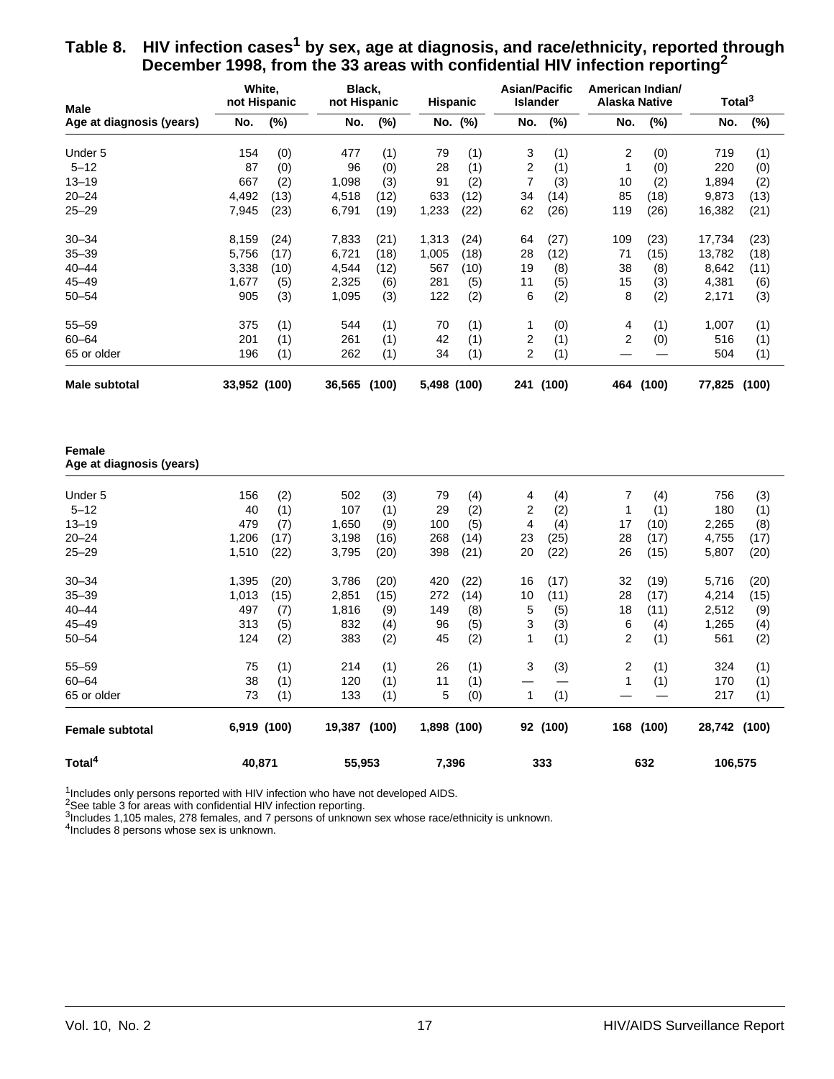| Table 8. HIV infection cases <sup>1</sup> by sex, age at diagnosis, and race/ethnicity, reported through |
|----------------------------------------------------------------------------------------------------------|
| December 1998, from the 33 areas with confidential HIV infection reporting <sup>2</sup>                  |

| Male                                      |                | White,<br>not Hispanic | Black,<br>not Hispanic |              | <b>Hispanic</b> |              | <b>Asian/Pacific</b><br><b>Islander</b> |              | American Indian/<br>Alaska Native |              | Total <sup>3</sup> |              |
|-------------------------------------------|----------------|------------------------|------------------------|--------------|-----------------|--------------|-----------------------------------------|--------------|-----------------------------------|--------------|--------------------|--------------|
| Age at diagnosis (years)                  | No.            | (%)                    | No.                    | (%)          | No.             | (%)          | No.                                     | (%)          | No.                               | (%)          | No.                | (%)          |
| Under 5                                   | 154            | (0)                    | 477                    | (1)          | 79              | (1)          | 3                                       | (1)          | 2                                 | (0)          | 719                | (1)          |
| $5 - 12$                                  | 87             | (0)                    | 96                     | (0)          | 28              | (1)          | $\overline{\mathbf{c}}$                 | (1)          | $\mathbf{1}$                      | (0)          | 220                | (0)          |
| $13 - 19$                                 | 667            | (2)                    | 1,098                  | (3)          | 91              | (2)          | 7                                       | (3)          | 10                                | (2)          | 1,894              | (2)          |
| $20 - 24$                                 | 4,492          | (13)                   | 4,518                  | (12)         | 633             | (12)         | 34                                      | (14)         | 85                                | (18)         | 9,873              | (13)         |
| $25 - 29$                                 | 7,945          | (23)                   | 6,791                  | (19)         | 1,233           | (22)         | 62                                      | (26)         | 119                               | (26)         | 16,382             | (21)         |
| $30 - 34$                                 | 8,159          | (24)                   | 7,833                  | (21)         | 1,313           | (24)         | 64                                      | (27)         | 109                               | (23)         | 17,734             | (23)         |
| $35 - 39$                                 | 5,756          | (17)                   | 6,721                  | (18)         | 1,005           | (18)         | 28                                      | (12)         | 71                                | (15)         | 13,782             | (18)         |
| $40 - 44$                                 | 3,338          | (10)                   | 4,544                  | (12)         | 567             | (10)         | 19                                      | (8)          | 38                                | (8)          | 8,642              | (11)         |
| $45 - 49$                                 | 1,677          | (5)                    | 2,325                  | (6)          | 281             | (5)          | 11                                      | (5)          | 15                                | (3)          | 4,381              | (6)          |
| $50 - 54$                                 | 905            | (3)                    | 1,095                  | (3)          | 122             | (2)          | 6                                       | (2)          | 8                                 | (2)          | 2,171              | (3)          |
| $55 - 59$                                 | 375            | (1)                    | 544                    | (1)          | 70              | (1)          | 1                                       | (0)          | 4                                 | (1)          | 1,007              | (1)          |
| $60 - 64$                                 | 201            | (1)                    | 261                    | (1)          | 42              | (1)          | 2                                       | (1)          | 2                                 | (0)          | 516                | (1)          |
| 65 or older                               | 196            | (1)                    | 262                    | (1)          | 34              | (1)          | $\overline{c}$                          | (1)          |                                   |              | 504                | (1)          |
| <b>Male subtotal</b>                      | 33,952 (100)   |                        | 36,565 (100)           |              | 5,498 (100)     |              |                                         | 241 (100)    | 464                               | (100)        | 77,825             | (100)        |
| <b>Female</b><br>Age at diagnosis (years) |                |                        |                        |              |                 |              |                                         |              |                                   |              |                    |              |
|                                           |                |                        | 502                    |              |                 |              |                                         |              |                                   |              |                    |              |
| Under 5                                   | 156            | (2)                    |                        | (3)          | 79<br>29        | (4)          | 4                                       | (4)          | 7                                 | (4)          | 756<br>180         | (3)          |
| $5 - 12$<br>$13 - 19$                     | 40<br>479      | (1)                    | 107                    | (1)          |                 | (2)          | 2<br>4                                  | (2)          | 1                                 | (1)          |                    | (1)          |
|                                           |                | (7)                    | 1,650                  | (9)          | 100             | (5)          |                                         | (4)          | 17                                | (10)         | 2,265              | (8)          |
| $20 - 24$<br>$25 - 29$                    | 1,206<br>1,510 | (17)<br>(22)           | 3,198<br>3,795         | (16)<br>(20) | 268<br>398      | (14)<br>(21) | 23<br>20                                | (25)<br>(22) | 28<br>26                          | (17)<br>(15) | 4,755<br>5,807     | (17)<br>(20) |
| $30 - 34$                                 | 1,395          | (20)                   | 3,786                  | (20)         | 420             | (22)         | 16                                      |              | 32                                | (19)         | 5,716              |              |
| $35 - 39$                                 | 1,013          | (15)                   | 2,851                  | (15)         | 272             | (14)         | 10                                      | (17)<br>(11) | 28                                | (17)         | 4,214              | (20)<br>(15) |
| $40 - 44$                                 | 497            |                        |                        |              | 149             |              | 5                                       |              | 18                                |              | 2,512              |              |
|                                           |                | (7)                    | 1,816                  | (9)          |                 | (8)          |                                         | (5)          |                                   | (11)         |                    | (9)          |
| $45 - 49$                                 | 313            | (5)                    | 832                    | (4)          | 96              | (5)          | 3                                       | (3)          | 6                                 | (4)          | 1,265              | (4)          |
| $50 - 54$                                 | 124            | (2)                    | 383                    | (2)          | 45              | (2)          | 1                                       | (1)          | $\overline{2}$                    | (1)          | 561                | (2)          |
| $55 - 59$                                 | 75             | (1)                    | 214                    | (1)          | 26              | (1)          | 3                                       | (3)          | 2                                 | (1)          | 324                | (1)          |
| $60 - 64$                                 | 38             | (1)                    | 120                    | (1)          | 11              | (1)          |                                         |              | $\mathbf 1$                       | (1)          | 170                | (1)          |
| 65 or older                               | 73             | (1)                    | 133                    | (1)          | 5               | (0)          | $\mathbf{1}$                            | (1)          |                                   |              | 217                | (1)          |
| Female subtotal                           | 6,919 (100)    |                        | 19,387 (100)           |              | 1,898 (100)     |              |                                         | 92 (100)     |                                   | 168 (100)    | 28,742 (100)       |              |
| Total <sup>4</sup>                        | 40,871         |                        | 55,953                 |              | 7,396           |              |                                         | 333          |                                   | 632          | 106,575            |              |

 $1$ Includes only persons reported with HIV infection who have not developed AIDS.

 $2$ See table 3 for areas with confidential HIV infection reporting.

<sup>3</sup>Includes 1,105 males, 278 females, and 7 persons of unknown sex whose race/ethnicity is unknown.

<sup>4</sup>Includes 8 persons whose sex is unknown.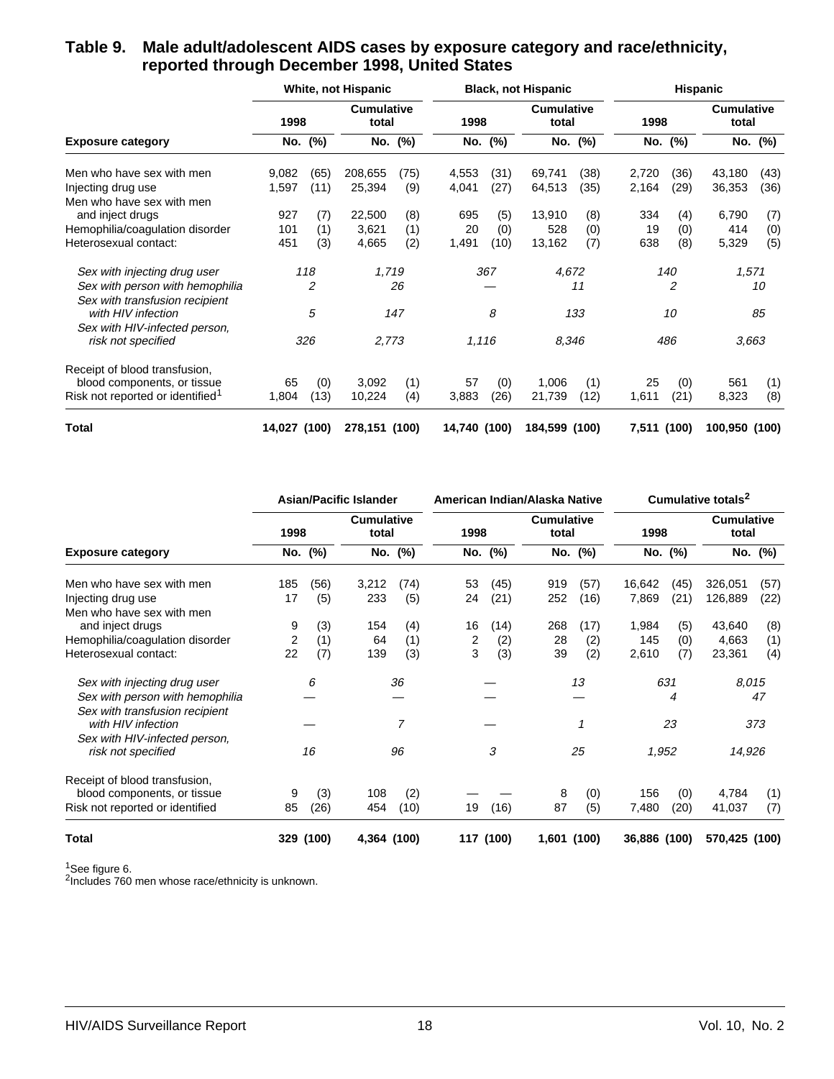#### **Table 9. Male adult/adolescent AIDS cases by exposure category and race/ethnicity, reported through December 1998, United States**

|                                                     |              |         | <b>White, not Hispanic</b> |         |              |         | <b>Black, not Hispanic</b> |         |             |         | Hispanic                   |         |
|-----------------------------------------------------|--------------|---------|----------------------------|---------|--------------|---------|----------------------------|---------|-------------|---------|----------------------------|---------|
|                                                     | 1998         |         | <b>Cumulative</b><br>total |         | 1998         |         | <b>Cumulative</b><br>total |         | 1998        |         | <b>Cumulative</b><br>total |         |
| <b>Exposure category</b>                            |              | No. (%) |                            | No. (%) |              | No. (%) |                            | No. (%) |             | No. (%) |                            | No. (%) |
| Men who have sex with men                           | 9,082        | (65)    | 208,655                    | (75)    | 4,553        | (31)    | 69,741                     | (38)    | 2,720       | (36)    | 43,180                     | (43)    |
| Injecting drug use                                  | 1,597        | (11)    | 25,394                     | (9)     | 4,041        | (27)    | 64,513                     | (35)    | 2,164       | (29)    | 36,353                     | (36)    |
| Men who have sex with men                           |              |         |                            |         |              |         |                            |         |             |         |                            |         |
| and inject drugs                                    | 927          | (7)     | 22,500                     | (8)     | 695          | (5)     | 13,910                     | (8)     | 334         | (4)     | 6,790                      | (7)     |
| Hemophilia/coagulation disorder                     | 101          | (1)     | 3,621                      | (1)     | 20           | (0)     | 528                        | (0)     | 19          | (0)     | 414                        | (0)     |
| Heterosexual contact:                               | 451          | (3)     | 4,665                      | (2)     | 1,491        | (10)    | 13,162                     | (7)     | 638         | (8)     | 5,329                      | (5)     |
| Sex with injecting drug user                        |              | 118     | 1,719                      |         |              | 367     | 4,672                      |         |             | 140     |                            | 1,571   |
| Sex with person with hemophilia                     |              | 2       |                            | 26      |              |         |                            | 11      |             | 2       |                            | 10      |
| Sex with transfusion recipient                      |              |         |                            |         |              |         |                            |         |             |         |                            |         |
| with HIV infection                                  |              | 5       |                            | 147     |              | 8       |                            | 133     |             | 10      |                            | 85      |
| Sex with HIV-infected person,<br>risk not specified |              | 326     | 2,773                      |         | 1,116        |         | 8.346                      |         |             | 486     |                            | 3,663   |
| Receipt of blood transfusion,                       |              |         |                            |         |              |         |                            |         |             |         |                            |         |
| blood components, or tissue                         | 65           | (0)     | 3,092                      | (1)     | 57           | (0)     | 1,006                      | (1)     | 25          | (0)     | 561                        | (1)     |
| Risk not reported or identified <sup>1</sup>        | 1,804        | (13)    | 10,224                     | (4)     | 3,883        | (26)    | 21,739                     | (12)    | 1,611       | (21)    | 8,323                      | (8)     |
| <b>Total</b>                                        | 14,027 (100) |         | 278,151 (100)              |         | 14,740 (100) |         | 184,599 (100)              |         | 7,511 (100) |         | 100,950 (100)              |         |

|                                 |      |         | <b>Asian/Pacific Islander</b> |                |      |           | American Indian/Alaska Native |      |              |         | Cumulative totals <sup>2</sup> |         |
|---------------------------------|------|---------|-------------------------------|----------------|------|-----------|-------------------------------|------|--------------|---------|--------------------------------|---------|
|                                 | 1998 |         | <b>Cumulative</b><br>total    |                | 1998 |           | <b>Cumulative</b><br>total    |      | 1998         |         | <b>Cumulative</b><br>total     |         |
| <b>Exposure category</b>        |      | No. (%) |                               | No. (%)        |      | No. (%)   | No.                           | (%)  |              | No. (%) |                                | No. (%) |
| Men who have sex with men       | 185  | (56)    | 3,212                         | (74)           | 53   | (45)      | 919                           | (57) | 16,642       | (45)    | 326,051                        | (57)    |
| Injecting drug use              | 17   | (5)     | 233                           | (5)            | 24   | (21)      | 252                           | (16) | 7,869        | (21)    | 126,889                        | (22)    |
| Men who have sex with men       |      |         |                               |                |      |           |                               |      |              |         |                                |         |
| and inject drugs                | 9    | (3)     | 154                           | (4)            | 16   | (14)      | 268                           | (17) | 1,984        | (5)     | 43,640                         | (8)     |
| Hemophilia/coagulation disorder | 2    | (1)     | 64                            | (1)            | 2    | (2)       | 28                            | (2)  | 145          | (0)     | 4,663                          | (1)     |
| Heterosexual contact:           | 22   | (7)     | 139                           | (3)            | 3    | (3)       | 39                            | (2)  | 2,610        | (7)     | 23,361                         | (4)     |
| Sex with injecting drug user    |      | 6       |                               | 36             |      |           |                               | 13   |              | 631     |                                | 8,015   |
| Sex with person with hemophilia |      |         |                               |                |      |           |                               |      |              | 4       |                                | 47      |
| Sex with transfusion recipient  |      |         |                               |                |      |           |                               |      |              |         |                                |         |
| with HIV infection              |      |         |                               | $\overline{7}$ |      |           |                               | 1    |              | 23      |                                | 373     |
| Sex with HIV-infected person,   |      |         |                               |                |      |           |                               |      |              |         |                                |         |
| risk not specified              |      | 16      |                               | 96             |      | 3         |                               | 25   | 1,952        |         | 14,926                         |         |
| Receipt of blood transfusion,   |      |         |                               |                |      |           |                               |      |              |         |                                |         |
| blood components, or tissue     | 9    | (3)     | 108                           | (2)            |      |           | 8                             | (0)  | 156          | (0)     | 4,784                          | (1)     |
| Risk not reported or identified | 85   | (26)    | 454                           | (10)           | 19   | (16)      | 87                            | (5)  | 7,480        | (20)    | 41,037                         | (7)     |
| Total                           | 329  | (100)   | 4,364 (100)                   |                |      | 117 (100) | 1,601 (100)                   |      | 36,886 (100) |         | 570,425 (100)                  |         |

<sup>1</sup>See figure 6.

<sup>2</sup>Includes 760 men whose race/ethnicity is unknown.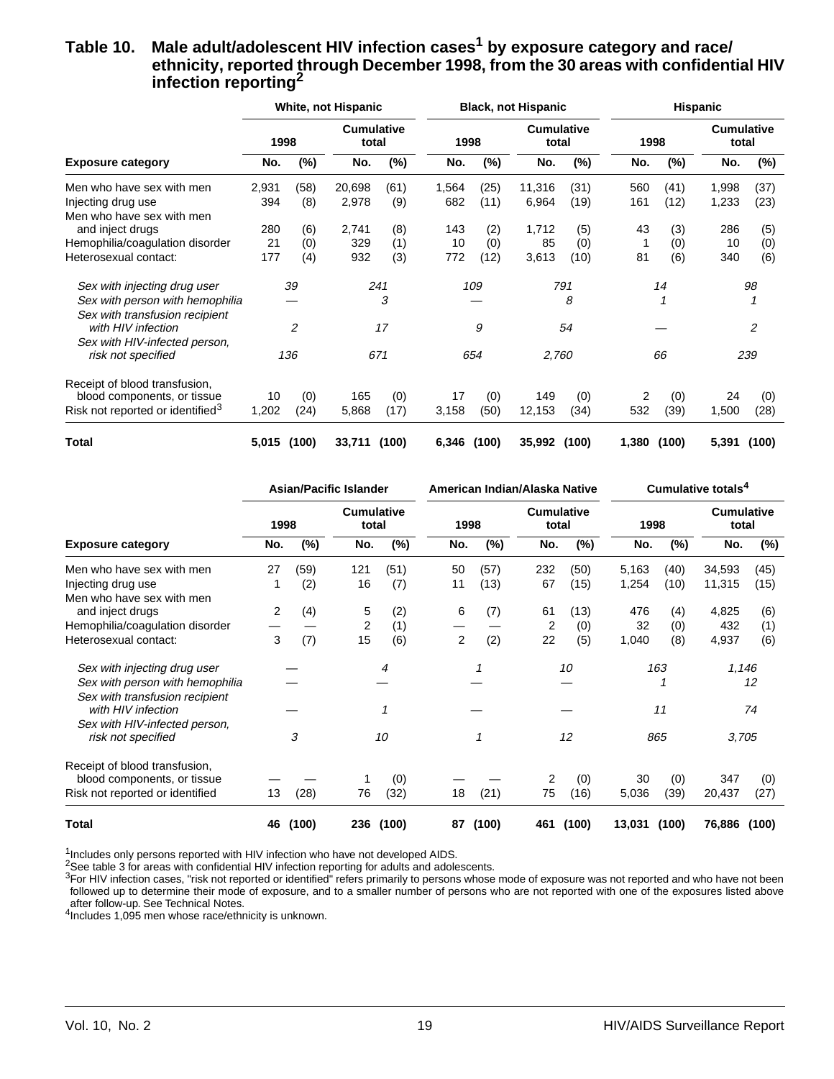#### Table 10. Male adult/adolescent HIV infection cases<sup>1</sup> by exposure category and race/ **ethnicity, reported through December 1998, from the 30 areas with confidential HIV infection reporting2**

|                                              |       |        | <b>White, not Hispanic</b> |       |       |        | <b>Black, not Hispanic</b> |       |       |        | Hispanic                   |        |
|----------------------------------------------|-------|--------|----------------------------|-------|-------|--------|----------------------------|-------|-------|--------|----------------------------|--------|
|                                              | 1998  |        | <b>Cumulative</b><br>total |       | 1998  |        | <b>Cumulative</b><br>total |       | 1998  |        | <b>Cumulative</b><br>total |        |
| <b>Exposure category</b>                     | No.   | $(\%)$ | No.                        | (%)   | No.   | $(\%)$ | No.                        | (%)   | No.   | $(\%)$ | No.                        | $(\%)$ |
| Men who have sex with men                    | 2,931 | (58)   | 20,698                     | (61)  | 1,564 | (25)   | 11,316                     | (31)  | 560   | (41)   | 1,998                      | (37)   |
| Injecting drug use                           | 394   | (8)    | 2,978                      | (9)   | 682   | (11)   | 6,964                      | (19)  | 161   | (12)   | 1,233                      | (23)   |
| Men who have sex with men                    |       |        |                            |       |       |        |                            |       |       |        |                            |        |
| and inject drugs                             | 280   | (6)    | 2,741                      | (8)   | 143   | (2)    | 1,712                      | (5)   | 43    | (3)    | 286                        | (5)    |
| Hemophilia/coagulation disorder              | 21    | (0)    | 329                        | (1)   | 10    | (0)    | 85                         | (0)   | 1     | (0)    | 10                         | (0)    |
| Heterosexual contact:                        | 177   | (4)    | 932                        | (3)   | 772   | (12)   | 3,613                      | (10)  | 81    | (6)    | 340                        | (6)    |
| Sex with injecting drug user                 |       | 39     |                            | 241   |       | 109    |                            | 791   |       | 14     |                            | 98     |
| Sex with person with hemophilia              |       |        |                            | 3     |       |        |                            | 8     |       | 1      |                            |        |
| Sex with transfusion recipient               |       |        |                            |       |       |        |                            |       |       |        |                            |        |
| with HIV infection                           |       | 2      |                            | 17    |       | 9      |                            | 54    |       |        |                            | 2      |
| Sex with HIV-infected person,                |       |        |                            |       |       |        |                            |       |       |        |                            |        |
| risk not specified                           |       | 136    |                            | 671   |       | 654    | 2,760                      |       |       | 66     |                            | 239    |
| Receipt of blood transfusion,                |       |        |                            |       |       |        |                            |       |       |        |                            |        |
| blood components, or tissue                  | 10    | (0)    | 165                        | (0)   | 17    | (0)    | 149                        | (0)   | 2     | (0)    | 24                         | (0)    |
| Risk not reported or identified <sup>3</sup> | 1,202 | (24)   | 5,868                      | (17)  | 3,158 | (50)   | 12,153                     | (34)  | 532   | (39)   | 1,500                      | (28)   |
| Total                                        | 5,015 | (100)  | 33,711                     | (100) | 6,346 | (100)  | 35,992                     | (100) | 1,380 | (100)  | 5,391                      | (100)  |

|                                 |      | <b>Asian/Pacific Islander</b> |                            |       |      |        | American Indian/Alaska Native |        |        |        | Cumulative totals <sup>4</sup> |        |
|---------------------------------|------|-------------------------------|----------------------------|-------|------|--------|-------------------------------|--------|--------|--------|--------------------------------|--------|
|                                 | 1998 |                               | <b>Cumulative</b><br>total |       | 1998 |        | <b>Cumulative</b><br>total    |        | 1998   |        | <b>Cumulative</b><br>total     |        |
| <b>Exposure category</b>        | No.  | $(\%)$                        | No.                        | (%)   | No.  | $(\%)$ | No.                           | $(\%)$ | No.    | $(\%)$ | No.                            | $(\%)$ |
| Men who have sex with men       | 27   | (59)                          | 121                        | (51)  | 50   | (57)   | 232                           | (50)   | 5,163  | (40)   | 34,593                         | (45)   |
| Injecting drug use              |      | (2)                           | 16                         | (7)   | 11   | (13)   | 67                            | (15)   | 1,254  | (10)   | 11,315                         | (15)   |
| Men who have sex with men       |      |                               |                            |       |      |        |                               |        |        |        |                                |        |
| and inject drugs                | 2    | (4)                           | 5                          | (2)   | 6    | (7)    | 61                            | (13)   | 476    | (4)    | 4,825                          | (6)    |
| Hemophilia/coagulation disorder |      |                               | 2                          | (1)   |      |        | 2                             | (0)    | 32     | (0)    | 432                            | (1)    |
| Heterosexual contact:           | 3    | (7)                           | 15                         | (6)   | 2    | (2)    | 22                            | (5)    | 1,040  | (8)    | 4,937                          | (6)    |
| Sex with injecting drug user    |      |                               |                            | 4     |      |        |                               | 10     |        | 163    | 1,146                          |        |
| Sex with person with hemophilia |      |                               |                            |       |      |        |                               |        |        |        |                                | 12     |
| Sex with transfusion recipient  |      |                               |                            |       |      |        |                               |        |        |        |                                |        |
| with HIV infection              |      |                               |                            | 1     |      |        |                               |        |        | 11     |                                | 74     |
| Sex with HIV-infected person,   |      |                               |                            |       |      |        |                               |        |        |        |                                |        |
| risk not specified              |      | 3                             |                            | 10    |      |        |                               | 12     |        | 865    | 3,705                          |        |
| Receipt of blood transfusion.   |      |                               |                            |       |      |        |                               |        |        |        |                                |        |
| blood components, or tissue     |      |                               |                            | (0)   |      |        | 2                             | (0)    | 30     | (0)    | 347                            | (0)    |
| Risk not reported or identified | 13   | (28)                          | 76                         | (32)  | 18   | (21)   | 75                            | (16)   | 5,036  | (39)   | 20,437                         | (27)   |
| Total                           | 46   | (100)                         | 236                        | (100) | 87   | (100)  | 461                           | (100)  | 13,031 | (100)  | 76,886                         | (100)  |

 $1$ Includes only persons reported with HIV infection who have not developed AIDS.

2See table 3 for areas with confidential HIV infection reporting for adults and adolescents.

 $3$ For HIV infection cases, "risk not reported or identified" refers primarily to persons whose mode of exposure was not reported and who have not been followed up to determine their mode of exposure, and to a smaller number of persons who are not reported with one of the exposures listed above after follow-up. See Technical Notes.

4Includes 1,095 men whose race/ethnicity is unknown.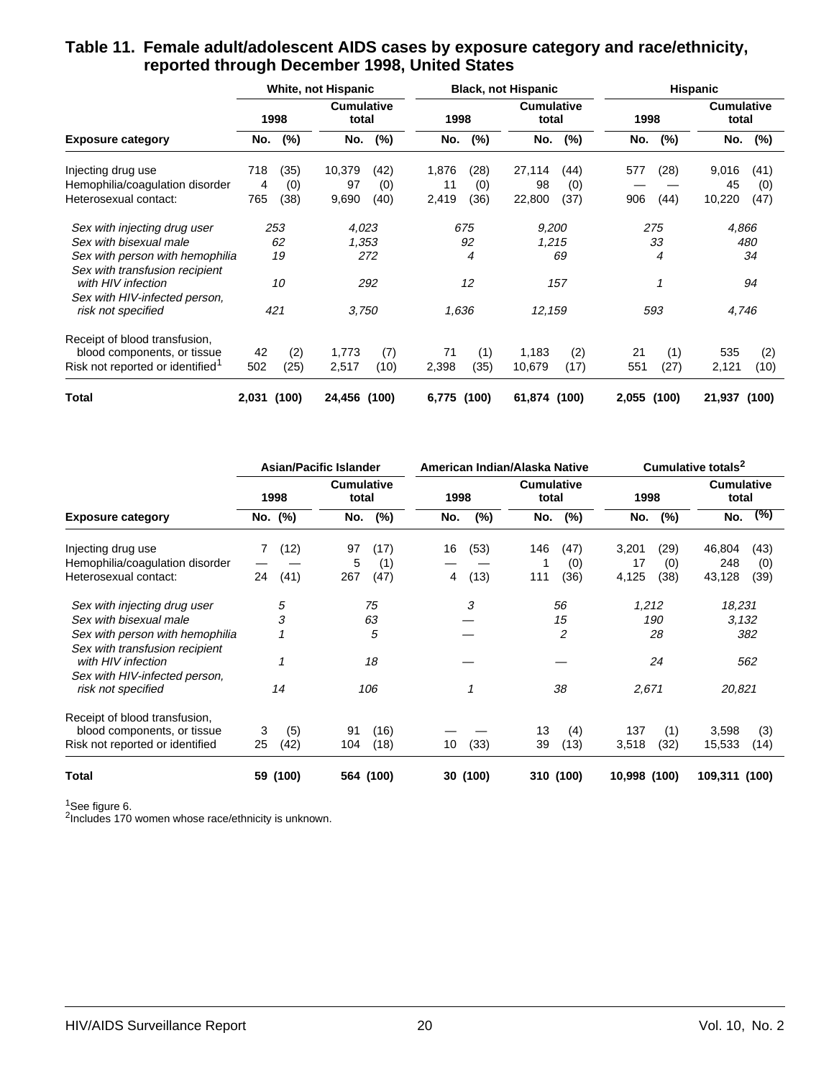|                                              |       |       | White, not Hispanic        |       |       |       | <b>Black, not Hispanic</b> |       |       |       | <b>Hispanic</b>            |       |
|----------------------------------------------|-------|-------|----------------------------|-------|-------|-------|----------------------------|-------|-------|-------|----------------------------|-------|
|                                              |       | 1998  | <b>Cumulative</b><br>total |       | 1998  |       | <b>Cumulative</b><br>total |       | 1998  |       | <b>Cumulative</b><br>total |       |
| <b>Exposure category</b>                     | No.   | (%)   | No.                        | (%)   | No.   | (%)   | No.                        | (%)   | No.   | (%)   | No.                        | (%)   |
| Injecting drug use                           | 718   | (35)  | 10,379                     | (42)  | 1,876 | (28)  | 27,114                     | (44)  | 577   | (28)  | 9,016                      | (41)  |
| Hemophilia/coagulation disorder              | 4     | (0)   | 97                         | (0)   | 11    | (0)   | 98                         | (0)   |       |       | 45                         | (0)   |
| Heterosexual contact:                        | 765   | (38)  | 9,690                      | (40)  | 2,419 | (36)  | 22,800                     | (37)  | 906   | (44)  | 10,220                     | (47)  |
| Sex with injecting drug user                 |       | 253   | 4,023                      |       |       | 675   | 9,200                      |       |       | 275   | 4,866                      |       |
| Sex with bisexual male                       |       | 62    | 1,353                      |       |       | 92    | 1,215                      |       |       | 33    |                            | 480   |
| Sex with person with hemophilia              |       | 19    |                            | 272   |       | 4     |                            | 69    |       | 4     |                            | 34    |
| Sex with transfusion recipient               |       |       |                            |       |       |       |                            |       |       |       |                            |       |
| with HIV infection                           |       | 10    |                            | 292   |       | 12    |                            | 157   |       | 1     |                            | 94    |
| Sex with HIV-infected person,                |       |       |                            |       |       |       |                            |       |       |       |                            |       |
| risk not specified                           |       | 421   | 3,750                      |       | 1,636 |       | 12,159                     |       |       | 593   | 4,746                      |       |
| Receipt of blood transfusion.                |       |       |                            |       |       |       |                            |       |       |       |                            |       |
| blood components, or tissue                  | 42    | (2)   | 1,773                      | (7)   | 71    | (1)   | 1,183                      | (2)   | 21    | (1)   | 535                        | (2)   |
| Risk not reported or identified <sup>1</sup> | 502   | (25)  | 2,517                      | (10)  | 2,398 | (35)  | 10,679                     | (17)  | 551   | (27)  | 2,121                      | (10)  |
| <b>Total</b>                                 | 2,031 | (100) | 24,456                     | (100) | 6,775 | (100) | 61,874                     | (100) | 2,055 | (100) | 21,937                     | (100) |

#### **Table 11. Female adult/adolescent AIDS cases by exposure category and race/ethnicity, reported through December 1998, United States**

|                                                      |    |          | <b>Asian/Pacific Islander</b> |           |      |          | American Indian/Alaska Native |           |              |      | Cumulative totals <sup>2</sup> |      |
|------------------------------------------------------|----|----------|-------------------------------|-----------|------|----------|-------------------------------|-----------|--------------|------|--------------------------------|------|
|                                                      |    | 1998     | <b>Cumulative</b><br>total    |           | 1998 |          | <b>Cumulative</b><br>total    |           | 1998         |      | <b>Cumulative</b><br>total     |      |
| <b>Exposure category</b>                             |    | No. (%)  | No.                           | (%)       | No.  | $(\%)$   | No.                           | (%)       | No.          | (%)  | No.                            | (%)  |
| Injecting drug use                                   |    | (12)     | 97                            | (17)      | 16   | (53)     | 146                           | (47)      | 3,201        | (29) | 46,804                         | (43) |
| Hemophilia/coagulation disorder                      |    |          | 5                             | (1)       |      |          |                               | (0)       | 17           | (0)  | 248                            | (0)  |
| Heterosexual contact:                                | 24 | (41)     | 267                           | (47)      | 4    | (13)     | 111                           | (36)      | 4,125        | (38) | 43,128                         | (39) |
| Sex with injecting drug user                         |    | 5        |                               | 75        |      | 3        |                               | 56        | 1,212        |      | 18,231                         |      |
| Sex with bisexual male                               |    | 3        |                               | 63        |      |          |                               | 15        |              | 190  | 3,132                          |      |
| Sex with person with hemophilia                      |    |          |                               | 5         |      |          |                               | 2         |              | 28   |                                | 382  |
| Sex with transfusion recipient<br>with HIV infection |    | 1        |                               | 18        |      |          |                               |           |              | 24   |                                | 562  |
| Sex with HIV-infected person,<br>risk not specified  |    | 14       |                               | 106       |      |          |                               | 38        | 2,671        |      | 20,821                         |      |
| Receipt of blood transfusion,                        |    |          |                               |           |      |          |                               |           |              |      |                                |      |
| blood components, or tissue                          | 3  | (5)      | 91                            | (16)      |      |          | 13                            | (4)       | 137          | (1)  | 3,598                          | (3)  |
| Risk not reported or identified                      | 25 | (42)     | 104                           | (18)      | 10   | (33)     | 39                            | (13)      | 3,518        | (32) | 15,533                         | (14) |
| Total                                                |    | 59 (100) |                               | 564 (100) |      | 30 (100) |                               | 310 (100) | 10,998 (100) |      | 109,311 (100)                  |      |

 $1$ See figure 6.

<sup>2</sup>Includes 170 women whose race/ethnicity is unknown.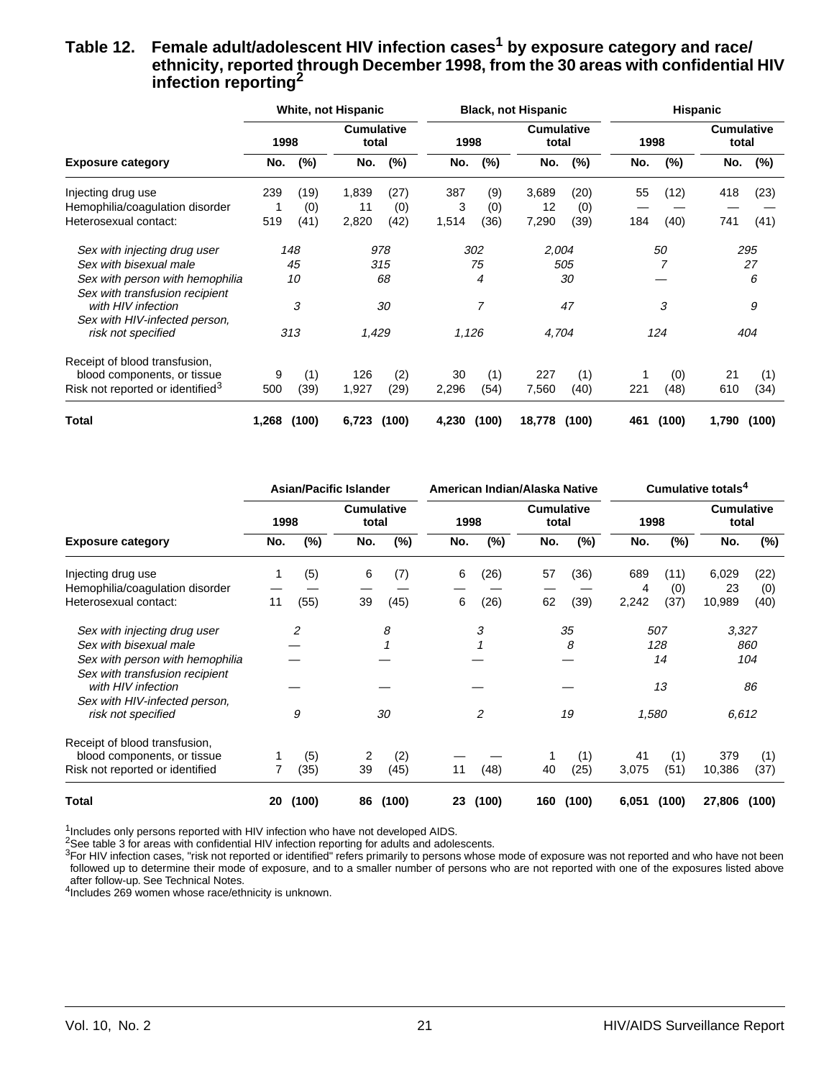#### Table 12. Female adult/adolescent HIV infection cases<sup>1</sup> by exposure category and race/ **ethnicity, reported through December 1998, from the 30 areas with confidential HIV infection reporting2**

|                                              |       |        | White, not Hispanic        |       |       |       | <b>Black, not Hispanic</b> |        |      |        | <b>Hispanic</b>            |       |
|----------------------------------------------|-------|--------|----------------------------|-------|-------|-------|----------------------------|--------|------|--------|----------------------------|-------|
|                                              | 1998  |        | <b>Cumulative</b><br>total |       | 1998  |       | <b>Cumulative</b><br>total |        | 1998 |        | <b>Cumulative</b><br>total |       |
| <b>Exposure category</b>                     | No.   | $(\%)$ | No.                        | (%)   | No.   | (%)   | No.                        | $(\%)$ | No.  | $(\%)$ | No.                        | (%)   |
| Injecting drug use                           | 239   | (19)   | 1,839                      | (27)  | 387   | (9)   | 3,689                      | (20)   | 55   | (12)   | 418                        | (23)  |
| Hemophilia/coagulation disorder              |       | (0)    | 11                         | (0)   | 3     | (0)   | 12                         | (0)    |      |        |                            |       |
| Heterosexual contact:                        | 519   | (41)   | 2,820                      | (42)  | 1,514 | (36)  | 7,290                      | (39)   | 184  | (40)   | 741                        | (41)  |
| Sex with injecting drug user                 |       | 148    |                            | 978   |       | 302   | 2,004                      |        |      | 50     |                            | 295   |
| Sex with bisexual male                       |       | 45     |                            | 315   |       | 75    |                            | 505    |      |        |                            | 27    |
| Sex with person with hemophilia              |       | 10     |                            | 68    |       | 4     |                            | 30     |      |        |                            | 6     |
| Sex with transfusion recipient               |       |        |                            |       |       |       |                            |        |      |        |                            |       |
| with HIV infection                           |       | 3      |                            | 30    |       | 7     |                            | 47     |      | 3      |                            | 9     |
| Sex with HIV-infected person,                |       |        |                            |       |       |       |                            |        |      |        |                            |       |
| risk not specified                           |       | 313    | 1,429                      |       | 1,126 |       | 4,704                      |        |      | 124    |                            | 404   |
| Receipt of blood transfusion,                |       |        |                            |       |       |       |                            |        |      |        |                            |       |
| blood components, or tissue                  | 9     | (1)    | 126                        | (2)   | 30    | (1)   | 227                        | (1)    |      | (0)    | 21                         | (1)   |
| Risk not reported or identified <sup>3</sup> | 500   | (39)   | 1,927                      | (29)  | 2,296 | (54)  | 7,560                      | (40)   | 221  | (48)   | 610                        | (34)  |
| <b>Total</b>                                 | 1,268 | (100)  | 6,723                      | (100) | 4,230 | (100) | 18,778                     | (100)  | 461  | (100)  | 1,790                      | (100) |

|                                                      |     | <b>Asian/Pacific Islander</b> |                            |        |      |        | American Indian/Alaska Native |        |       |        | Cumulative totals <sup>4</sup> |       |
|------------------------------------------------------|-----|-------------------------------|----------------------------|--------|------|--------|-------------------------------|--------|-------|--------|--------------------------------|-------|
|                                                      |     | 1998                          | <b>Cumulative</b><br>total |        | 1998 |        | <b>Cumulative</b><br>total    |        | 1998  |        | <b>Cumulative</b><br>total     |       |
| <b>Exposure category</b>                             | No. | $(\%)$                        | No.                        | $(\%)$ | No.  | $(\%)$ | No.                           | $(\%)$ | No.   | $(\%)$ | No.                            | (%)   |
| Injecting drug use                                   |     | (5)                           | 6                          | (7)    | 6    | (26)   | 57                            | (36)   | 689   | (11)   | 6,029                          | (22)  |
| Hemophilia/coagulation disorder                      |     |                               |                            |        |      |        |                               |        | 4     | (0)    | 23                             | (0)   |
| Heterosexual contact:                                | 11  | (55)                          | 39                         | (45)   | 6    | (26)   | 62                            | (39)   | 2,242 | (37)   | 10,989                         | (40)  |
| Sex with injecting drug user                         |     | 2                             |                            | 8      |      | 3      |                               | 35     |       | 507    | 3,327                          |       |
| Sex with bisexual male                               |     |                               |                            |        |      |        |                               | 8      |       | 128    |                                | 860   |
| Sex with person with hemophilia                      |     |                               |                            |        |      |        |                               |        |       | 14     |                                | 104   |
| Sex with transfusion recipient<br>with HIV infection |     |                               |                            |        |      |        |                               |        |       | 13     |                                | 86    |
| Sex with HIV-infected person,                        |     |                               |                            |        |      |        |                               |        |       |        |                                |       |
| risk not specified                                   |     | 9                             |                            | 30     |      | 2      |                               | 19     | 1,580 |        | 6,612                          |       |
| Receipt of blood transfusion,                        |     |                               |                            |        |      |        |                               |        |       |        |                                |       |
| blood components, or tissue                          |     | (5)                           | 2                          | (2)    |      |        | 1                             | (1)    | 41    | (1)    | 379                            | (1)   |
| Risk not reported or identified                      |     | (35)                          | 39                         | (45)   | 11   | (48)   | 40                            | (25)   | 3,075 | (51)   | 10,386                         | (37)  |
| Total                                                | 20  | (100)                         | 86                         | (100)  | 23   | (100)  | 160                           | (100)  | 6,051 | (100)  | 27,806                         | (100) |

 $1$ Includes only persons reported with HIV infection who have not developed AIDS.

2See table 3 for areas with confidential HIV infection reporting for adults and adolescents.

3For HIV infection cases, "risk not reported or identified" refers primarily to persons whose mode of exposure was not reported and who have not been followed up to determine their mode of exposure, and to a smaller number of persons who are not reported with one of the exposures listed above after follow-up. See Technical Notes.

4Includes 269 women whose race/ethnicity is unknown.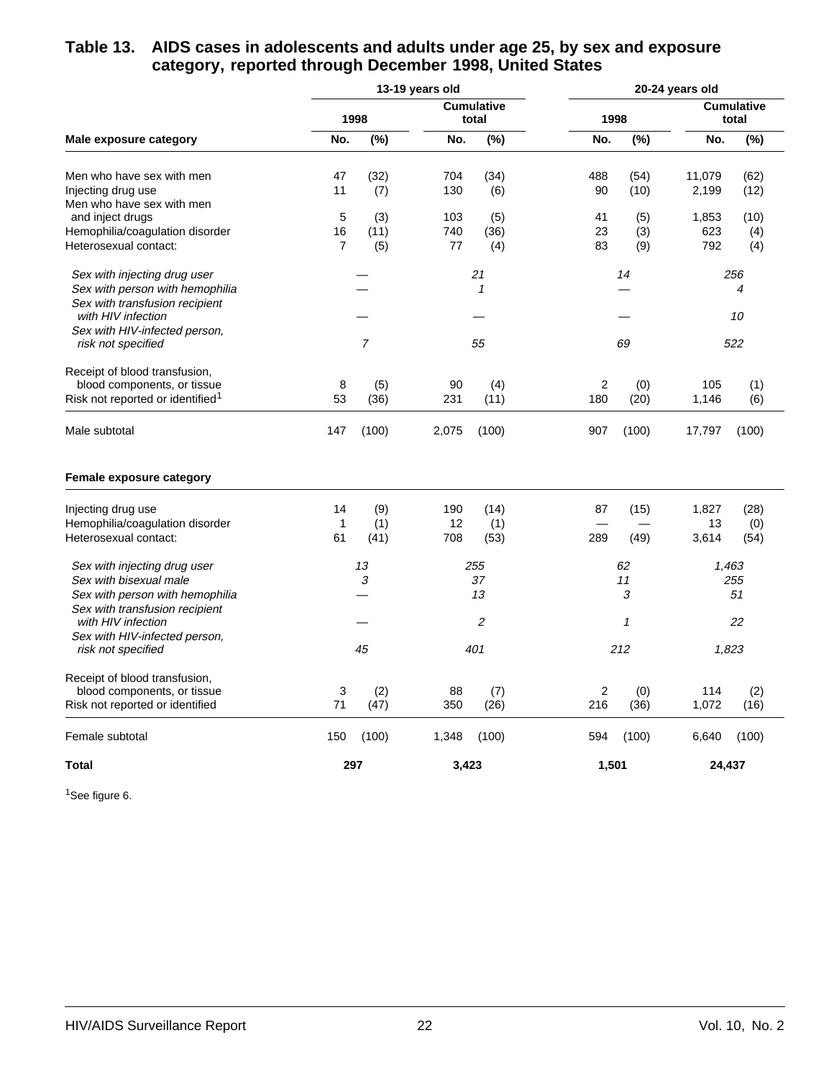#### **Table 13. AIDS cases in adolescents and adults under age 25, by sex and exposure category, reported through December 1998, United States**

|                                                      |                |                            | 13-19 years old |                            |                |              | 20-24 years old |                            |
|------------------------------------------------------|----------------|----------------------------|-----------------|----------------------------|----------------|--------------|-----------------|----------------------------|
|                                                      |                | 1998                       |                 | <b>Cumulative</b><br>total | 1998           |              |                 | <b>Cumulative</b><br>total |
| Male exposure category                               | No.            | (%)                        | No.             | (%)                        | No.            | (%)          | No.             | (%)                        |
| Men who have sex with men                            | 47             | (32)                       | 704             | (34)                       | 488            | (54)         | 11,079          | (62)                       |
| Injecting drug use                                   | 11             | (7)                        | 130             | (6)                        | 90             | (10)         | 2,199           | (12)                       |
| Men who have sex with men                            |                |                            |                 |                            |                |              |                 |                            |
| and inject drugs                                     | 5              | (3)                        | 103             | (5)                        | 41             | (5)          | 1,853           | (10)                       |
| Hemophilia/coagulation disorder                      | 16             | (11)                       | 740             | (36)                       | 23             | (3)          | 623             | (4)                        |
| Heterosexual contact:                                | $\overline{7}$ | (5)                        | 77              | (4)                        | 83             | (9)          | 792             | (4)                        |
| Sex with injecting drug user                         |                |                            |                 | 21                         |                | 14           |                 | 256                        |
| Sex with person with hemophilia                      |                |                            |                 | $\mathbf{1}$               |                |              |                 | 4                          |
| Sex with transfusion recipient<br>with HIV infection |                |                            |                 |                            |                |              |                 | 10                         |
| Sex with HIV-infected person,                        |                |                            |                 |                            |                |              |                 |                            |
| risk not specified                                   |                | $\overline{7}$             |                 | 55                         |                | 69           |                 | 522                        |
| Receipt of blood transfusion,                        |                |                            |                 |                            |                |              |                 |                            |
| blood components, or tissue                          | 8              | (5)                        | 90              | (4)                        | $\overline{2}$ | (0)          | 105             | (1)                        |
| Risk not reported or identified <sup>1</sup>         | 53             | (36)                       | 231             | (11)                       | 180            | (20)         | 1,146           | (6)                        |
| Male subtotal                                        | 147            | (100)                      | 2,075           | (100)                      | 907            | (100)        | 17,797          | (100)                      |
| Female exposure category                             |                |                            |                 |                            |                |              |                 |                            |
| Injecting drug use                                   | 14             | (9)                        | 190             | (14)                       | 87             | (15)         | 1,827           | (28)                       |
| Hemophilia/coagulation disorder                      | 1              | (1)                        | 12              | (1)                        |                |              | 13              | (0)                        |
| Heterosexual contact:                                | 61             | (41)                       | 708             | (53)                       | 289            | (49)         | 3,614           | (54)                       |
| Sex with injecting drug user                         |                | 13                         |                 | 255                        |                | 62           | 1,463           |                            |
| Sex with bisexual male                               |                | $\boldsymbol{\mathcal{S}}$ |                 | 37                         |                | 11           |                 | 255                        |
| Sex with person with hemophilia                      |                |                            |                 | 13                         |                | 3            |                 | 51                         |
| Sex with transfusion recipient                       |                |                            |                 |                            |                |              |                 |                            |
| with HIV infection                                   |                |                            |                 | $\overline{2}$             |                | $\mathbf{1}$ |                 | 22                         |
| Sex with HIV-infected person,<br>risk not specified  |                | 45                         |                 | 401                        |                | 212          | 1,823           |                            |
| Receipt of blood transfusion,                        |                |                            |                 |                            |                |              |                 |                            |
| blood components, or tissue                          | 3              | (2)                        | 88              | (7)                        | 2              | (0)          | 114             | (2)                        |
| Risk not reported or identified                      | 71             | (47)                       | 350             | (26)                       | 216            | (36)         | 1,072           | (16)                       |
| Female subtotal                                      | 150            | (100)                      | 1,348           | (100)                      | 594            | (100)        | 6,640           | (100)                      |
| Total                                                | 297            |                            | 3,423           |                            | 1,501          |              | 24,437          |                            |

<sup>1</sup>See figure 6.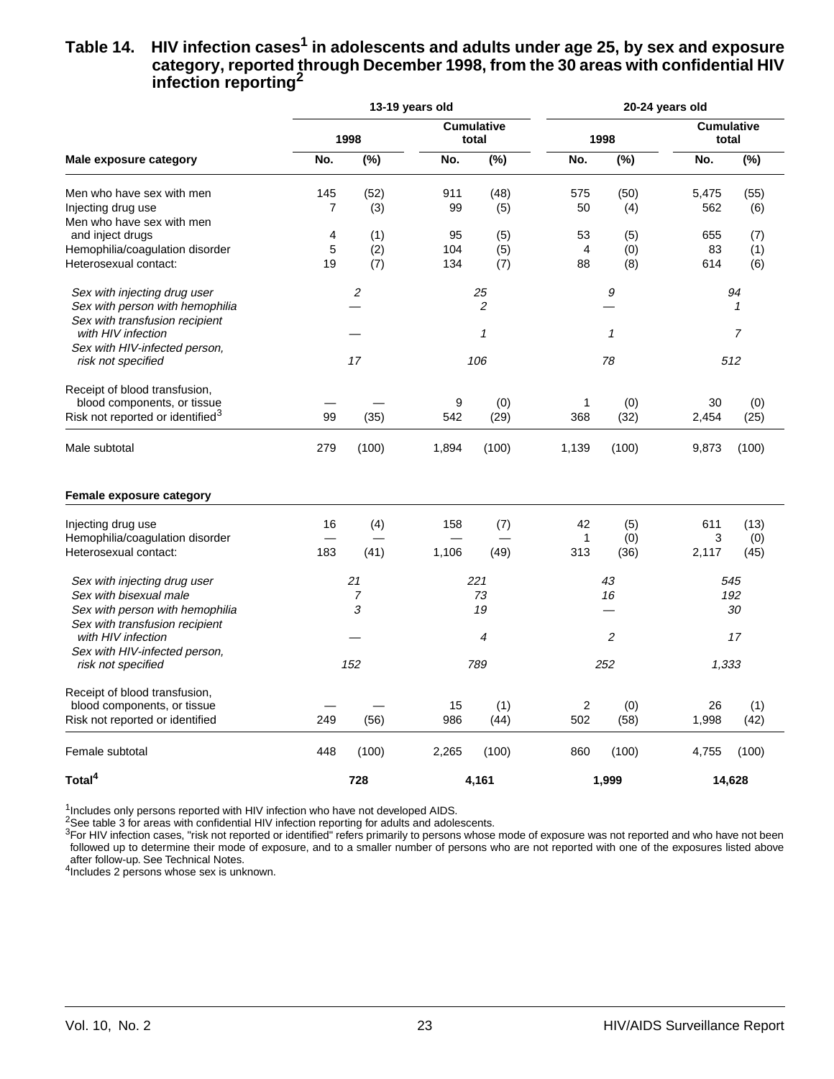#### Table 14. HIV infection cases<sup>1</sup> in adolescents and adults under age 25, by sex and exposure **category, reported through December 1998, from the 30 areas with confidential HIV infection reporting2**

|                                                                   |                |                  | 13-19 years old |                            |           |                   | 20-24 years old            |             |
|-------------------------------------------------------------------|----------------|------------------|-----------------|----------------------------|-----------|-------------------|----------------------------|-------------|
|                                                                   |                | 1998             |                 | <b>Cumulative</b><br>total |           | 1998              | <b>Cumulative</b><br>total |             |
| Male exposure category                                            | No.            | $\sqrt{(26)}$    | No.             | (%)                        | No.       | $\overline{(\%)}$ | No.                        | (%)         |
| Men who have sex with men<br>Injecting drug use                   | 145<br>7       | (52)<br>(3)      | 911<br>99       | (48)<br>(5)                | 575<br>50 | (50)<br>(4)       | 5,475<br>562               | (55)<br>(6) |
| Men who have sex with men<br>and inject drugs                     | $\overline{4}$ | (1)              | 95              | (5)                        | 53        | (5)               | 655                        | (7)         |
| Hemophilia/coagulation disorder                                   | 5              | (2)              | 104             | (5)                        | 4         | (0)               | 83                         | (1)         |
| Heterosexual contact:                                             | 19             | (7)              | 134             | (7)                        | 88        | (8)               | 614                        | (6)         |
| Sex with injecting drug user                                      |                | $\boldsymbol{2}$ |                 | 25                         |           | 9                 |                            | 94          |
| Sex with person with hemophilia<br>Sex with transfusion recipient |                |                  |                 | 2                          |           |                   |                            | 1           |
| with HIV infection                                                |                |                  |                 | 1                          |           | $\mathcal I$      |                            | 7           |
| Sex with HIV-infected person,<br>risk not specified               |                | 17               |                 | 106                        |           | 78                |                            | 512         |
| Receipt of blood transfusion,<br>blood components, or tissue      |                |                  | 9               | (0)                        | 1         | (0)               | 30                         | (0)         |
| Risk not reported or identified <sup>3</sup>                      | 99             | (35)             | 542             | (29)                       | 368       | (32)              | 2,454                      | (25)        |
| Male subtotal                                                     | 279            | (100)            | 1,894           | (100)                      | 1,139     | (100)             | 9,873                      | (100)       |
| Female exposure category                                          |                |                  |                 |                            |           |                   |                            |             |
| Injecting drug use                                                | 16             | (4)              | 158             | (7)                        | 42        | (5)               | 611                        | (13)        |
| Hemophilia/coagulation disorder<br>Heterosexual contact:          | 183            | (41)             | 1,106           | (49)                       | 1<br>313  | (0)<br>(36)       | 3<br>2,117                 | (0)<br>(45) |
| Sex with injecting drug user                                      |                | 21               |                 | 221                        |           | 43                |                            | 545         |
| Sex with bisexual male                                            |                | $\overline{7}$   |                 | 73                         |           | 16                |                            | 192         |
| Sex with person with hemophilia                                   |                | 3                |                 | 19                         |           |                   |                            | 30          |
| Sex with transfusion recipient<br>with HIV infection              |                |                  |                 | 4                          |           | 2                 |                            | 17          |
| Sex with HIV-infected person,                                     |                |                  |                 |                            |           |                   |                            |             |
| risk not specified                                                |                | 152              |                 | 789                        |           | 252               | 1,333                      |             |
| Receipt of blood transfusion,                                     |                |                  |                 |                            |           |                   |                            |             |
| blood components, or tissue<br>Risk not reported or identified    | 249            | (56)             | 15<br>986       | (1)<br>(44)                | 2<br>502  | (0)<br>(58)       | 26<br>1,998                | (1)<br>(42) |
| Female subtotal                                                   | 448            | (100)            | 2,265           | (100)                      | 860       | (100)             | 4,755                      | (100)       |
| Total <sup>4</sup>                                                |                | 728              |                 | 4,161                      |           | 1,999             |                            | 14,628      |

 $1$ Includes only persons reported with HIV infection who have not developed AIDS.

 $2$ See table 3 for areas with confidential HIV infection reporting for adults and adolescents.

 $3$ For HIV infection cases, "risk not reported or identified" refers primarily to persons whose mode of exposure was not reported and who have not been followed up to determine their mode of exposure, and to a smaller number of persons who are not reported with one of the exposures listed above after follow-up. See Technical Notes.

4Includes 2 persons whose sex is unknown.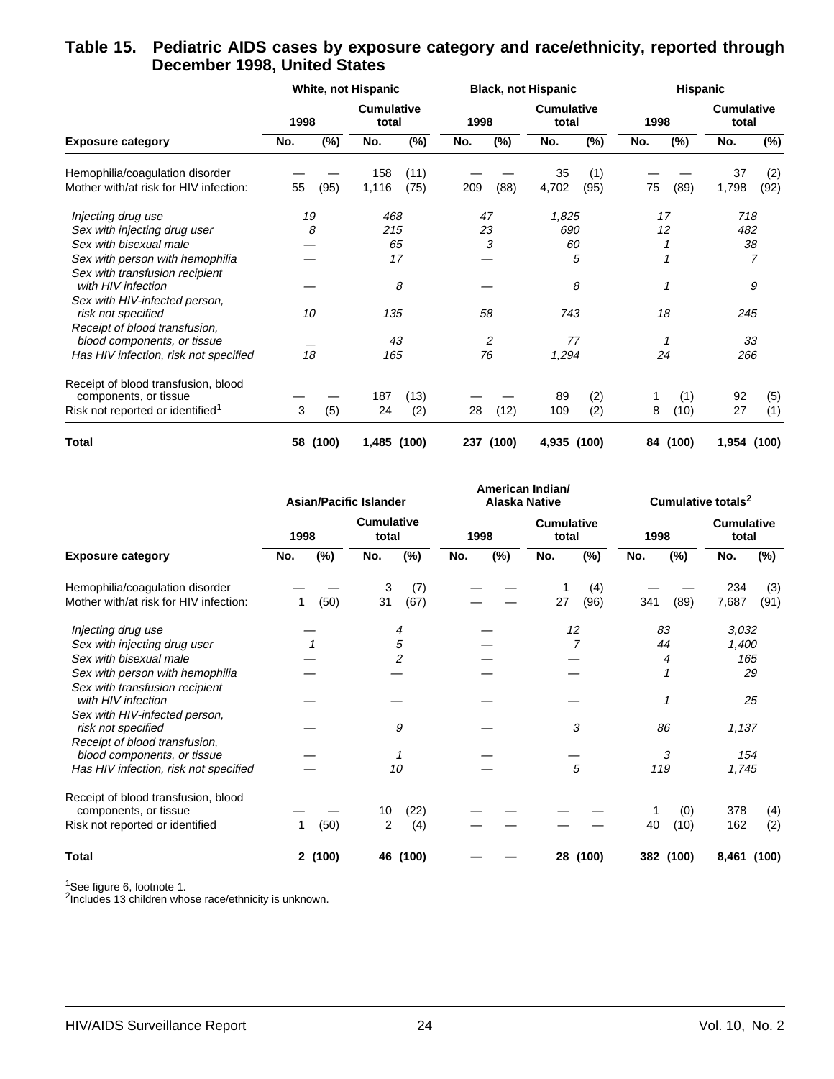#### **Table 15. Pediatric AIDS cases by exposure category and race/ethnicity, reported through December 1998, United States**

|                                                              |      |        | White, not Hispanic        |        |      |        | <b>Black, not Hispanic</b> |        | <b>Hispanic</b> |        |                            |             |  |
|--------------------------------------------------------------|------|--------|----------------------------|--------|------|--------|----------------------------|--------|-----------------|--------|----------------------------|-------------|--|
|                                                              | 1998 |        | <b>Cumulative</b><br>total |        | 1998 |        | <b>Cumulative</b><br>total |        | 1998            |        | <b>Cumulative</b><br>total |             |  |
| <b>Exposure category</b>                                     | No.  | $(\%)$ | No.                        | $(\%)$ | No.  | $(\%)$ | No.                        | $(\%)$ | No.             | $(\%)$ | No.                        | $(\%)$      |  |
| Hemophilia/coagulation disorder                              |      |        | 158                        | (11)   |      |        | 35                         | (1)    |                 |        | 37                         | (2)         |  |
| Mother with/at risk for HIV infection:                       | 55   | (95)   | 1,116                      | (75)   | 209  | (88)   | 4,702                      | (95)   | 75              | (89)   | 1,798                      | (92)        |  |
| Injecting drug use                                           | 19   |        | 468                        |        | 47   |        | 1,825                      |        |                 | 17     | 718                        |             |  |
| Sex with injecting drug user                                 |      | 8      | 215                        |        | 23   |        | 690                        |        |                 | 12     | 482                        |             |  |
| Sex with bisexual male                                       |      |        | 65                         |        |      | 3      | 60                         |        |                 |        | 38                         |             |  |
| Sex with person with hemophilia                              |      |        | 17                         |        |      |        |                            | 5      |                 |        |                            |             |  |
| Sex with transfusion recipient<br>with HIV infection         |      |        | 8                          |        |      |        |                            | 8      |                 | 1      |                            | 9           |  |
| Sex with HIV-infected person,<br>risk not specified          | 10   |        | 135                        |        | 58   |        | 743                        |        | 18              |        | 245                        |             |  |
| Receipt of blood transfusion,<br>blood components, or tissue |      |        | 43                         |        | 2    |        | 77                         |        |                 |        | 33                         |             |  |
| Has HIV infection, risk not specified                        | 18   |        | 165                        |        |      | 76     | 1,294                      |        |                 | 24     | 266                        |             |  |
| Receipt of blood transfusion, blood<br>components, or tissue |      |        | 187                        | (13)   |      |        | 89                         | (2)    |                 | (1)    | 92                         | (5)         |  |
| Risk not reported or identified <sup>1</sup>                 | 3    | (5)    | 24                         | (2)    | 28   | (12)   | 109                        | (2)    | 8               | (10)   | 27                         | (1)         |  |
| <b>Total</b>                                                 | 58   | (100)  | 1,485                      | (100)  | 237  | (100)  | 4,935                      | (100)  | 84              | (100)  |                            | 1,954 (100) |  |

|                                                              |               | <b>Asian/Pacific Islander</b> | American Indian/<br><b>Alaska Native</b> |                            | Cumulative totals <sup>2</sup> |                            |  |  |
|--------------------------------------------------------------|---------------|-------------------------------|------------------------------------------|----------------------------|--------------------------------|----------------------------|--|--|
|                                                              | 1998          | <b>Cumulative</b><br>total    | 1998                                     | <b>Cumulative</b><br>total | 1998                           | <b>Cumulative</b><br>total |  |  |
| <b>Exposure category</b>                                     | $(\%)$<br>No. | $(\%)$<br>No.                 | No.<br>$(\%)$                            | $(\%)$<br>No.              | $(\%)$<br>No.                  | $(\%)$<br>No.              |  |  |
| Hemophilia/coagulation disorder                              |               | 3<br>(7)                      |                                          | (4)                        |                                | 234<br>(3)                 |  |  |
| Mother with/at risk for HIV infection:                       | (50)          | 31<br>(67)                    |                                          | (96)<br>27                 | 341<br>(89)                    | 7,687<br>(91)              |  |  |
| Injecting drug use                                           |               | 4                             |                                          | 12                         | 83                             | 3,032                      |  |  |
| Sex with injecting drug user                                 |               | 5                             |                                          | 7                          | 44                             | 1,400                      |  |  |
| Sex with bisexual male                                       |               | $\overline{2}$                |                                          |                            | 4                              | 165                        |  |  |
| Sex with person with hemophilia                              |               |                               |                                          |                            |                                | 29                         |  |  |
| Sex with transfusion recipient<br>with HIV infection         |               |                               |                                          |                            | 1                              | 25                         |  |  |
| Sex with HIV-infected person,<br>risk not specified          |               | 9                             |                                          | 3                          | 86                             | 1,137                      |  |  |
| Receipt of blood transfusion,                                |               |                               |                                          |                            |                                |                            |  |  |
| blood components, or tissue                                  |               |                               |                                          |                            | 3                              | 154                        |  |  |
| Has HIV infection, risk not specified                        |               | 10                            |                                          | 5                          | 119                            | 1,745                      |  |  |
| Receipt of blood transfusion, blood<br>components, or tissue |               | (22)<br>10                    |                                          |                            | (0)                            | 378<br>(4)                 |  |  |
| Risk not reported or identified                              | (50)          | 2<br>(4)                      |                                          |                            | (10)<br>40                     | 162<br>(2)                 |  |  |
| <b>Total</b>                                                 | 2 (100)       | 46 (100)                      |                                          | (100)<br>28                | 382 (100)                      | 8,461 (100)                |  |  |

<sup>1</sup>See figure 6, footnote 1.

<sup>2</sup>Includes 13 children whose race/ethnicity is unknown.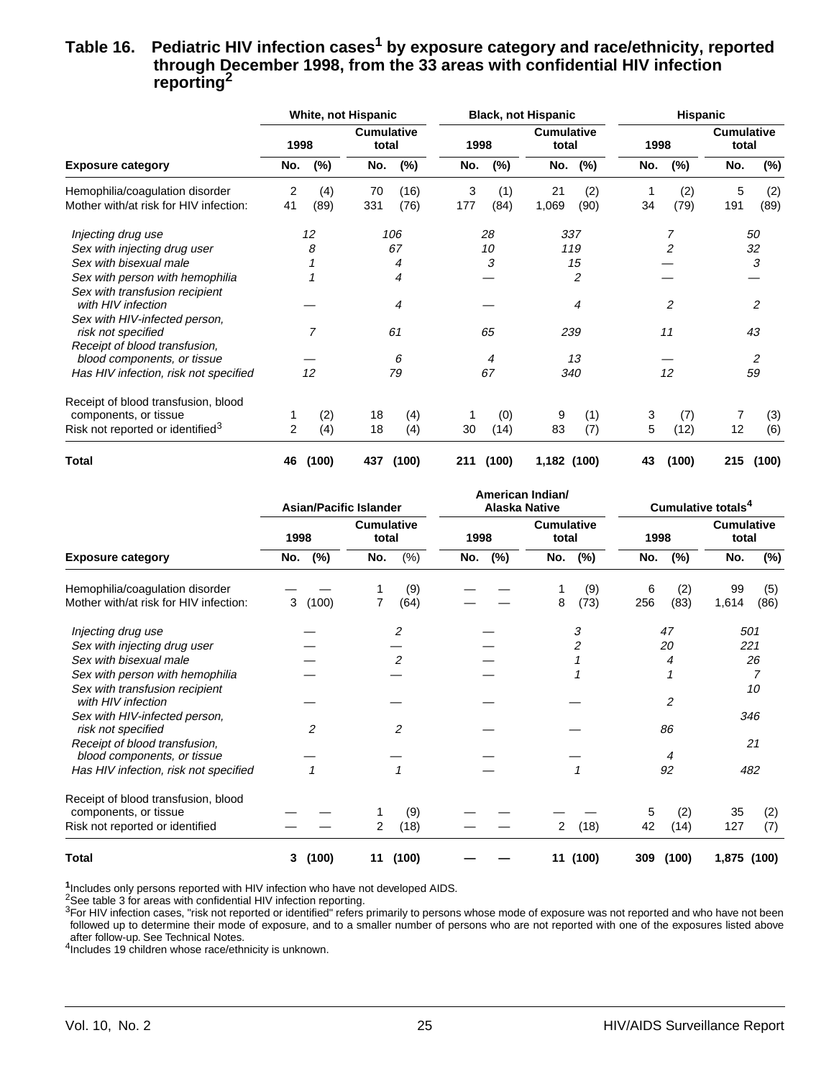#### Table 16. Pediatric HIV infection cases<sup>1</sup> by exposure category and race/ethnicity, reported **through December 1998, from the 33 areas with confidential HIV infection reporting2**

|                                              |      |       | White, not Hispanic |                            |     |       | <b>Black, not Hispanic</b> |                | <b>Hispanic</b> |                |                            |        |  |
|----------------------------------------------|------|-------|---------------------|----------------------------|-----|-------|----------------------------|----------------|-----------------|----------------|----------------------------|--------|--|
|                                              | 1998 |       |                     | <b>Cumulative</b><br>total |     | 1998  | <b>Cumulative</b><br>total |                | 1998            |                | <b>Cumulative</b><br>total |        |  |
| <b>Exposure category</b>                     | No.  | (%)   | No.                 | $(\%)$                     | No. | (%)   | No.                        | (%)            | No.             | (%)            | No.                        | $(\%)$ |  |
| Hemophilia/coagulation disorder              | 2    | (4)   | 70                  | (16)                       | 3   | (1)   | 21                         | (2)            |                 | (2)            | 5                          | (2)    |  |
| Mother with/at risk for HIV infection:       | 41   | (89)  | 331                 | (76)                       | 177 | (84)  | 1,069                      | (90)           | 34              | (79)           | 191                        | (89)   |  |
| Injecting drug use                           |      | 12    |                     | 106                        |     | 28    |                            | 337            |                 | 7              |                            | 50     |  |
| Sex with injecting drug user                 |      | 8     |                     | 67                         |     | 10    |                            | 119            |                 | $\overline{2}$ |                            | 32     |  |
| Sex with bisexual male                       |      |       |                     | 4                          |     | 3     |                            | 15             |                 |                |                            | 3      |  |
| Sex with person with hemophilia              |      |       | 4                   |                            |     |       |                            | $\overline{2}$ |                 |                |                            |        |  |
| Sex with transfusion recipient               |      |       |                     |                            |     |       |                            |                |                 |                |                            |        |  |
| with HIV infection                           |      |       | 4                   |                            |     |       |                            | 4              |                 | 2              |                            | 2      |  |
| Sex with HIV-infected person,                |      |       |                     |                            |     |       |                            |                |                 |                |                            |        |  |
| risk not specified                           |      | 7     |                     | 61                         | 65  |       | 239                        |                | 11              |                | 43                         |        |  |
| Receipt of blood transfusion,                |      |       |                     |                            |     |       |                            |                |                 |                |                            |        |  |
| blood components, or tissue                  |      |       |                     | 6                          |     | 4     |                            | 13             |                 |                |                            | 2      |  |
| Has HIV infection, risk not specified        |      | 12    |                     | 79                         |     | 67    |                            | 340            |                 | 12             |                            | 59     |  |
| Receipt of blood transfusion, blood          |      |       |                     |                            |     |       |                            |                |                 |                |                            |        |  |
| components, or tissue                        |      | (2)   | 18                  | (4)                        | 1   | (0)   | 9                          | (1)            | 3               | (7)            | 7                          | (3)    |  |
| Risk not reported or identified <sup>3</sup> | 2    | (4)   | 18                  | (4)                        | 30  | (14)  | 83                         | (7)            | 5               | (12)           | 12                         | (6)    |  |
| Total                                        | 46   | (100) | 437                 | (100)                      | 211 | (100) | 1,182 (100)                |                | 43              | (100)          | 215                        | (100)  |  |

|                                        |                | <b>Asian/Pacific Islander</b> | American Indian/<br><b>Alaska Native</b> |                            | Cumulative totals <sup>4</sup> |                            |  |  |
|----------------------------------------|----------------|-------------------------------|------------------------------------------|----------------------------|--------------------------------|----------------------------|--|--|
|                                        | 1998           | <b>Cumulative</b><br>total    | 1998                                     | <b>Cumulative</b><br>total | 1998                           | <b>Cumulative</b><br>total |  |  |
| <b>Exposure category</b>               | (%)<br>No.     | $(\%)$<br>No.                 | (%)<br>No.                               | $(\%)$<br>No.              | $(\%)$<br>No.                  | No.<br>$(\%)$              |  |  |
| Hemophilia/coagulation disorder        |                | (9)                           |                                          | (9)                        | (2)<br>6                       | 99<br>(5)                  |  |  |
| Mother with/at risk for HIV infection: | 3<br>(100)     | (64)<br>7                     |                                          | 8<br>(73)                  | (83)<br>256                    | 1,614<br>(86)              |  |  |
| Injecting drug use                     |                | 2                             |                                          | 3                          | 47                             | 501                        |  |  |
| Sex with injecting drug user           |                |                               |                                          | 2                          | 20                             | 221                        |  |  |
| Sex with bisexual male                 |                | $\overline{c}$                |                                          |                            | 4                              | 26                         |  |  |
| Sex with person with hemophilia        |                |                               |                                          |                            |                                |                            |  |  |
| Sex with transfusion recipient         |                |                               |                                          |                            |                                | 10                         |  |  |
| with HIV infection                     |                |                               |                                          |                            | 2                              |                            |  |  |
| Sex with HIV-infected person,          |                |                               |                                          |                            |                                | 346                        |  |  |
| risk not specified                     | 2              | $\overline{c}$                |                                          |                            | 86                             |                            |  |  |
| Receipt of blood transfusion,          |                |                               |                                          |                            |                                | 21                         |  |  |
| blood components, or tissue            |                |                               |                                          |                            | 4                              |                            |  |  |
| Has HIV infection, risk not specified  | $\overline{1}$ | $\mathbf{1}$                  |                                          | $\mathbf{1}$               | 92                             | 482                        |  |  |
| Receipt of blood transfusion, blood    |                |                               |                                          |                            |                                |                            |  |  |
| components, or tissue                  |                | (9)                           |                                          |                            | (2)<br>5                       | 35<br>(2)                  |  |  |
| Risk not reported or identified        |                | (18)<br>2                     |                                          | (18)<br>2                  | 42<br>(14)                     | 127<br>(7)                 |  |  |
| Total                                  | (100)<br>3     | (100)<br>11                   |                                          | (100)<br>11                | (100)<br>309                   | 1,875<br>(100)             |  |  |

**<sup>1</sup>**Includes only persons reported with HIV infection who have not developed AIDS.

<sup>2</sup>See table 3 for areas with confidential HIV infection reporting.

3For HIV infection cases, "risk not reported or identified" refers primarily to persons whose mode of exposure was not reported and who have not been followed up to determine their mode of exposure, and to a smaller number of persons who are not reported with one of the exposures listed above after follow-up. See Technical Notes.

<sup>4</sup>Includes 19 children whose race/ethnicity is unknown.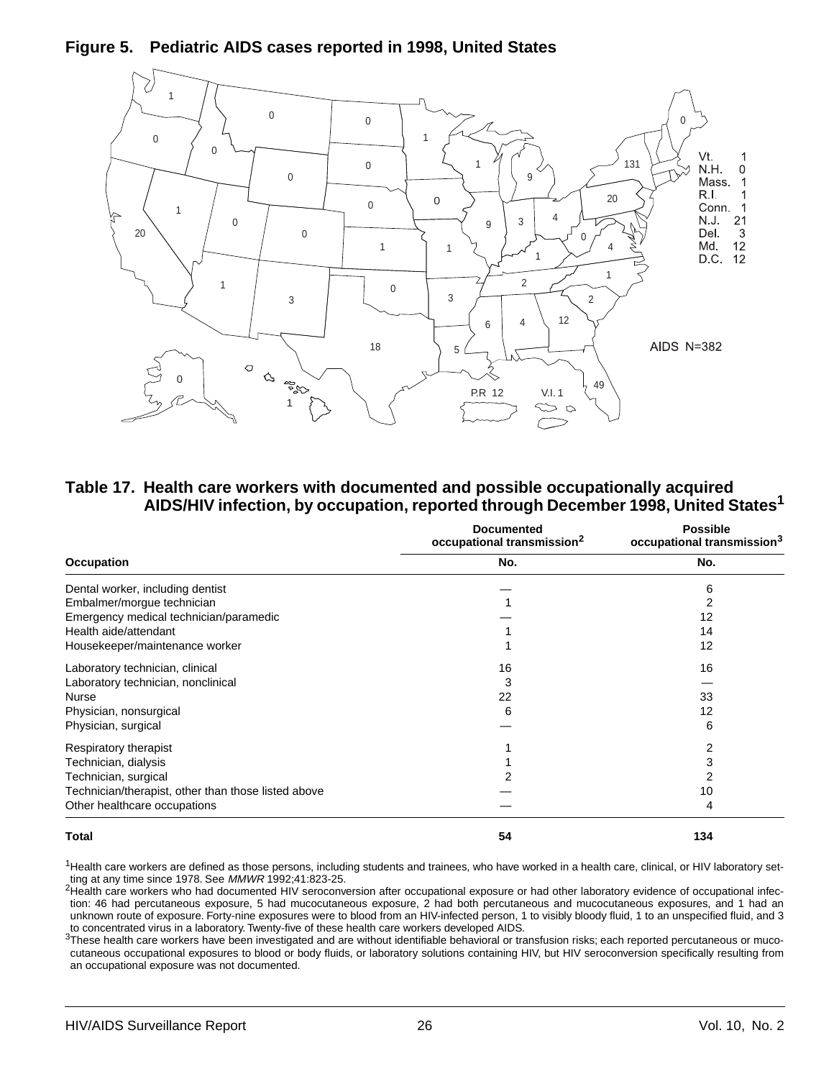**Figure 5. Pediatric AIDS cases reported in 1998, United States**



**Table 17. Health care workers with documented and possible occupationally acquired AIDS/HIV infection, by occupation, reported through December 1998, United States1**

|                                                     | <b>Documented</b><br>occupational transmission <sup>2</sup> | <b>Possible</b><br>occupational transmission <sup>3</sup> |
|-----------------------------------------------------|-------------------------------------------------------------|-----------------------------------------------------------|
| <b>Occupation</b>                                   | No.                                                         | No.                                                       |
| Dental worker, including dentist                    |                                                             | 6                                                         |
| Embalmer/morgue technician                          |                                                             | 2                                                         |
| Emergency medical technician/paramedic              |                                                             | 12                                                        |
| Health aide/attendant                               |                                                             | 14                                                        |
| Housekeeper/maintenance worker                      |                                                             | 12                                                        |
| Laboratory technician, clinical                     | 16                                                          | 16                                                        |
| Laboratory technician, nonclinical                  | 3                                                           |                                                           |
| <b>Nurse</b>                                        | 22                                                          | 33                                                        |
| Physician, nonsurgical                              | 6                                                           | 12                                                        |
| Physician, surgical                                 |                                                             | 6                                                         |
| Respiratory therapist                               |                                                             | 2                                                         |
| Technician, dialysis                                |                                                             | 3                                                         |
| Technician, surgical                                |                                                             |                                                           |
| Technician/therapist, other than those listed above |                                                             | 10                                                        |
| Other healthcare occupations                        |                                                             | 4                                                         |
| Total                                               | 54                                                          | 134                                                       |

 $1$ Health care workers are defined as those persons, including students and trainees, who have worked in a health care, clinical, or HIV laboratory setting at any time since 1978. See MMWR 1992;41:823-25.

2Health care workers who had documented HIV seroconversion after occupational exposure or had other laboratory evidence of occupational infection: 46 had percutaneous exposure, 5 had mucocutaneous exposure, 2 had both percutaneous and mucocutaneous exposures, and 1 had an unknown route of exposure. Forty-nine exposures were to blood from an HIV-infected person, 1 to visibly bloody fluid, 1 to an unspecified fluid, and 3 to concentrated virus in a laboratory. Twenty-five of these health care workers developed AIDS.

3These health care workers have been investigated and are without identifiable behavioral or transfusion risks; each reported percutaneous or mucocutaneous occupational exposures to blood or body fluids, or laboratory solutions containing HIV, but HIV seroconversion specifically resulting from an occupational exposure was not documented.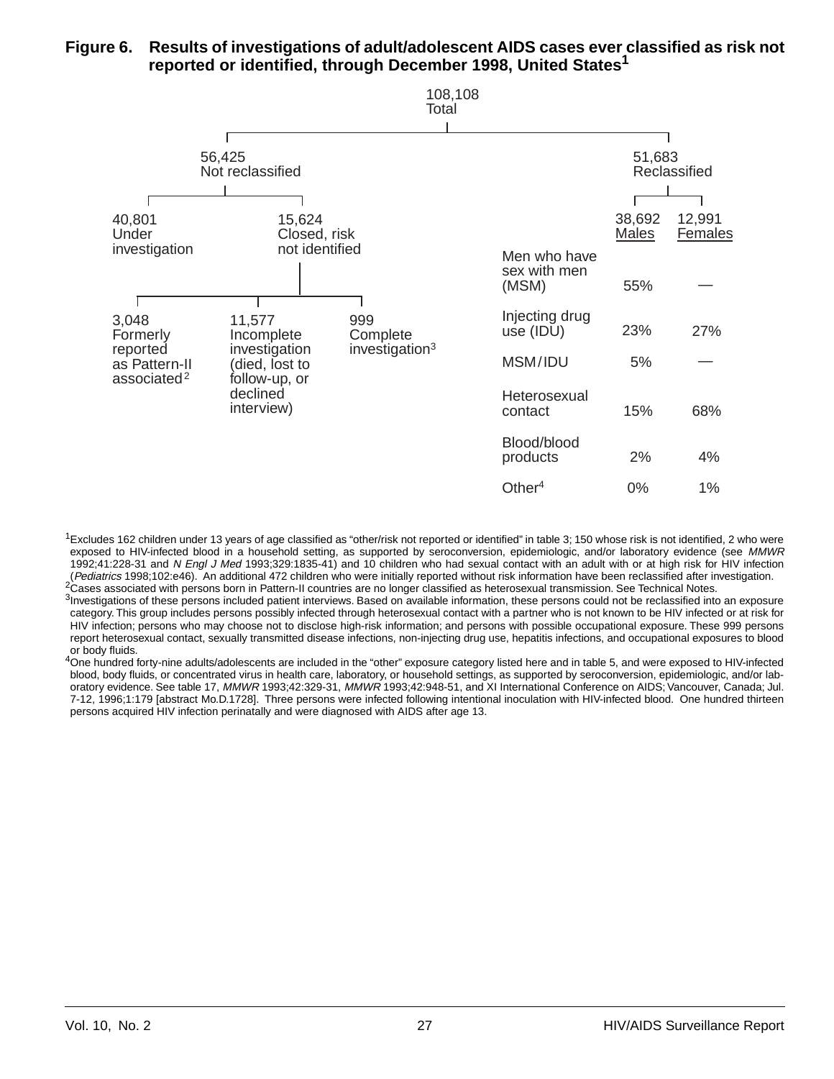#### **Figure 6. Results of investigations of adult/adolescent AIDS cases ever classified as risk not reported or identified, through December 1998, United States1**



 $1$ Excludes 162 children under 13 years of age classified as "other/risk not reported or identified" in table 3; 150 whose risk is not identified, 2 who were exposed to HIV-infected blood in a household setting, as supported by seroconversion, epidemiologic, and/or laboratory evidence (see MMWR 1992;41:228-31 and N Engl J Med 1993;329:1835-41) and 10 children who had sexual contact with an adult with or at high risk for HIV infection (Pediatrics 1998;102:e46). An additional 472 children who were initially reporte

<sup>2</sup>Cases associated with persons born in Pattern-II countries are no longer classified as heterosexual transmission. See Technical Notes. <sup>3</sup>Investigations of these persons included patient interviews. Based on available information, these persons could not be reclassified into an exposure category. This group includes persons possibly infected through heterosexual contact with a partner who is not known to be HIV infected or at risk for HIV infection; persons who may choose not to disclose high-risk information; and persons with possible occupational exposure. These 999 persons report heterosexual contact, sexually transmitted disease infections, non-injecting drug use, hepatitis infections, and occupational exposures to blood or body fluids.

4One hundred forty-nine adults/adolescents are included in the "other" exposure category listed here and in table 5, and were exposed to HIV-infected blood, body fluids, or concentrated virus in health care, laboratory, or household settings, as supported by seroconversion, epidemiologic, and/or laboratory evidence. See table 17, MMWR 1993;42:329-31, MMWR 1993;42:948-51, and XI International Conference on AIDS; Vancouver, Canada; Jul. 7-12, 1996;1:179 [abstract Mo.D.1728]. Three persons were infected following intentional inoculation with HIV-infected blood. One hundred thirteen persons acquired HIV infection perinatally and were diagnosed with AIDS after age 13.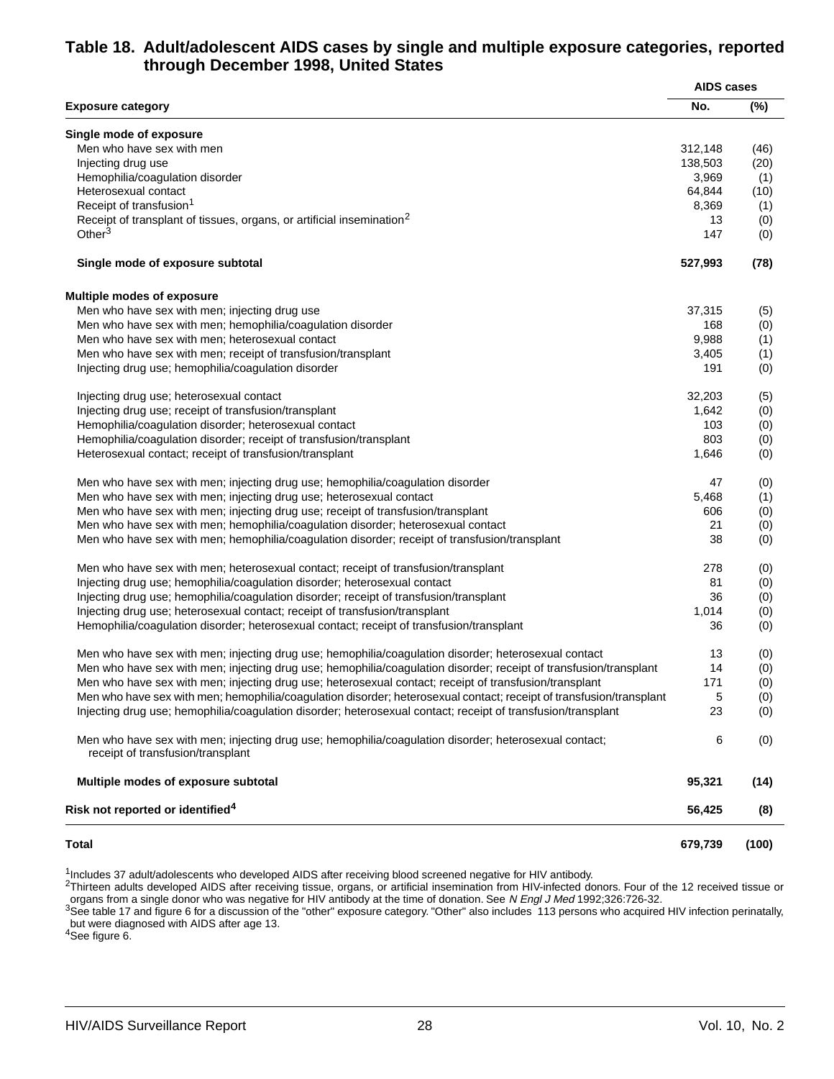#### **Table 18. Adult/adolescent AIDS cases by single and multiple exposure categories, reported through December 1998, United States**

|                                                                                                                                            | <b>AIDS cases</b> |       |  |
|--------------------------------------------------------------------------------------------------------------------------------------------|-------------------|-------|--|
| <b>Exposure category</b>                                                                                                                   | No.               | (%)   |  |
| Single mode of exposure                                                                                                                    |                   |       |  |
| Men who have sex with men                                                                                                                  | 312,148           | (46)  |  |
| Injecting drug use                                                                                                                         | 138,503           | (20)  |  |
| Hemophilia/coagulation disorder                                                                                                            | 3,969             | (1)   |  |
| Heterosexual contact                                                                                                                       | 64,844            | (10)  |  |
| Receipt of transfusion <sup>1</sup>                                                                                                        | 8,369             | (1)   |  |
| Receipt of transplant of tissues, organs, or artificial insemination <sup>2</sup>                                                          | 13                | (0)   |  |
| Other $3$                                                                                                                                  | 147               | (0)   |  |
| Single mode of exposure subtotal                                                                                                           | 527,993           | (78)  |  |
| <b>Multiple modes of exposure</b>                                                                                                          |                   |       |  |
| Men who have sex with men; injecting drug use                                                                                              | 37,315            | (5)   |  |
| Men who have sex with men; hemophilia/coagulation disorder                                                                                 | 168               | (0)   |  |
| Men who have sex with men; heterosexual contact                                                                                            | 9,988             | (1)   |  |
| Men who have sex with men; receipt of transfusion/transplant                                                                               | 3,405             | (1)   |  |
| Injecting drug use; hemophilia/coagulation disorder                                                                                        | 191               | (0)   |  |
| Injecting drug use; heterosexual contact                                                                                                   | 32,203            | (5)   |  |
| Injecting drug use; receipt of transfusion/transplant                                                                                      | 1,642             | (0)   |  |
| Hemophilia/coagulation disorder; heterosexual contact                                                                                      | 103               | (0)   |  |
| Hemophilia/coagulation disorder; receipt of transfusion/transplant                                                                         | 803               | (0)   |  |
| Heterosexual contact; receipt of transfusion/transplant                                                                                    | 1,646             | (0)   |  |
| Men who have sex with men; injecting drug use; hemophilia/coagulation disorder                                                             | 47                | (0)   |  |
| Men who have sex with men; injecting drug use; heterosexual contact                                                                        | 5,468             | (1)   |  |
| Men who have sex with men; injecting drug use; receipt of transfusion/transplant                                                           | 606               | (0)   |  |
| Men who have sex with men; hemophilia/coagulation disorder; heterosexual contact                                                           | 21                | (0)   |  |
| Men who have sex with men; hemophilia/coagulation disorder; receipt of transfusion/transplant                                              | 38                | (0)   |  |
| Men who have sex with men; heterosexual contact; receipt of transfusion/transplant                                                         | 278               | (0)   |  |
| Injecting drug use; hemophilia/coagulation disorder; heterosexual contact                                                                  | 81                | (0)   |  |
| Injecting drug use; hemophilia/coagulation disorder; receipt of transfusion/transplant                                                     | 36                | (0)   |  |
| Injecting drug use; heterosexual contact; receipt of transfusion/transplant                                                                | 1,014             | (0)   |  |
| Hemophilia/coagulation disorder; heterosexual contact; receipt of transfusion/transplant                                                   | 36                | (0)   |  |
| Men who have sex with men; injecting drug use; hemophilia/coagulation disorder; heterosexual contact                                       | 13                | (0)   |  |
| Men who have sex with men; injecting drug use; hemophilia/coagulation disorder; receipt of transfusion/transplant                          | 14                | (0)   |  |
| Men who have sex with men; injecting drug use; heterosexual contact; receipt of transfusion/transplant                                     | 171               | (0)   |  |
| Men who have sex with men; hemophilia/coagulation disorder; heterosexual contact; receipt of transfusion/transplant                        | 5                 | (0)   |  |
| Injecting drug use; hemophilia/coagulation disorder; heterosexual contact; receipt of transfusion/transplant                               | 23                | (0)   |  |
| Men who have sex with men; injecting drug use; hemophilia/coagulation disorder; heterosexual contact;<br>receipt of transfusion/transplant | 6                 | (0)   |  |
| Multiple modes of exposure subtotal                                                                                                        | 95,321            | (14)  |  |
| Risk not reported or identified <sup>4</sup>                                                                                               | 56,425            | (8)   |  |
| <b>Total</b>                                                                                                                               | 679,739           | (100) |  |

<sup>1</sup>Includes 37 adult/adolescents who developed AIDS after receiving blood screened negative for HIV antibody.

 $^{2}$ Thirteen adults developed AIDS after receiving tissue, organs, or artificial insemination from HIV-infected donors. Four of the 12 received tissue or

organs from a single donor who was negative for HIV antibody at the time of donation. See *N Engl J Med* 1992;326:726-32.<br><sup>3</sup>See table 17 and figure 6 for a discussion of the "other" exposure category. "Other" also include but were diagnosed with AIDS after age 13.

4See figure 6.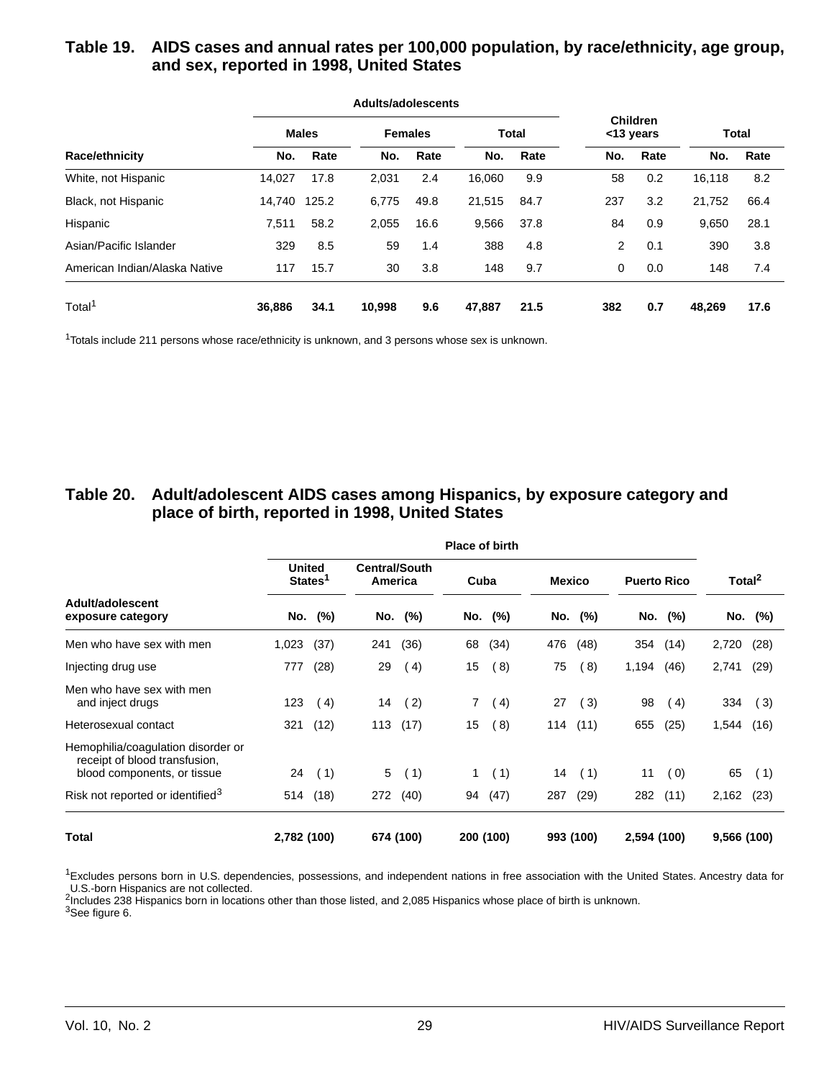#### **Table 19. AIDS cases and annual rates per 100,000 population, by race/ethnicity, age group, and sex, reported in 1998, United States**

|                               |        |              | Adults/adolescents |                |        |              |                              |      |              |      |
|-------------------------------|--------|--------------|--------------------|----------------|--------|--------------|------------------------------|------|--------------|------|
|                               |        | <b>Males</b> |                    | <b>Females</b> |        | <b>Total</b> | <b>Children</b><br><13 years |      | <b>Total</b> |      |
| Race/ethnicity                | No.    | Rate         | No.                | Rate           | No.    | Rate         | No.                          | Rate | No.          | Rate |
| White, not Hispanic           | 14.027 | 17.8         | 2,031              | 2.4            | 16,060 | 9.9          | 58                           | 0.2  | 16,118       | 8.2  |
| Black, not Hispanic           | 14.740 | 125.2        | 6,775              | 49.8           | 21,515 | 84.7         | 237                          | 3.2  | 21,752       | 66.4 |
| Hispanic                      | 7,511  | 58.2         | 2,055              | 16.6           | 9,566  | 37.8         | 84                           | 0.9  | 9,650        | 28.1 |
| Asian/Pacific Islander        | 329    | 8.5          | 59                 | 1.4            | 388    | 4.8          | $\overline{2}$               | 0.1  | 390          | 3.8  |
| American Indian/Alaska Native | 117    | 15.7         | 30                 | 3.8            | 148    | 9.7          | $\mathbf 0$                  | 0.0  | 148          | 7.4  |
| Total <sup>1</sup>            | 36,886 | 34.1         | 10,998             | 9.6            | 47,887 | 21.5         | 382                          | 0.7  | 48.269       | 17.6 |

<sup>1</sup>Totals include 211 persons whose race/ethnicity is unknown, and 3 persons whose sex is unknown.

#### **Table 20. Adult/adolescent AIDS cases among Hispanics, by exposure category and place of birth, reported in 1998, United States**

|                                                                                                    | <b>Place of birth</b> |                                      |     |                                 |              |                  |               |           |                    |         |                    |         |  |
|----------------------------------------------------------------------------------------------------|-----------------------|--------------------------------------|-----|---------------------------------|--------------|------------------|---------------|-----------|--------------------|---------|--------------------|---------|--|
|                                                                                                    |                       | <b>United</b><br>States <sup>1</sup> |     | <b>Central/South</b><br>America |              | Cuba             | <b>Mexico</b> |           | <b>Puerto Rico</b> |         | Total <sup>2</sup> |         |  |
| Adult/adolescent<br>exposure category                                                              |                       | No. (%)                              | No. | $(\%)$                          |              | No. (%)          |               | No. (%)   |                    | No. (%) |                    | No. (%) |  |
| Men who have sex with men                                                                          | 1,023                 | (37)                                 | 241 | (36)                            | 68           | (34)             | 476           | (48)      | 354                | (14)    | 2,720              | (28)    |  |
| Injecting drug use                                                                                 | 777                   | (28)                                 | 29  | (4)                             | 15           | (8)              | 75            | (8)       | 1,194              | (46)    | 2,741              | (29)    |  |
| Men who have sex with men<br>and inject drugs                                                      | 123                   | (4)                                  | 14  | (2)                             | 7            | $\left(4\right)$ | 27            | (3)       | 98                 | (4)     | 334                | (3)     |  |
| Heterosexual contact                                                                               | 321                   | (12)                                 | 113 | (17)                            | 15           | (8)              | 114           | (11)      | 655                | (25)    | 1,544              | (16)    |  |
| Hemophilia/coagulation disorder or<br>receipt of blood transfusion,<br>blood components, or tissue | 24                    | (1)                                  | 5   | (1)                             | $\mathbf{1}$ | (1)              | 14            | (1)       | 11                 | (0)     | 65                 | (1)     |  |
| Risk not reported or identified <sup>3</sup>                                                       | 514                   | (18)                                 | 272 | (40)                            | 94           | (47)             | 287           | (29)      | 282                | (11)    | 2,162              | (23)    |  |
| Total                                                                                              | 2,782 (100)           |                                      |     | 674 (100)                       |              | 200 (100)        |               | 993 (100) | 2,594 (100)        |         | 9,566 (100)        |         |  |

<sup>1</sup>Excludes persons born in U.S. dependencies, possessions, and independent nations in free association with the United States. Ancestry data for U.S.-born Hispanics are not collected.

<sup>2</sup>Includes 238 Hispanics born in locations other than those listed, and 2,085 Hispanics whose place of birth is unknown.

3See figure 6.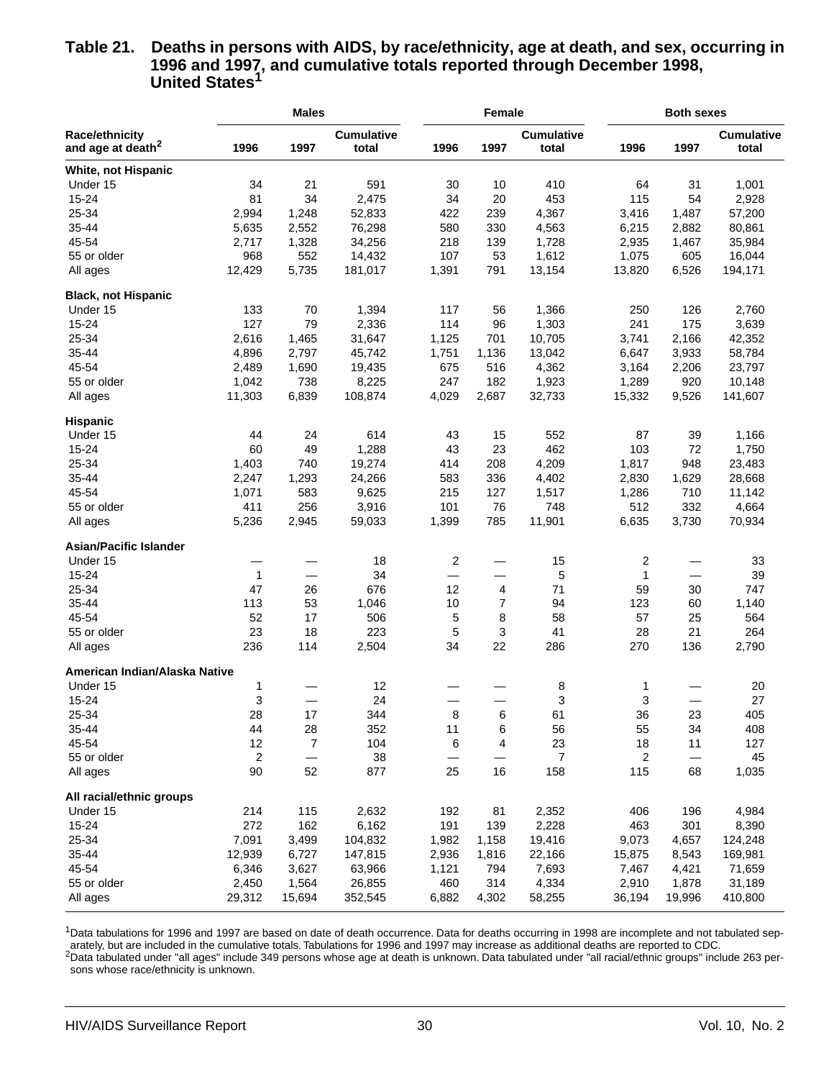#### **Table 21. Deaths in persons with AIDS, by race/ethnicity, age at death, and sex, occurring in 1996 and 1997, and cumulative totals reported through December 1998, United States1**

|                               |        | <b>Males</b>   |                   |       | Female         |                   |        | <b>Both sexes</b> |                   |
|-------------------------------|--------|----------------|-------------------|-------|----------------|-------------------|--------|-------------------|-------------------|
| <b>Race/ethnicity</b>         |        |                | <b>Cumulative</b> |       |                | <b>Cumulative</b> |        |                   | <b>Cumulative</b> |
| and age at death <sup>2</sup> | 1996   | 1997           | total             | 1996  | 1997           | total             | 1996   | 1997              | total             |
| White, not Hispanic           |        |                |                   |       |                |                   |        |                   |                   |
| Under 15                      | 34     | 21             | 591               | 30    | 10             | 410               | 64     | 31                | 1,001             |
| 15-24                         | 81     | 34             | 2,475             | 34    | 20             | 453               | 115    | 54                | 2,928             |
| 25-34                         | 2,994  | 1,248          | 52,833            | 422   | 239            | 4,367             | 3,416  | 1,487             | 57,200            |
| 35-44                         | 5,635  | 2,552          | 76,298            | 580   | 330            | 4,563             | 6,215  | 2,882             | 80,861            |
| 45-54                         | 2,717  | 1,328          | 34,256            | 218   | 139            | 1,728             | 2,935  | 1,467             | 35,984            |
| 55 or older                   | 968    | 552            | 14,432            | 107   | 53             | 1,612             | 1,075  | 605               | 16,044            |
| All ages                      | 12,429 | 5,735          | 181,017           | 1,391 | 791            | 13,154            | 13,820 | 6,526             | 194,171           |
| <b>Black, not Hispanic</b>    |        |                |                   |       |                |                   |        |                   |                   |
| Under 15                      | 133    | 70             | 1,394             | 117   | 56             | 1,366             | 250    | 126               | 2,760             |
| 15-24                         | 127    | 79             | 2,336             | 114   | 96             | 1,303             | 241    | 175               | 3,639             |
| 25-34                         | 2,616  | 1,465          | 31,647            | 1,125 | 701            | 10,705            | 3,741  | 2,166             | 42,352            |
| 35-44                         | 4,896  | 2,797          | 45,742            | 1,751 | 1,136          | 13,042            | 6,647  | 3,933             | 58,784            |
| 45-54                         | 2,489  | 1,690          | 19,435            | 675   | 516            | 4,362             | 3,164  | 2,206             | 23,797            |
| 55 or older                   | 1,042  | 738            | 8,225             | 247   | 182            | 1,923             | 1,289  | 920               | 10,148            |
| All ages                      | 11,303 | 6,839          | 108,874           | 4,029 | 2,687          | 32,733            | 15,332 | 9,526             | 141,607           |
| <b>Hispanic</b>               |        |                |                   |       |                |                   |        |                   |                   |
| Under 15                      | 44     | 24             | 614               | 43    | 15             | 552               | 87     | 39                | 1,166             |
| 15-24                         | 60     | 49             | 1,288             | 43    | 23             | 462               | 103    | 72                | 1,750             |
| 25-34                         | 1,403  | 740            | 19,274            | 414   | 208            | 4,209             | 1,817  | 948               | 23,483            |
| 35-44                         | 2,247  | 1,293          | 24,266            | 583   | 336            | 4,402             | 2,830  | 1,629             | 28,668            |
| 45-54                         | 1,071  | 583            | 9,625             | 215   | 127            | 1,517             | 1,286  | 710               | 11,142            |
| 55 or older                   | 411    | 256            | 3,916             | 101   | 76             | 748               | 512    | 332               | 4,664             |
| All ages                      | 5,236  | 2,945          | 59,033            | 1,399 | 785            | 11,901            | 6,635  | 3,730             | 70,934            |
| <b>Asian/Pacific Islander</b> |        |                |                   |       |                |                   |        |                   |                   |
| Under 15                      |        |                | 18                | 2     |                | 15                | 2      |                   | 33                |
| 15-24                         | 1      |                | 34                |       | —              | 5                 | 1      |                   | 39                |
| 25-34                         | 47     | 26             | 676               | 12    | 4              | 71                | 59     | 30                | 747               |
| 35-44                         | 113    | 53             | 1,046             | 10    | $\overline{7}$ | 94                | 123    | 60                | 1,140             |
| 45-54                         | 52     | 17             | 506               | 5     | 8              | 58                | 57     | 25                | 564               |
| 55 or older                   | 23     | 18             | 223               | 5     | 3              | 41                | 28     | 21                | 264               |
| All ages                      | 236    | 114            | 2,504             | 34    | 22             | 286               | 270    | 136               | 2,790             |
|                               |        |                |                   |       |                |                   |        |                   |                   |
| American Indian/Alaska Native |        |                |                   |       |                |                   |        |                   |                   |
| Under 15                      | 1      |                | 12                |       |                | 8                 | 1      |                   | 20                |
| 15-24                         | 3      |                | 24                |       |                | 3                 | 3      |                   | 27                |
| 25-34                         | 28     | 17             | 344               | 8     | 6              | 61                | 36     | 23                | 405               |
| 35-44                         | 44     | 28             | 352               | 11    | 6              | 56                | 55     | 34                | 408               |
| 45-54                         | 12     | $\overline{7}$ | 104               | 6     | 4              | 23                | 18     | 11                | 127               |
| 55 or older                   | 2      |                | 38                |       |                | 7                 | 2      | —                 | 45                |
| All ages                      | 90     | 52             | 877               | 25    | 16             | 158               | 115    | 68                | 1,035             |
| All racial/ethnic groups      |        |                |                   |       |                |                   |        |                   |                   |
| Under 15                      | 214    | 115            | 2,632             | 192   | 81             | 2,352             | 406    | 196               | 4,984             |
| 15-24                         | 272    | 162            | 6,162             | 191   | 139            | 2,228             | 463    | 301               | 8,390             |
| 25-34                         | 7,091  | 3,499          | 104,832           | 1,982 | 1,158          | 19,416            | 9,073  | 4,657             | 124,248           |
| 35-44                         | 12,939 | 6,727          | 147,815           | 2,936 | 1,816          | 22,166            | 15,875 | 8,543             | 169,981           |
| 45-54                         | 6,346  | 3,627          | 63,966            | 1,121 | 794            | 7,693             | 7,467  | 4,421             | 71,659            |
| 55 or older                   | 2,450  | 1,564          | 26,855            | 460   | 314            | 4,334             | 2,910  | 1,878             | 31,189            |
| All ages                      | 29,312 | 15,694         | 352,545           | 6,882 | 4,302          | 58,255            | 36,194 | 19,996            | 410,800           |
|                               |        |                |                   |       |                |                   |        |                   |                   |

<sup>1</sup>Data tabulations for 1996 and 1997 are based on date of death occurrence. Data for deaths occurring in 1998 are incomplete and not tabulated separately, but are included in the cumulative totals. Tabulations for 1996 and 1997 may increase as additional deaths are reported to CDC.  ${}^{2}$ Data tabulated under "all ages" include 349 persons whose age at death is unknown. Data tabulated under "all racial/ethnic groups" include 263 per-

sons whose race/ethnicity is unknown.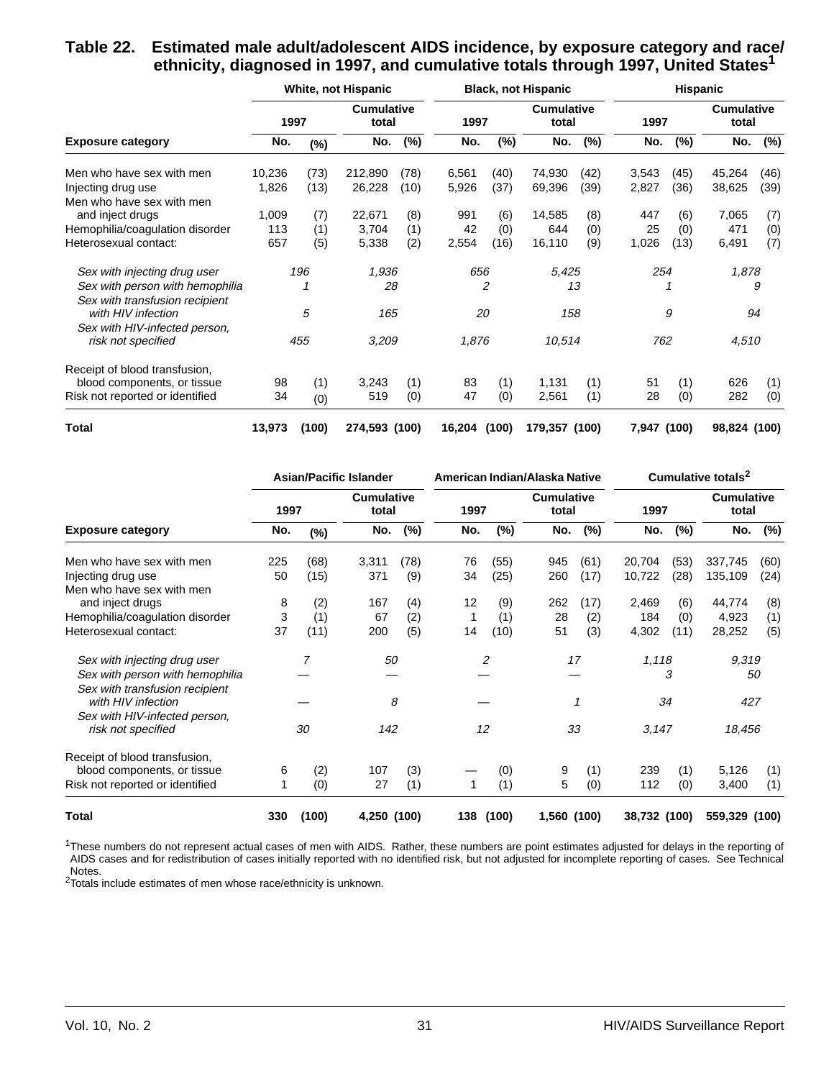#### **Table 22. Estimated male adult/adolescent AIDS incidence, by exposure category and race/ ethnicity, diagnosed in 1997, and cumulative totals through 1997, United States1**

|                                 |        |        | White, not Hispanic        |      |        |        | <b>Black, not Hispanic</b> |      | <b>Hispanic</b> |        |                            |        |  |
|---------------------------------|--------|--------|----------------------------|------|--------|--------|----------------------------|------|-----------------|--------|----------------------------|--------|--|
|                                 |        | 1997   | <b>Cumulative</b><br>total |      | 1997   |        | <b>Cumulative</b><br>total |      | 1997            |        | <b>Cumulative</b><br>total |        |  |
| <b>Exposure category</b>        | No.    | $(\%)$ | No.                        | (%)  | No.    | $(\%)$ | No.                        | (%)  | No.             | $(\%)$ | No.                        | $(\%)$ |  |
| Men who have sex with men       | 10,236 | (73)   | 212,890                    | (78) | 6,561  | (40)   | 74,930                     | (42) | 3,543           | (45)   | 45,264                     | (46)   |  |
| Injecting drug use              | 1,826  | (13)   | 26,228                     | (10) | 5,926  | (37)   | 69,396                     | (39) | 2,827           | (36)   | 38,625                     | (39)   |  |
| Men who have sex with men       |        |        |                            |      |        |        |                            |      |                 |        |                            |        |  |
| and inject drugs                | 1,009  | (7)    | 22,671                     | (8)  | 991    | (6)    | 14,585                     | (8)  | 447             | (6)    | 7,065                      | (7)    |  |
| Hemophilia/coagulation disorder | 113    | (1)    | 3,704                      | (1)  | 42     | (0)    | 644                        | (0)  | 25              | (0)    | 471                        | (0)    |  |
| Heterosexual contact:           | 657    | (5)    | 5,338                      | (2)  | 2,554  | (16)   | 16,110                     | (9)  | 1,026           | (13)   | 6,491                      | (7)    |  |
| Sex with injecting drug user    |        | 196    | 1,936                      |      | 656    |        | 5,425                      |      | 254             |        | 1,878                      |        |  |
| Sex with person with hemophilia |        |        | 28                         |      |        | 2      |                            | 13   |                 |        |                            | 9      |  |
| Sex with transfusion recipient  |        |        |                            |      |        |        |                            |      |                 |        |                            |        |  |
| with HIV infection              |        | 5      | 165                        |      | 20     |        | 158                        |      |                 | 9      |                            | 94     |  |
| Sex with HIV-infected person,   |        |        |                            |      |        |        |                            |      |                 |        |                            |        |  |
| risk not specified              |        | 455    | 3,209                      |      | 1,876  |        | 10,514                     |      | 762             |        | 4,510                      |        |  |
| Receipt of blood transfusion,   |        |        |                            |      |        |        |                            |      |                 |        |                            |        |  |
| blood components, or tissue     | 98     | (1)    | 3,243                      | (1)  | 83     | (1)    | 1,131                      | (1)  | 51              | (1)    | 626                        | (1)    |  |
| Risk not reported or identified | 34     | (0)    | 519                        | (0)  | 47     | (0)    | 2,561                      | (1)  | 28              | (0)    | 282                        | (0)    |  |
| <b>Total</b>                    | 13,973 | (100)  | 274,593 (100)              |      | 16,204 | (100)  | 179,357 (100)              |      | 7,947 (100)     |        | 98,824 (100)               |        |  |

|                                                      |      |       | <b>Asian/Pacific Islander</b> |       |      | American Indian/Alaska Native |                            | Cumulative totals <sup>2</sup> |              |        |                            |        |
|------------------------------------------------------|------|-------|-------------------------------|-------|------|-------------------------------|----------------------------|--------------------------------|--------------|--------|----------------------------|--------|
|                                                      | 1997 |       | <b>Cumulative</b><br>total    |       | 1997 |                               | <b>Cumulative</b><br>total |                                | 1997         |        | <b>Cumulative</b><br>total |        |
| <b>Exposure category</b>                             | No.  | (%)   | No.                           | (%)   | No.  | (%)                           | No.                        | (%)                            | No.          | $(\%)$ | No.                        | $(\%)$ |
| Men who have sex with men                            | 225  | (68)  | 3,311                         | (78)  | 76   | (55)                          | 945                        | (61)                           | 20,704       | (53)   | 337,745                    | (60)   |
| Injecting drug use                                   | 50   | (15)  | 371                           | (9)   | 34   | (25)                          | 260                        | (17)                           | 10,722       | (28)   | 135,109                    | (24)   |
| Men who have sex with men                            |      |       |                               |       |      |                               |                            |                                |              |        |                            |        |
| and inject drugs                                     | 8    | (2)   | 167                           | (4)   | 12   | (9)                           | 262                        | (17)                           | 2,469        | (6)    | 44,774                     | (8)    |
| Hemophilia/coagulation disorder                      | 3    | (1)   | 67                            | (2)   | 1    | (1)                           | 28                         | (2)                            | 184          | (0)    | 4,923                      | (1)    |
| Heterosexual contact:                                | 37   | (11)  | 200                           | (5)   | 14   | (10)                          | 51                         | (3)                            | 4,302        | (11)   | 28,252                     | (5)    |
| Sex with injecting drug user                         |      | 7     | 50                            |       |      | 2                             |                            | 17                             | 1,118        |        | 9,319                      |        |
| Sex with person with hemophilia                      |      |       |                               |       |      |                               |                            |                                | 3            |        | 50                         |        |
| Sex with transfusion recipient<br>with HIV infection |      |       |                               | 8     |      |                               |                            | 1                              |              | 34     | 427                        |        |
| Sex with HIV-infected person,<br>risk not specified  |      | 30    | 142                           |       |      | 12                            |                            | 33                             | 3,147        |        | 18,456                     |        |
| Receipt of blood transfusion,                        |      |       |                               |       |      |                               |                            |                                |              |        |                            |        |
| blood components, or tissue                          | 6    | (2)   | 107                           | (3)   |      | (0)                           | 9                          | (1)                            | 239          | (1)    | 5,126                      | (1)    |
| Risk not reported or identified                      |      | (0)   | 27                            | (1)   | 1    | (1)                           | 5                          | (0)                            | 112          | (0)    | 3,400                      | (1)    |
| Total                                                | 330  | (100) | 4,250                         | (100) | 138  | (100)                         | 1,560 (100)                |                                | 38,732 (100) |        | 559,329 (100)              |        |

<sup>1</sup>These numbers do not represent actual cases of men with AIDS. Rather, these numbers are point estimates adjusted for delays in the reporting of AIDS cases and for redistribution of cases initially reported with no identified risk, but not adjusted for incomplete reporting of cases. See Technical Notes.

2Totals include estimates of men whose race/ethnicity is unknown.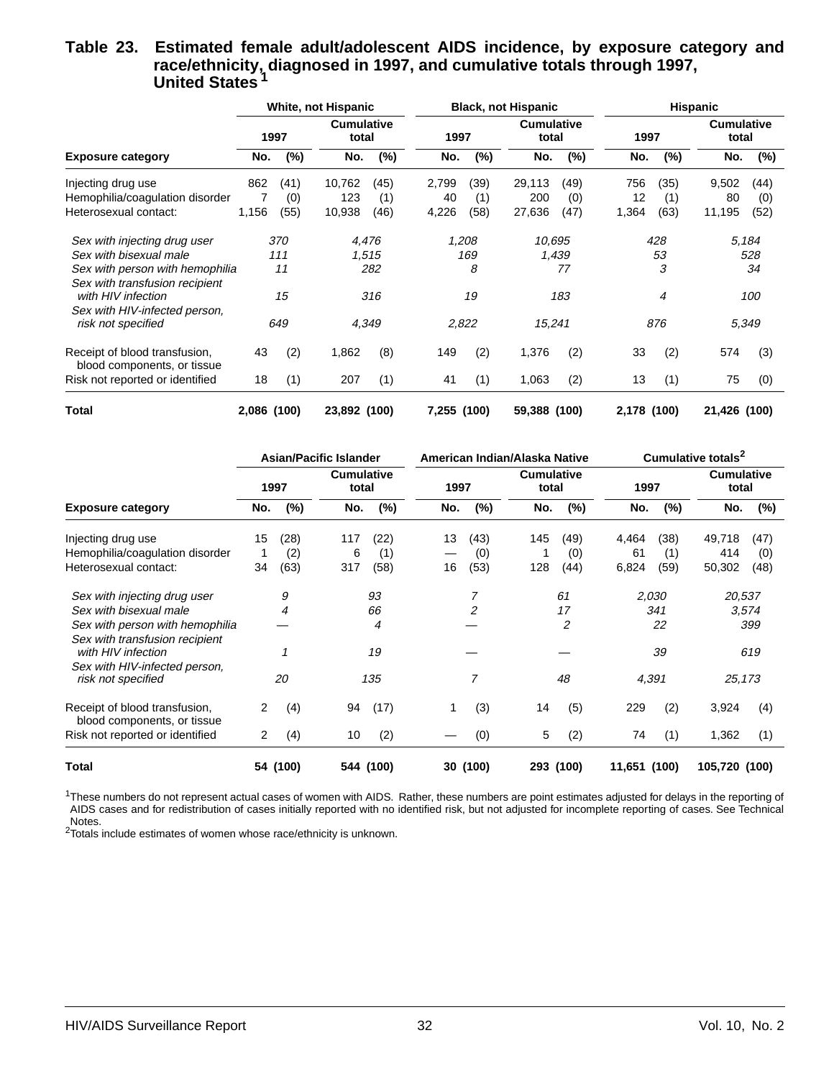#### **Table 23. Estimated female adult/adolescent AIDS incidence, by exposure category and race/ethnicity, diagnosed in 1997, and cumulative totals through 1997, United States <sup>1</sup>**

|                                                              |             |      | White, not Hispanic        |       |             |        | <b>Black, not Hispanic</b> |        | <b>Hispanic</b> |        |                            |        |
|--------------------------------------------------------------|-------------|------|----------------------------|-------|-------------|--------|----------------------------|--------|-----------------|--------|----------------------------|--------|
|                                                              |             | 1997 | <b>Cumulative</b><br>total |       | 1997        |        | <b>Cumulative</b><br>total |        | 1997            |        | <b>Cumulative</b><br>total |        |
| <b>Exposure category</b>                                     | No.         | (%)  | No.                        | (%)   | No.         | $(\%)$ | No.                        | $(\%)$ | No.             | $(\%)$ | No.                        | $(\%)$ |
| Injecting drug use                                           | 862         | (41) | 10,762                     | (45)  | 2,799       | (39)   | 29,113                     | (49)   | 756             | (35)   | 9,502                      | (44)   |
| Hemophilia/coagulation disorder                              |             | (0)  | 123                        | (1)   | 40          | (1)    | 200                        | (0)    | 12              | (1)    | 80                         | (0)    |
| Heterosexual contact:                                        | 1,156       | (55) | 10,938                     | (46)  | 4,226       | (58)   | 27,636                     | (47)   | 1,364           | (63)   | 11,195                     | (52)   |
| Sex with injecting drug user                                 |             | 370  |                            | 4,476 |             | 1,208  | 10.695                     |        |                 | 428    |                            | 5.184  |
| Sex with bisexual male                                       |             | 111  |                            | 1,515 |             | 169    |                            | 1,439  |                 | 53     |                            | 528    |
| Sex with person with hemophilia                              |             | 11   |                            | 282   |             | 8      |                            | 77     |                 | 3      |                            | 34     |
| Sex with transfusion recipient                               |             |      |                            |       |             |        |                            |        |                 |        |                            |        |
| with HIV infection                                           |             | 15   |                            | 316   |             | 19     |                            | 183    |                 | 4      |                            | 100    |
| Sex with HIV-infected person,<br>risk not specified          |             | 649  |                            | 4,349 |             | 2,822  | 15,241                     |        |                 | 876    |                            | 5,349  |
| Receipt of blood transfusion,<br>blood components, or tissue | 43          | (2)  | 1,862                      | (8)   | 149         | (2)    | 1,376                      | (2)    | 33              | (2)    | 574                        | (3)    |
| Risk not reported or identified                              | 18          | (1)  | 207                        | (1)   | 41          | (1)    | 1,063                      | (2)    | 13              | (1)    | 75                         | (0)    |
| Total                                                        | 2,086 (100) |      | 23,892 (100)               |       | 7,255 (100) |        | 59,388 (100)               |        | 2,178 (100)     |        | 21,426 (100)               |        |

|                                                                   |      |          | <b>Asian/Pacific Islander</b> |           | American Indian/Alaska Native |          |                            |                | Cumulative totals <sup>2</sup> |       |                            |       |
|-------------------------------------------------------------------|------|----------|-------------------------------|-----------|-------------------------------|----------|----------------------------|----------------|--------------------------------|-------|----------------------------|-------|
|                                                                   | 1997 |          | <b>Cumulative</b><br>total    |           | 1997                          |          | <b>Cumulative</b><br>total |                | 1997                           |       | <b>Cumulative</b><br>total |       |
| <b>Exposure category</b>                                          | No.  | $(\%)$   | No.                           | (%)       | No.                           | $(\%)$   | No.                        | $(\%)$         | No.                            | (%)   | No.                        | (%)   |
| Injecting drug use                                                | 15   | (28)     | 117                           | (22)      | 13                            | (43)     | 145                        | (49)           | 4,464                          | (38)  | 49,718                     | (47)  |
| Hemophilia/coagulation disorder                                   |      | (2)      | 6                             | (1)       |                               | (0)      |                            | (0)            | 61                             | (1)   | 414                        | (0)   |
| Heterosexual contact:                                             | 34   | (63)     | 317                           | (58)      | 16                            | (53)     | 128                        | (44)           | 6,824                          | (59)  | 50,302                     | (48)  |
| Sex with injecting drug user                                      |      | 9        |                               | 93        |                               | 7        |                            | 61             |                                | 2,030 | 20,537                     |       |
| Sex with bisexual male                                            |      | 4        |                               | 66        |                               | 2        |                            | 17             |                                | 341   |                            | 3,574 |
| Sex with person with hemophilia<br>Sex with transfusion recipient |      |          |                               | 4         |                               |          |                            | $\overline{2}$ |                                | 22    |                            | 399   |
| with HIV infection                                                |      |          |                               | 19        |                               |          |                            |                |                                | 39    |                            | 619   |
| Sex with HIV-infected person,<br>risk not specified               |      | 20       |                               | 135       |                               | 7        |                            | 48             | 4,391                          |       | 25,173                     |       |
| Receipt of blood transfusion,<br>blood components, or tissue      | 2    | (4)      | 94                            | (17)      |                               | (3)      | 14                         | (5)            | 229                            | (2)   | 3,924                      | (4)   |
| Risk not reported or identified                                   | 2    | (4)      | 10                            | (2)       |                               | (0)      | 5                          | (2)            | 74                             | (1)   | 1,362                      | (1)   |
| Total                                                             |      | 54 (100) |                               | 544 (100) |                               | 30 (100) |                            | 293 (100)      | 11,651 (100)                   |       | 105,720 (100)              |       |

<sup>1</sup>These numbers do not represent actual cases of women with AIDS. Rather, these numbers are point estimates adjusted for delays in the reporting of AIDS cases and for redistribution of cases initially reported with no identified risk, but not adjusted for incomplete reporting of cases. See Technical Notes.

2Totals include estimates of women whose race/ethnicity is unknown.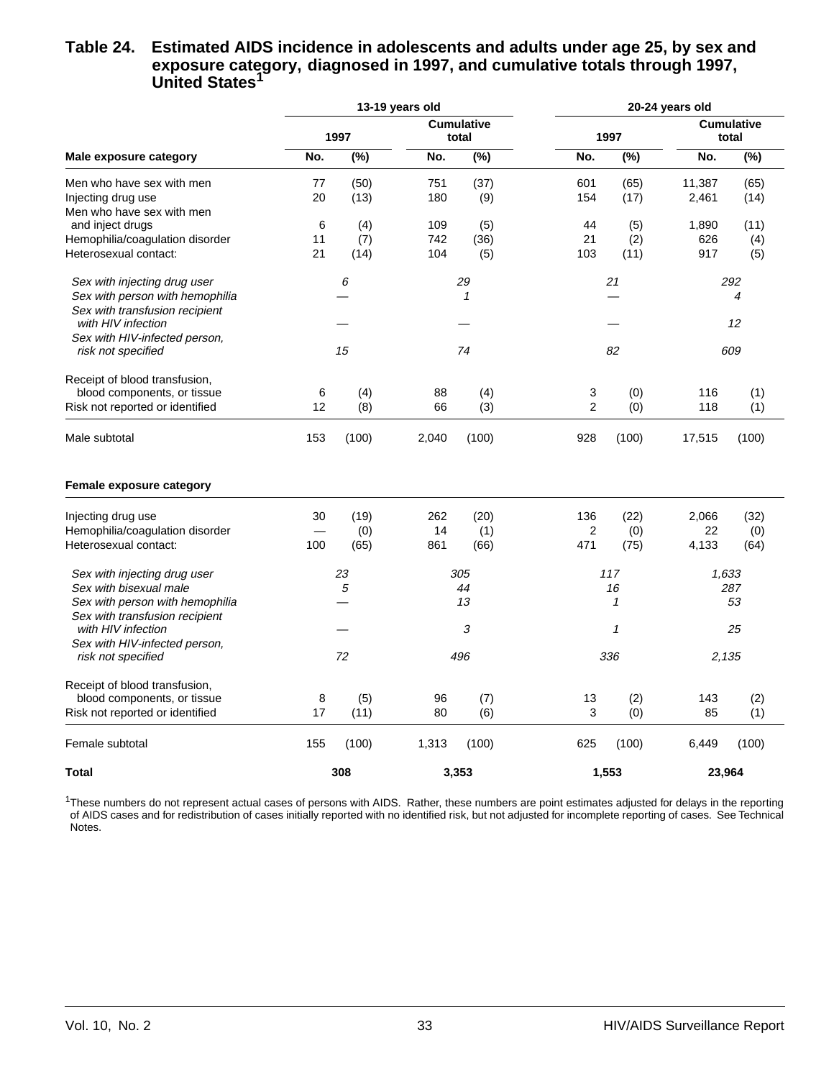#### **Table 24. Estimated AIDS incidence in adolescents and adults under age 25, by sex and exposure category, diagnosed in 1997, and cumulative totals through 1997, United States1**

|                                 | 13-19 years old |        |                            |              | 20-24 years old |       |                            |       |  |
|---------------------------------|-----------------|--------|----------------------------|--------------|-----------------|-------|----------------------------|-------|--|
|                                 | 1997            |        | <b>Cumulative</b><br>total |              | 1997            |       | <b>Cumulative</b><br>total |       |  |
| Male exposure category          | No.             | $(\%)$ | No.                        | (%)          | No.             | (%)   | No.                        | (%)   |  |
| Men who have sex with men       | 77              | (50)   | 751                        | (37)         | 601             | (65)  | 11,387                     | (65)  |  |
| Injecting drug use              | 20              | (13)   | 180                        | (9)          | 154             | (17)  | 2,461                      | (14)  |  |
| Men who have sex with men       |                 |        |                            |              |                 |       |                            |       |  |
| and inject drugs                | 6               | (4)    | 109                        | (5)          | 44              | (5)   | 1,890                      | (11)  |  |
| Hemophilia/coagulation disorder | 11              | (7)    | 742                        | (36)         | 21              | (2)   | 626                        | (4)   |  |
| Heterosexual contact:           | 21              | (14)   | 104                        | (5)          | 103             | (11)  | 917                        | (5)   |  |
| Sex with injecting drug user    |                 | 6      |                            | 29           |                 | 21    |                            | 292   |  |
| Sex with person with hemophilia |                 |        |                            | $\mathcal I$ |                 |       |                            | 4     |  |
| Sex with transfusion recipient  |                 |        |                            |              |                 |       |                            |       |  |
| with HIV infection              |                 |        |                            |              |                 |       |                            | 12    |  |
| Sex with HIV-infected person,   |                 |        |                            |              |                 |       |                            |       |  |
| risk not specified              |                 | 15     |                            | 74           |                 | 82    |                            | 609   |  |
| Receipt of blood transfusion,   |                 |        |                            |              |                 |       |                            |       |  |
| blood components, or tissue     | 6               | (4)    | 88                         | (4)          | 3               | (0)   | 116                        | (1)   |  |
| Risk not reported or identified | 12              | (8)    | 66                         | (3)          | $\overline{2}$  | (0)   | 118                        | (1)   |  |
| Male subtotal                   | 153             | (100)  | 2,040                      | (100)        | 928             | (100) | 17,515                     | (100) |  |
| Female exposure category        |                 |        |                            |              |                 |       |                            |       |  |
| Injecting drug use              | 30              | (19)   | 262                        | (20)         | 136             | (22)  | 2,066                      | (32)  |  |
| Hemophilia/coagulation disorder |                 | (0)    | 14                         | (1)          | $\overline{2}$  | (0)   | 22                         | (0)   |  |
| Heterosexual contact:           | 100             | (65)   | 861                        | (66)         | 471             | (75)  | 4,133                      | (64)  |  |
| Sex with injecting drug user    |                 | 23     |                            | 305          |                 | 117   | 1,633                      |       |  |
| Sex with bisexual male          |                 | 5      |                            | 44           |                 | 16    |                            | 287   |  |
| Sex with person with hemophilia |                 |        |                            | 13           |                 | 1     |                            | 53    |  |
| Sex with transfusion recipient  |                 |        |                            |              |                 |       |                            |       |  |
| with HIV infection              |                 |        |                            | 3            |                 | 1     |                            | 25    |  |
| Sex with HIV-infected person,   |                 |        |                            |              |                 |       |                            |       |  |
| risk not specified              |                 | 72     |                            | 496          |                 | 336   | 2,135                      |       |  |
| Receipt of blood transfusion,   |                 |        |                            |              |                 |       |                            |       |  |
| blood components, or tissue     | 8               | (5)    | 96                         | (7)          | 13              | (2)   | 143                        | (2)   |  |
| Risk not reported or identified | 17              | (11)   | 80                         | (6)          | 3               | (0)   | 85                         | (1)   |  |
| Female subtotal                 | 155             | (100)  | 1,313                      | (100)        | 625             | (100) | 6,449                      | (100) |  |
| Total                           |                 | 308    |                            | 3,353        |                 | 1,553 | 23,964                     |       |  |

<sup>1</sup>These numbers do not represent actual cases of persons with AIDS. Rather, these numbers are point estimates adjusted for delays in the reporting of AIDS cases and for redistribution of cases initially reported with no identified risk, but not adjusted for incomplete reporting of cases. See Technical Notes.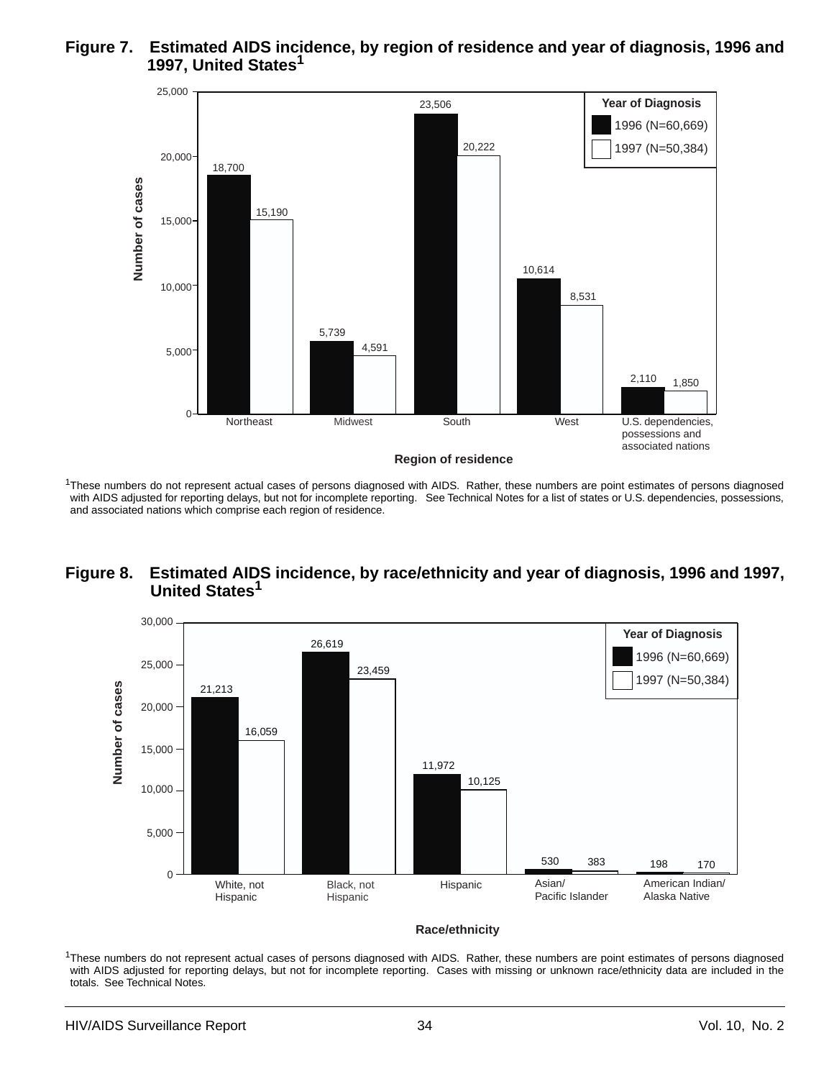#### **Figure 7. Estimated AIDS incidence, by region of residence and year of diagnosis, 1996 and 1997, United States1**



<sup>1</sup>These numbers do not represent actual cases of persons diagnosed with AIDS. Rather, these numbers are point estimates of persons diagnosed with AIDS adjusted for reporting delays, but not for incomplete reporting. See Technical Notes for a list of states or U.S. dependencies, possessions, and associated nations which comprise each region of residence.

#### **Figure 8. Estimated AIDS incidence, by race/ethnicity and year of diagnosis, 1996 and 1997, United States1**



**Race/ethnicity**

<sup>1</sup>These numbers do not represent actual cases of persons diagnosed with AIDS. Rather, these numbers are point estimates of persons diagnosed with AIDS adjusted for reporting delays, but not for incomplete reporting. Cases with missing or unknown race/ethnicity data are included in the totals. See Technical Notes.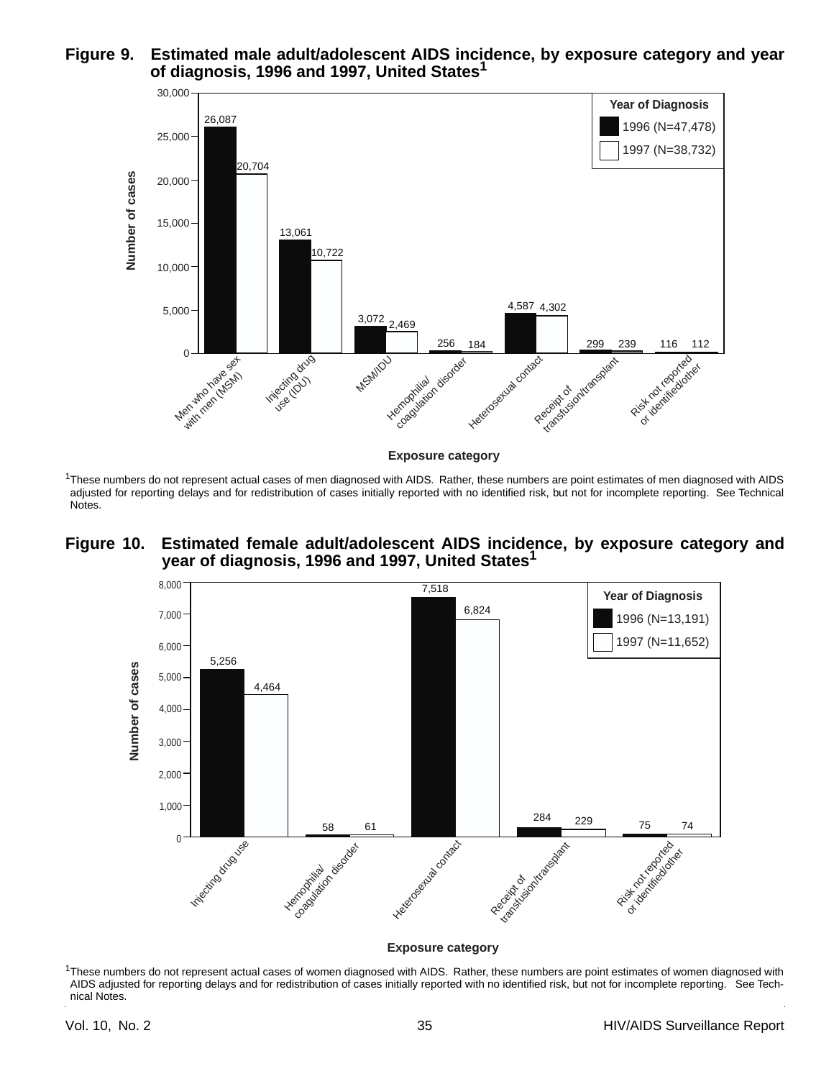



<sup>1</sup>These numbers do not represent actual cases of men diagnosed with AIDS. Rather, these numbers are point estimates of men diagnosed with AIDS

adjusted for reporting delays and for redistribution of cases initially reported with no identified risk, but not for incomplete reporting. See Technical Notes.

#### **Figure 10. Estimated female adult/adolescent AIDS incidence, by exposure category and year of diagnosis, 1996 and 1997, United States1**



#### **Exposure category**

<sup>1</sup>These numbers do not represent actual cases of women diagnosed with AIDS. Rather, these numbers are point estimates of women diagnosed with AIDS adjusted for reporting delays and for redistribution of cases initially reported with no identified risk, but not for incomplete reporting. See Technical Notes.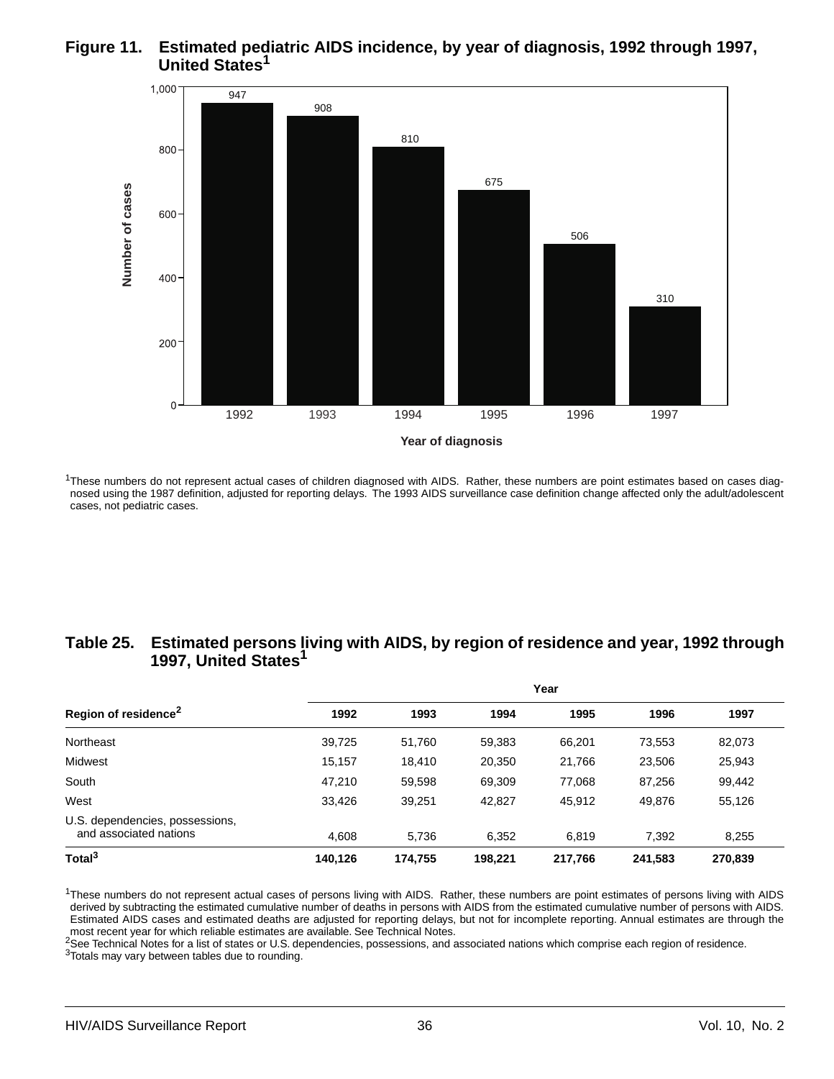#### **Figure 11. Estimated pediatric AIDS incidence, by year of diagnosis, 1992 through 1997, United States1**



 $1$ These numbers do not represent actual cases of children diagnosed with AIDS. Rather, these numbers are point estimates based on cases diagnosed using the 1987 definition, adjusted for reporting delays. The 1993 AIDS surveillance case definition change affected only the adult/adolescent cases, not pediatric cases.

#### **Table 25. Estimated persons living with AIDS, by region of residence and year, 1992 through 1997, United States1**

|                                                           | Year    |         |         |         |         |         |  |  |  |  |
|-----------------------------------------------------------|---------|---------|---------|---------|---------|---------|--|--|--|--|
| Region of residence <sup>2</sup>                          | 1992    | 1993    | 1994    | 1995    | 1996    | 1997    |  |  |  |  |
| Northeast                                                 | 39,725  | 51,760  | 59,383  | 66,201  | 73,553  | 82,073  |  |  |  |  |
| Midwest                                                   | 15.157  | 18.410  | 20,350  | 21,766  | 23,506  | 25,943  |  |  |  |  |
| South                                                     | 47.210  | 59,598  | 69,309  | 77,068  | 87,256  | 99,442  |  |  |  |  |
| West                                                      | 33.426  | 39,251  | 42,827  | 45,912  | 49,876  | 55,126  |  |  |  |  |
| U.S. dependencies, possessions,<br>and associated nations | 4,608   | 5,736   | 6,352   | 6,819   | 7,392   | 8,255   |  |  |  |  |
| Total <sup>3</sup>                                        | 140.126 | 174.755 | 198.221 | 217,766 | 241,583 | 270,839 |  |  |  |  |

<sup>1</sup>These numbers do not represent actual cases of persons living with AIDS. Rather, these numbers are point estimates of persons living with AIDS derived by subtracting the estimated cumulative number of deaths in persons with AIDS from the estimated cumulative number of persons with AIDS. Estimated AIDS cases and estimated deaths are adjusted for reporting delays, but not for incomplete reporting. Annual estimates are through the most recent year for which reliable estimates are available. See Technical Notes.

2See Technical Notes for a list of states or U.S. dependencies, possessions, and associated nations which comprise each region of residence. 3Totals may vary between tables due to rounding.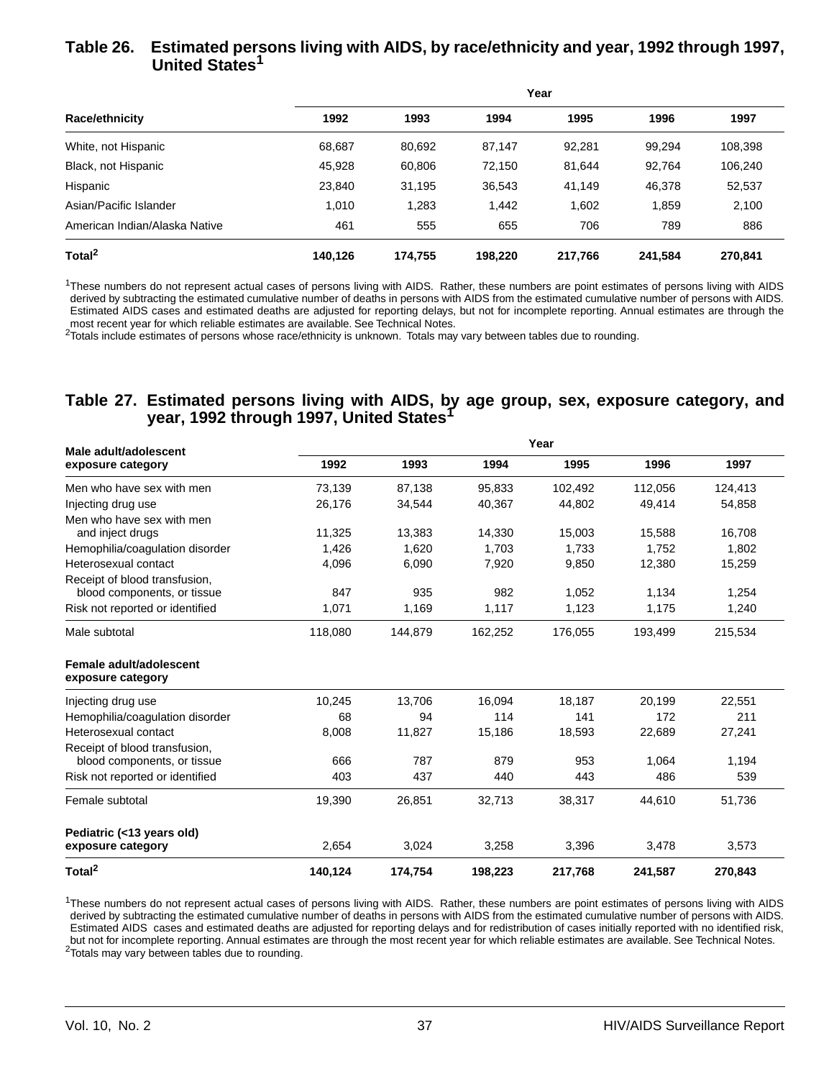#### **Table 26. Estimated persons living with AIDS, by race/ethnicity and year, 1992 through 1997, United States1**

|                               | Year    |         |         |         |         |         |  |  |  |  |
|-------------------------------|---------|---------|---------|---------|---------|---------|--|--|--|--|
| <b>Race/ethnicity</b>         | 1992    | 1993    | 1994    | 1995    | 1996    | 1997    |  |  |  |  |
| White, not Hispanic           | 68,687  | 80.692  | 87,147  | 92,281  | 99.294  | 108,398 |  |  |  |  |
| Black, not Hispanic           | 45,928  | 60,806  | 72.150  | 81.644  | 92,764  | 106,240 |  |  |  |  |
| Hispanic                      | 23,840  | 31,195  | 36,543  | 41,149  | 46,378  | 52,537  |  |  |  |  |
| Asian/Pacific Islander        | 1.010   | 1,283   | 1.442   | 1.602   | 1,859   | 2,100   |  |  |  |  |
| American Indian/Alaska Native | 461     | 555     | 655     | 706     | 789     | 886     |  |  |  |  |
| Total <sup>2</sup>            | 140.126 | 174.755 | 198.220 | 217.766 | 241.584 | 270,841 |  |  |  |  |

<sup>1</sup>These numbers do not represent actual cases of persons living with AIDS. Rather, these numbers are point estimates of persons living with AIDS derived by subtracting the estimated cumulative number of deaths in persons with AIDS from the estimated cumulative number of persons with AIDS. Estimated AIDS cases and estimated deaths are adjusted for reporting delays, but not for incomplete reporting. Annual estimates are through the most recent year for which reliable estimates are available. See Technical Notes.

 $2$ Totals include estimates of persons whose race/ethnicity is unknown. Totals may vary between tables due to rounding.

#### **Table 27. Estimated persons living with AIDS, by age group, sex, exposure category, and year, 1992 through 1997, United States1**

| Male adult/adolescent                                        | Year    |         |         |         |         |         |  |  |  |  |  |
|--------------------------------------------------------------|---------|---------|---------|---------|---------|---------|--|--|--|--|--|
| exposure category                                            | 1992    | 1993    | 1994    | 1995    | 1996    | 1997    |  |  |  |  |  |
| Men who have sex with men                                    | 73,139  | 87,138  | 95,833  | 102,492 | 112,056 | 124,413 |  |  |  |  |  |
| Injecting drug use                                           | 26,176  | 34,544  | 40,367  | 44,802  | 49,414  | 54,858  |  |  |  |  |  |
| Men who have sex with men<br>and inject drugs                | 11,325  | 13,383  | 14,330  | 15,003  | 15,588  | 16,708  |  |  |  |  |  |
| Hemophilia/coagulation disorder                              | 1,426   | 1,620   | 1,703   | 1,733   | 1,752   | 1,802   |  |  |  |  |  |
| Heterosexual contact                                         | 4,096   | 6,090   | 7,920   | 9,850   | 12,380  | 15,259  |  |  |  |  |  |
| Receipt of blood transfusion,<br>blood components, or tissue | 847     | 935     | 982     | 1,052   | 1,134   | 1,254   |  |  |  |  |  |
| Risk not reported or identified                              | 1,071   | 1,169   | 1,117   | 1,123   | 1,175   | 1,240   |  |  |  |  |  |
| Male subtotal                                                | 118,080 | 144,879 | 162,252 | 176,055 | 193,499 | 215,534 |  |  |  |  |  |
| Female adult/adolescent<br>exposure category                 |         |         |         |         |         |         |  |  |  |  |  |
| Injecting drug use                                           | 10,245  | 13,706  | 16,094  | 18,187  | 20,199  | 22,551  |  |  |  |  |  |
| Hemophilia/coagulation disorder                              | 68      | 94      | 114     | 141     | 172     | 211     |  |  |  |  |  |
| Heterosexual contact                                         | 8,008   | 11,827  | 15,186  | 18,593  | 22,689  | 27,241  |  |  |  |  |  |
| Receipt of blood transfusion,                                |         |         |         |         |         |         |  |  |  |  |  |
| blood components, or tissue                                  | 666     | 787     | 879     | 953     | 1,064   | 1,194   |  |  |  |  |  |
| Risk not reported or identified                              | 403     | 437     | 440     | 443     | 486     | 539     |  |  |  |  |  |
| Female subtotal                                              | 19,390  | 26,851  | 32,713  | 38,317  | 44,610  | 51,736  |  |  |  |  |  |
| Pediatric (<13 years old)                                    |         |         |         |         |         |         |  |  |  |  |  |
| exposure category                                            | 2,654   | 3,024   | 3,258   | 3,396   | 3,478   | 3,573   |  |  |  |  |  |
| Total <sup>2</sup>                                           | 140.124 | 174,754 | 198,223 | 217,768 | 241,587 | 270,843 |  |  |  |  |  |

<sup>1</sup>These numbers do not represent actual cases of persons living with AIDS. Rather, these numbers are point estimates of persons living with AIDS derived by subtracting the estimated cumulative number of deaths in persons with AIDS from the estimated cumulative number of persons with AIDS. Estimated AIDS cases and estimated deaths are adjusted for reporting delays and for redistribution of cases initially reported with no identified risk, but not for incomplete reporting. Annual estimates are through the most recent year for which reliable estimates are available. See Technical Notes. <sup>2</sup>Totals may vary between tables due to rounding.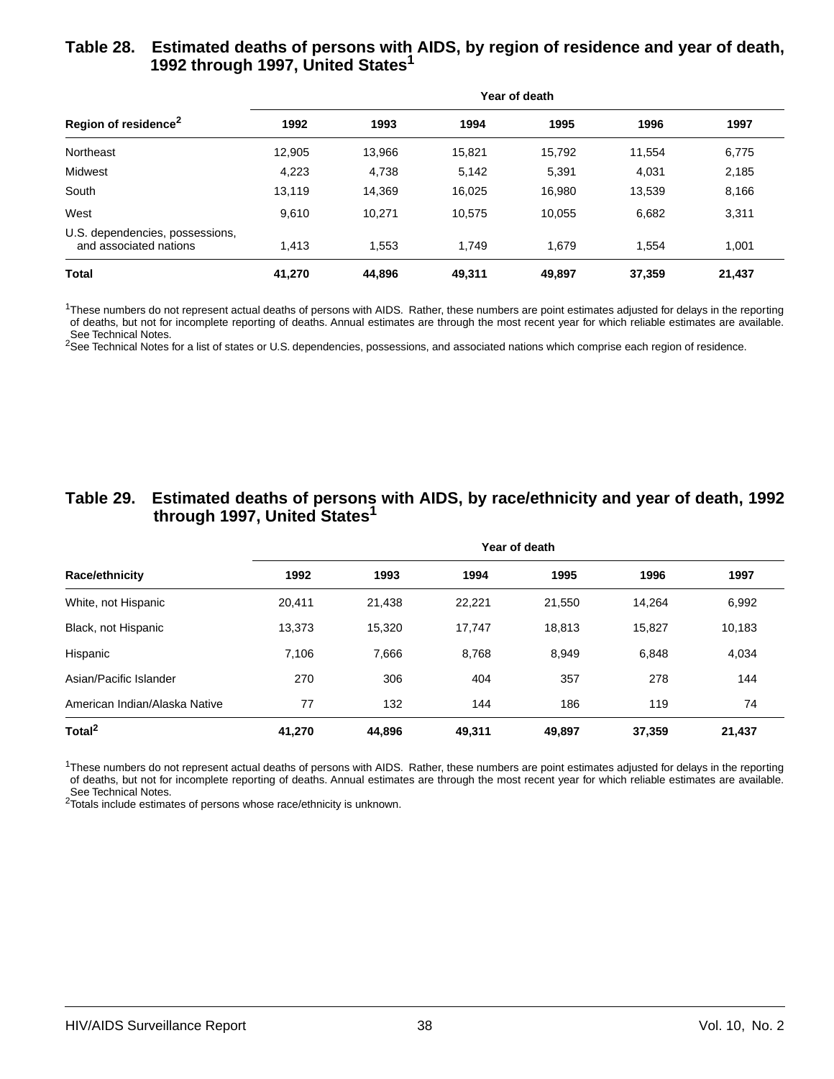#### **Table 28. Estimated deaths of persons with AIDS, by region of residence and year of death, 1992 through 1997, United States1**

| Region of residence <sup>2</sup>                          | Year of death |        |        |        |        |        |  |  |  |
|-----------------------------------------------------------|---------------|--------|--------|--------|--------|--------|--|--|--|
|                                                           | 1992          | 1993   | 1994   | 1995   | 1996   | 1997   |  |  |  |
| Northeast                                                 | 12,905        | 13,966 | 15,821 | 15,792 | 11.554 | 6,775  |  |  |  |
| Midwest                                                   | 4,223         | 4,738  | 5,142  | 5,391  | 4,031  | 2,185  |  |  |  |
| South                                                     | 13,119        | 14,369 | 16,025 | 16,980 | 13,539 | 8,166  |  |  |  |
| West                                                      | 9.610         | 10.271 | 10,575 | 10.055 | 6.682  | 3,311  |  |  |  |
| U.S. dependencies, possessions,<br>and associated nations | 1.413         | 1,553  | 1.749  | 1.679  | 1.554  | 1,001  |  |  |  |
| <b>Total</b>                                              | 41,270        | 44,896 | 49,311 | 49,897 | 37,359 | 21,437 |  |  |  |

 $1$ These numbers do not represent actual deaths of persons with AIDS. Rather, these numbers are point estimates adjusted for delays in the reporting of deaths, but not for incomplete reporting of deaths. Annual estimates are through the most recent year for which reliable estimates are available. See Technical Notes.

<sup>2</sup>See Technical Notes for a list of states or U.S. dependencies, possessions, and associated nations which comprise each region of residence.

#### **Table 29. Estimated deaths of persons with AIDS, by race/ethnicity and year of death, 1992 through 1997, United States1**

|                               | Year of death |        |        |        |        |        |  |  |  |
|-------------------------------|---------------|--------|--------|--------|--------|--------|--|--|--|
| <b>Race/ethnicity</b>         | 1992          | 1993   | 1994   | 1995   | 1996   | 1997   |  |  |  |
| White, not Hispanic           | 20,411        | 21,438 | 22,221 | 21,550 | 14.264 | 6,992  |  |  |  |
| Black, not Hispanic           | 13,373        | 15.320 | 17.747 | 18.813 | 15.827 | 10,183 |  |  |  |
| Hispanic                      | 7,106         | 7,666  | 8.768  | 8,949  | 6,848  | 4,034  |  |  |  |
| Asian/Pacific Islander        | 270           | 306    | 404    | 357    | 278    | 144    |  |  |  |
| American Indian/Alaska Native | 77            | 132    | 144    | 186    | 119    | 74     |  |  |  |
| Total <sup>2</sup>            | 41,270        | 44,896 | 49,311 | 49,897 | 37,359 | 21,437 |  |  |  |

<sup>1</sup>These numbers do not represent actual deaths of persons with AIDS. Rather, these numbers are point estimates adjusted for delays in the reporting of deaths, but not for incomplete reporting of deaths. Annual estimates are through the most recent year for which reliable estimates are available. See Technical Notes.

<sup>2</sup>Totals include estimates of persons whose race/ethnicity is unknown.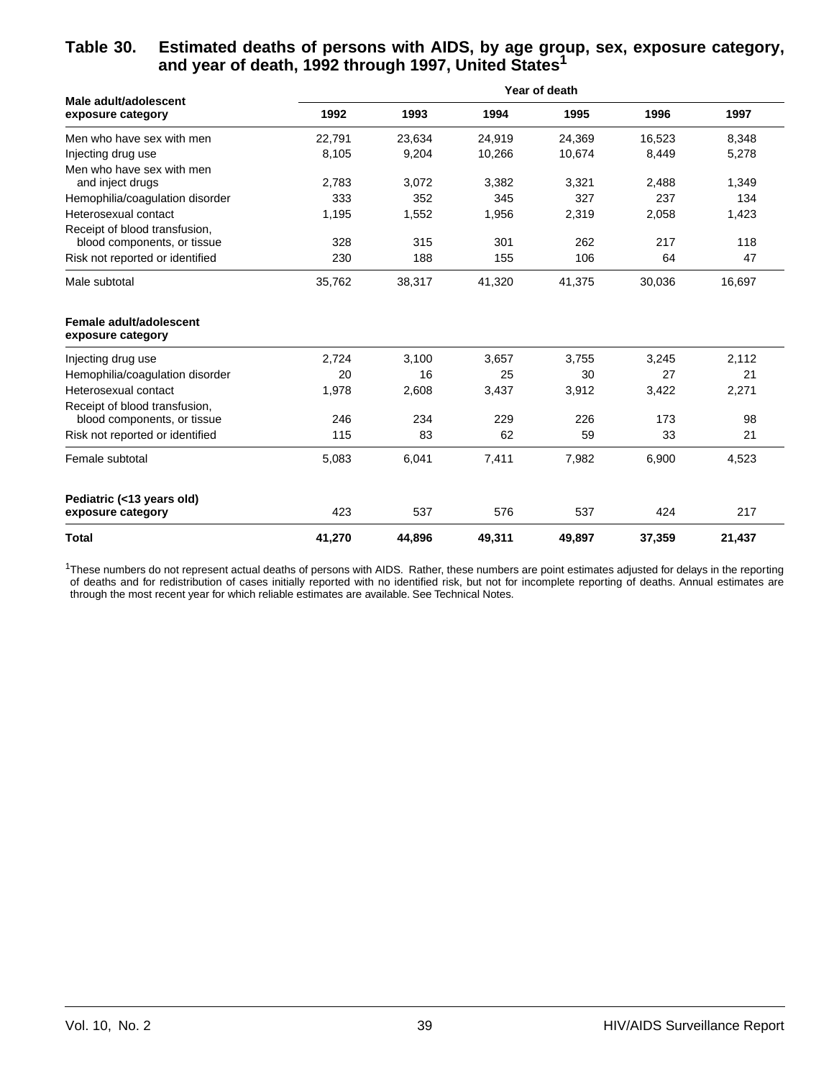#### **Table 30. Estimated deaths of persons with AIDS, by age group, sex, exposure category, and year of death, 1992 through 1997, United States1**

| Male adult/adolescent                                        | Year of death |        |        |        |        |        |  |  |  |  |
|--------------------------------------------------------------|---------------|--------|--------|--------|--------|--------|--|--|--|--|
| exposure category                                            | 1992          | 1993   | 1994   | 1995   | 1996   | 1997   |  |  |  |  |
| Men who have sex with men                                    | 22,791        | 23,634 | 24,919 | 24,369 | 16,523 | 8,348  |  |  |  |  |
| Injecting drug use                                           | 8,105         | 9,204  | 10,266 | 10,674 | 8,449  | 5,278  |  |  |  |  |
| Men who have sex with men<br>and inject drugs                | 2,783         | 3,072  | 3,382  | 3,321  | 2,488  | 1,349  |  |  |  |  |
| Hemophilia/coagulation disorder                              | 333           | 352    | 345    | 327    | 237    | 134    |  |  |  |  |
| Heterosexual contact                                         | 1,195         | 1,552  | 1,956  | 2,319  | 2,058  | 1,423  |  |  |  |  |
| Receipt of blood transfusion.<br>blood components, or tissue | 328           | 315    | 301    | 262    | 217    | 118    |  |  |  |  |
| Risk not reported or identified                              | 230           | 188    | 155    | 106    | 64     | 47     |  |  |  |  |
| Male subtotal                                                | 35,762        | 38,317 | 41,320 | 41,375 | 30,036 | 16,697 |  |  |  |  |
| Female adult/adolescent<br>exposure category                 |               |        |        |        |        |        |  |  |  |  |
| Injecting drug use                                           | 2,724         | 3,100  | 3,657  | 3,755  | 3,245  | 2,112  |  |  |  |  |
| Hemophilia/coagulation disorder                              | 20            | 16     | 25     | 30     | 27     | 21     |  |  |  |  |
| Heterosexual contact                                         | 1,978         | 2,608  | 3,437  | 3,912  | 3,422  | 2,271  |  |  |  |  |
| Receipt of blood transfusion.<br>blood components, or tissue | 246           | 234    | 229    | 226    | 173    | 98     |  |  |  |  |
| Risk not reported or identified                              | 115           | 83     | 62     | 59     | 33     | 21     |  |  |  |  |
| Female subtotal                                              | 5,083         | 6,041  | 7,411  | 7,982  | 6,900  | 4,523  |  |  |  |  |
| Pediatric (<13 years old)                                    |               |        |        |        |        |        |  |  |  |  |
| exposure category                                            | 423           | 537    | 576    | 537    | 424    | 217    |  |  |  |  |
| <b>Total</b>                                                 | 41,270        | 44,896 | 49,311 | 49,897 | 37,359 | 21,437 |  |  |  |  |

<sup>1</sup>These numbers do not represent actual deaths of persons with AIDS. Rather, these numbers are point estimates adjusted for delays in the reporting of deaths and for redistribution of cases initially reported with no identified risk, but not for incomplete reporting of deaths. Annual estimates are through the most recent year for which reliable estimates are available. See Technical Notes.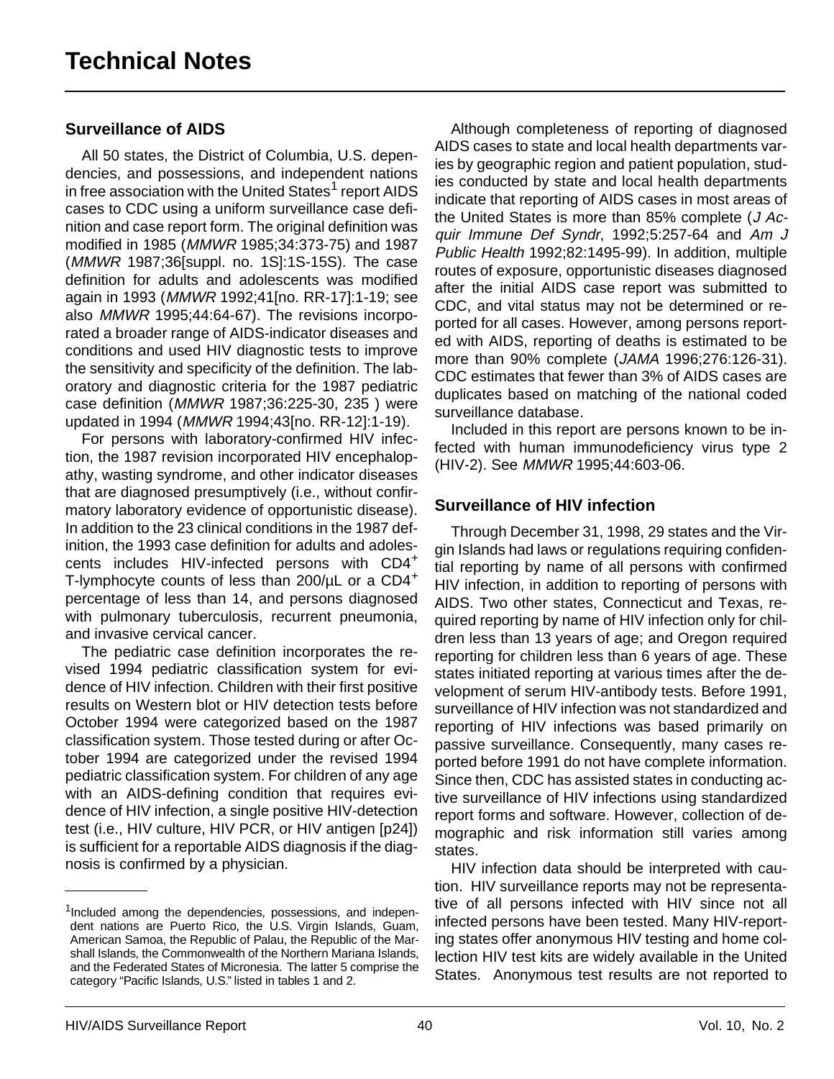## **Surveillance of AIDS**

All 50 states, the District of Columbia, U.S. dependencies, and possessions, and independent nations in free association with the United States<sup>1</sup> report AIDS cases to CDC using a uniform surveillance case definition and case report form. The original definition was modified in 1985 (MMWR 1985;34:373-75) and 1987 (MMWR 1987;36[suppl. no. 1S]:1S-15S). The case definition for adults and adolescents was modified again in 1993 (MMWR 1992;41[no. RR-17]:1-19; see also MMWR 1995;44:64-67). The revisions incorporated a broader range of AIDS-indicator diseases and conditions and used HIV diagnostic tests to improve the sensitivity and specificity of the definition. The laboratory and diagnostic criteria for the 1987 pediatric case definition (MMWR 1987;36:225-30, 235 ) were updated in 1994 (MMWR 1994;43[no. RR-12]:1-19).

For persons with laboratory-confirmed HIV infection, the 1987 revision incorporated HIV encephalopathy, wasting syndrome, and other indicator diseases that are diagnosed presumptively (i.e., without confirmatory laboratory evidence of opportunistic disease). In addition to the 23 clinical conditions in the 1987 definition, the 1993 case definition for adults and adolescents includes HIV-infected persons with CD4<sup>+</sup> T-lymphocyte counts of less than  $200/\mu$ L or a  $CD4^+$ percentage of less than 14, and persons diagnosed with pulmonary tuberculosis, recurrent pneumonia, and invasive cervical cancer.

The pediatric case definition incorporates the revised 1994 pediatric classification system for evidence of HIV infection. Children with their first positive results on Western blot or HIV detection tests before October 1994 were categorized based on the 1987 classification system. Those tested during or after October 1994 are categorized under the revised 1994 pediatric classification system. For children of any age with an AIDS-defining condition that requires evidence of HIV infection, a single positive HIV-detection test (i.e., HIV culture, HIV PCR, or HIV antigen [p24]) is sufficient for a reportable AIDS diagnosis if the diagnosis is confirmed by a physician.

Although completeness of reporting of diagnosed AIDS cases to state and local health departments varies by geographic region and patient population, studies conducted by state and local health departments indicate that reporting of AIDS cases in most areas of the United States is more than 85% complete  $(J \, Ac$ quir Immune Def Syndr, 1992;5:257-64 and Am J Public Health 1992;82:1495-99). In addition, multiple routes of exposure, opportunistic diseases diagnosed after the initial AIDS case report was submitted to CDC, and vital status may not be determined or reported for all cases. However, among persons reported with AIDS, reporting of deaths is estimated to be more than 90% complete (JAMA 1996;276:126-31). CDC estimates that fewer than 3% of AIDS cases are duplicates based on matching of the national coded surveillance database.

Included in this report are persons known to be infected with human immunodeficiency virus type 2 (HIV-2). See MMWR 1995;44:603-06.

#### **Surveillance of HIV infection**

Through December 31, 1998, 29 states and the Virgin Islands had laws or regulations requiring confidential reporting by name of all persons with confirmed HIV infection, in addition to reporting of persons with AIDS. Two other states, Connecticut and Texas, required reporting by name of HIV infection only for children less than 13 years of age; and Oregon required reporting for children less than 6 years of age. These states initiated reporting at various times after the development of serum HIV-antibody tests. Before 1991, surveillance of HIV infection was not standardized and reporting of HIV infections was based primarily on passive surveillance. Consequently, many cases reported before 1991 do not have complete information. Since then, CDC has assisted states in conducting active surveillance of HIV infections using standardized report forms and software. However, collection of demographic and risk information still varies among states.

HIV infection data should be interpreted with caution. HIV surveillance reports may not be representative of all persons infected with HIV since not all infected persons have been tested. Many HIV-reporting states offer anonymous HIV testing and home collection HIV test kits are widely available in the United States. Anonymous test results are not reported to

<sup>&</sup>lt;sup>1</sup>Included among the dependencies, possessions, and independent nations are Puerto Rico, the U.S. Virgin Islands, Guam, American Samoa, the Republic of Palau, the Republic of the Marshall Islands, the Commonwealth of the Northern Mariana Islands, and the Federated States of Micronesia. The latter 5 comprise the category "Pacific Islands, U.S." listed in tables 1 and 2.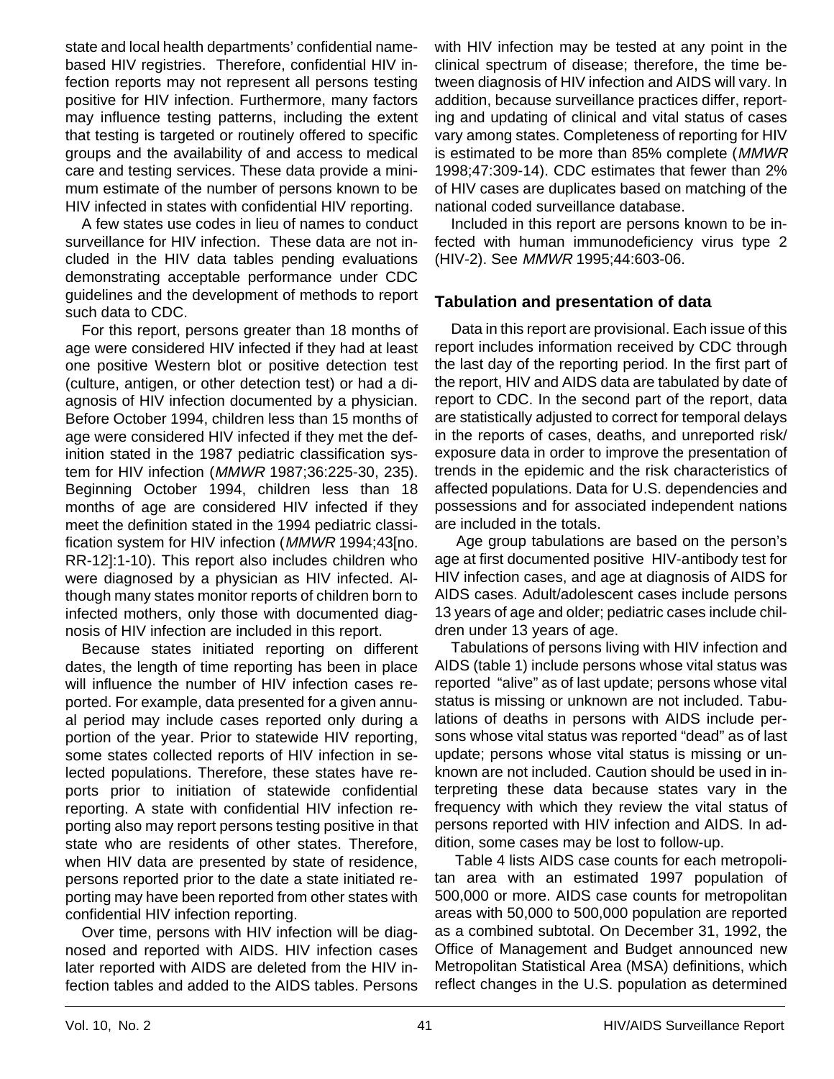state and local health departments' confidential namebased HIV registries. Therefore, confidential HIV infection reports may not represent all persons testing positive for HIV infection. Furthermore, many factors may influence testing patterns, including the extent that testing is targeted or routinely offered to specific groups and the availability of and access to medical care and testing services. These data provide a minimum estimate of the number of persons known to be HIV infected in states with confidential HIV reporting.

A few states use codes in lieu of names to conduct surveillance for HIV infection. These data are not included in the HIV data tables pending evaluations demonstrating acceptable performance under CDC guidelines and the development of methods to report such data to CDC.

For this report, persons greater than 18 months of age were considered HIV infected if they had at least one positive Western blot or positive detection test (culture, antigen, or other detection test) or had a diagnosis of HIV infection documented by a physician. Before October 1994, children less than 15 months of age were considered HIV infected if they met the definition stated in the 1987 pediatric classification system for HIV infection (MMWR 1987;36:225-30, 235). Beginning October 1994, children less than 18 months of age are considered HIV infected if they meet the definition stated in the 1994 pediatric classification system for HIV infection (MMWR 1994;43[no. RR-12]:1-10). This report also includes children who were diagnosed by a physician as HIV infected. Although many states monitor reports of children born to infected mothers, only those with documented diagnosis of HIV infection are included in this report.

Because states initiated reporting on different dates, the length of time reporting has been in place will influence the number of HIV infection cases reported. For example, data presented for a given annual period may include cases reported only during a portion of the year. Prior to statewide HIV reporting, some states collected reports of HIV infection in selected populations. Therefore, these states have reports prior to initiation of statewide confidential reporting. A state with confidential HIV infection reporting also may report persons testing positive in that state who are residents of other states. Therefore, when HIV data are presented by state of residence, persons reported prior to the date a state initiated reporting may have been reported from other states with confidential HIV infection reporting.

Over time, persons with HIV infection will be diagnosed and reported with AIDS. HIV infection cases later reported with AIDS are deleted from the HIV infection tables and added to the AIDS tables. Persons

with HIV infection may be tested at any point in the clinical spectrum of disease; therefore, the time between diagnosis of HIV infection and AIDS will vary. In addition, because surveillance practices differ, reporting and updating of clinical and vital status of cases vary among states. Completeness of reporting for HIV is estimated to be more than 85% complete (MMWR 1998;47:309-14). CDC estimates that fewer than 2% of HIV cases are duplicates based on matching of the national coded surveillance database.

Included in this report are persons known to be infected with human immunodeficiency virus type 2 (HIV-2). See MMWR 1995;44:603-06.

#### **Tabulation and presentation of data**

Data in this report are provisional. Each issue of this report includes information received by CDC through the last day of the reporting period. In the first part of the report, HIV and AIDS data are tabulated by date of report to CDC. In the second part of the report, data are statistically adjusted to correct for temporal delays in the reports of cases, deaths, and unreported risk/ exposure data in order to improve the presentation of trends in the epidemic and the risk characteristics of affected populations. Data for U.S. dependencies and possessions and for associated independent nations are included in the totals.

 Age group tabulations are based on the person's age at first documented positive HIV-antibody test for HIV infection cases, and age at diagnosis of AIDS for AIDS cases. Adult/adolescent cases include persons 13 years of age and older; pediatric cases include children under 13 years of age.

Tabulations of persons living with HIV infection and AIDS (table 1) include persons whose vital status was reported "alive" as of last update; persons whose vital status is missing or unknown are not included. Tabulations of deaths in persons with AIDS include persons whose vital status was reported "dead" as of last update; persons whose vital status is missing or unknown are not included. Caution should be used in interpreting these data because states vary in the frequency with which they review the vital status of persons reported with HIV infection and AIDS. In addition, some cases may be lost to follow-up.

 Table 4 lists AIDS case counts for each metropolitan area with an estimated 1997 population of 500,000 or more. AIDS case counts for metropolitan areas with 50,000 to 500,000 population are reported as a combined subtotal. On December 31, 1992, the Office of Management and Budget announced new Metropolitan Statistical Area (MSA) definitions, which reflect changes in the U.S. population as determined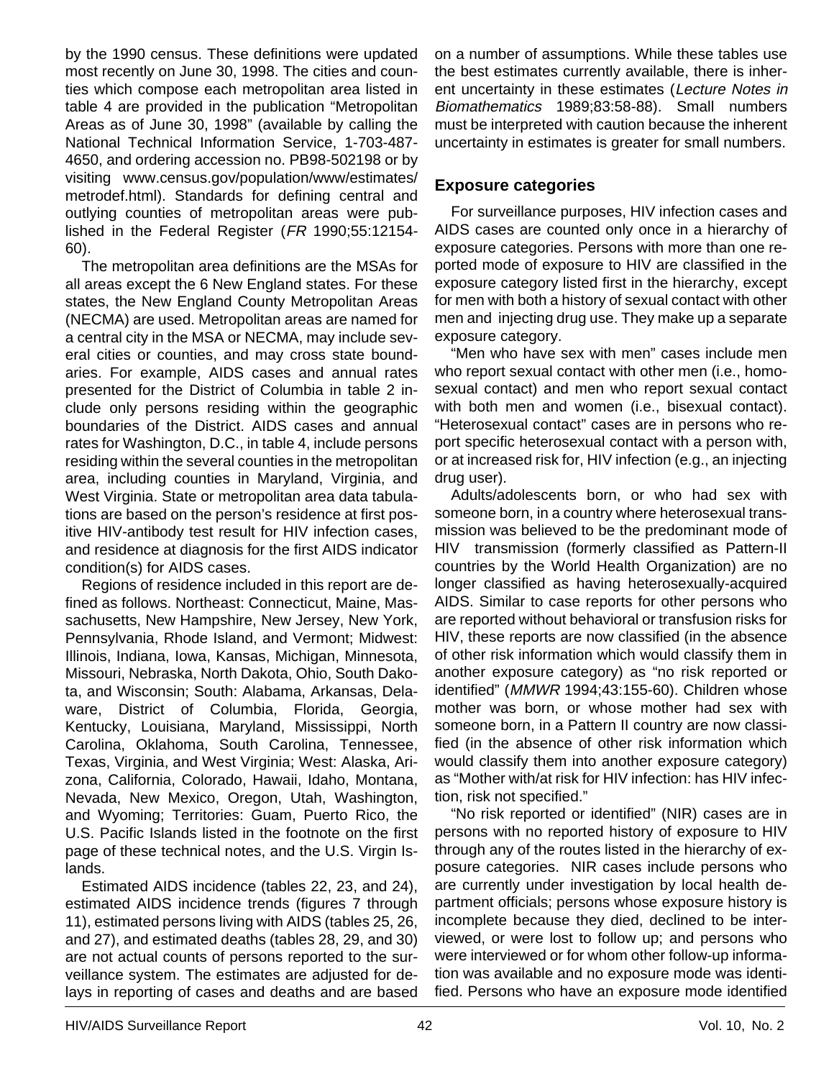by the 1990 census. These definitions were updated most recently on June 30, 1998. The cities and counties which compose each metropolitan area listed in table 4 are provided in the publication "Metropolitan Areas as of June 30, 1998" (available by calling the National Technical Information Service, 1-703-487- 4650, and ordering accession no. PB98-502198 or by visiting www.census.gov/population/www/estimates/ metrodef.html). Standards for defining central and outlying counties of metropolitan areas were published in the Federal Register (FR 1990;55:12154- 60).

The metropolitan area definitions are the MSAs for all areas except the 6 New England states. For these states, the New England County Metropolitan Areas (NECMA) are used. Metropolitan areas are named for a central city in the MSA or NECMA, may include several cities or counties, and may cross state boundaries. For example, AIDS cases and annual rates presented for the District of Columbia in table 2 include only persons residing within the geographic boundaries of the District. AIDS cases and annual rates for Washington, D.C., in table 4, include persons residing within the several counties in the metropolitan area, including counties in Maryland, Virginia, and West Virginia. State or metropolitan area data tabulations are based on the person's residence at first positive HIV-antibody test result for HIV infection cases, and residence at diagnosis for the first AIDS indicator condition(s) for AIDS cases.

Regions of residence included in this report are defined as follows. Northeast: Connecticut, Maine, Massachusetts, New Hampshire, New Jersey, New York, Pennsylvania, Rhode Island, and Vermont; Midwest: Illinois, Indiana, Iowa, Kansas, Michigan, Minnesota, Missouri, Nebraska, North Dakota, Ohio, South Dakota, and Wisconsin; South: Alabama, Arkansas, Delaware, District of Columbia, Florida, Georgia, Kentucky, Louisiana, Maryland, Mississippi, North Carolina, Oklahoma, South Carolina, Tennessee, Texas, Virginia, and West Virginia; West: Alaska, Arizona, California, Colorado, Hawaii, Idaho, Montana, Nevada, New Mexico, Oregon, Utah, Washington, and Wyoming; Territories: Guam, Puerto Rico, the U.S. Pacific Islands listed in the footnote on the first page of these technical notes, and the U.S. Virgin Islands.

Estimated AIDS incidence (tables 22, 23, and 24), estimated AIDS incidence trends (figures 7 through 11), estimated persons living with AIDS (tables 25, 26, and 27), and estimated deaths (tables 28, 29, and 30) are not actual counts of persons reported to the surveillance system. The estimates are adjusted for delays in reporting of cases and deaths and are based on a number of assumptions. While these tables use the best estimates currently available, there is inherent uncertainty in these estimates (Lecture Notes in Biomathematics 1989;83:58-88). Small numbers must be interpreted with caution because the inherent uncertainty in estimates is greater for small numbers.

#### **Exposure categories**

For surveillance purposes, HIV infection cases and AIDS cases are counted only once in a hierarchy of exposure categories. Persons with more than one reported mode of exposure to HIV are classified in the exposure category listed first in the hierarchy, except for men with both a history of sexual contact with other men and injecting drug use. They make up a separate exposure category.

"Men who have sex with men" cases include men who report sexual contact with other men (i.e., homosexual contact) and men who report sexual contact with both men and women (i.e., bisexual contact). "Heterosexual contact" cases are in persons who report specific heterosexual contact with a person with, or at increased risk for, HIV infection (e.g., an injecting drug user).

Adults/adolescents born, or who had sex with someone born, in a country where heterosexual transmission was believed to be the predominant mode of HIV transmission (formerly classified as Pattern-II countries by the World Health Organization) are no longer classified as having heterosexually-acquired AIDS. Similar to case reports for other persons who are reported without behavioral or transfusion risks for HIV, these reports are now classified (in the absence of other risk information which would classify them in another exposure category) as "no risk reported or identified" (MMWR 1994;43:155-60). Children whose mother was born, or whose mother had sex with someone born, in a Pattern II country are now classified (in the absence of other risk information which would classify them into another exposure category) as "Mother with/at risk for HIV infection: has HIV infection, risk not specified."

"No risk reported or identified" (NIR) cases are in persons with no reported history of exposure to HIV through any of the routes listed in the hierarchy of exposure categories. NIR cases include persons who are currently under investigation by local health department officials; persons whose exposure history is incomplete because they died, declined to be interviewed, or were lost to follow up; and persons who were interviewed or for whom other follow-up information was available and no exposure mode was identified. Persons who have an exposure mode identified